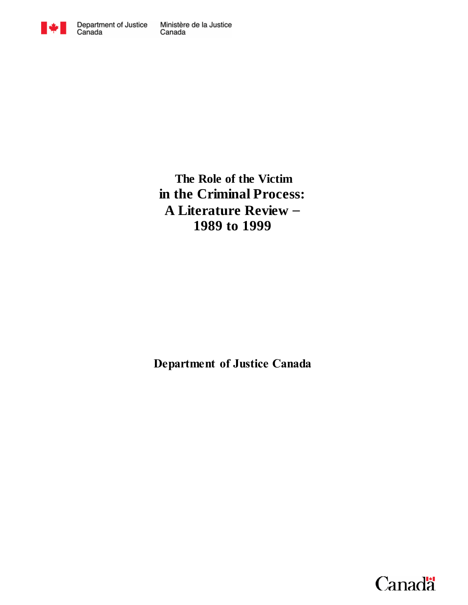

**The Role of the Victim in the Criminal Process: A Literature Review** ⎯ **1989 to 1999**

**Department of Justice Canada** 

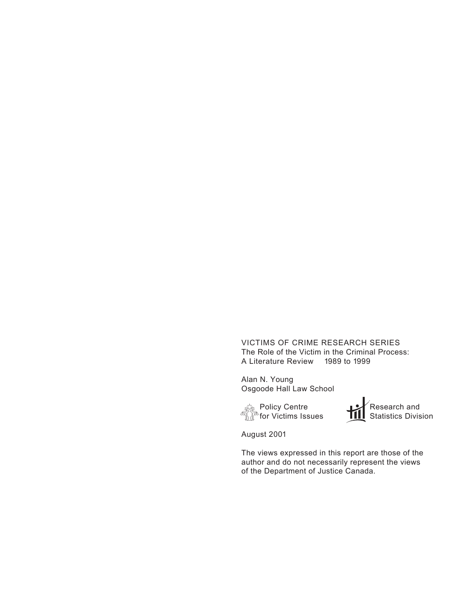VICTIMS OF CRIME RESEARCH SERIES The Role of the Victim in the Criminal Process: A Literature Review — 1989 to 1999

Alan N. Young Osgoode Hall Law School



August 2001

The views expressed in this report are those of the author and do not necessarily represent the views of the Department of Justice Canada.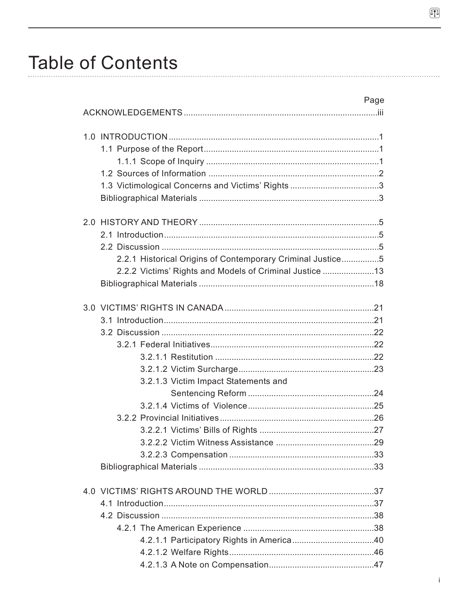# **Table of Contents**

|                                                            | Page |
|------------------------------------------------------------|------|
|                                                            |      |
|                                                            |      |
|                                                            |      |
|                                                            |      |
|                                                            |      |
|                                                            |      |
|                                                            |      |
|                                                            |      |
|                                                            |      |
|                                                            |      |
| 2.2.1 Historical Origins of Contemporary Criminal Justice5 |      |
| 2.2.2 Victims' Rights and Models of Criminal Justice 13    |      |
|                                                            |      |
|                                                            |      |
|                                                            |      |
|                                                            |      |
|                                                            |      |
|                                                            |      |
|                                                            |      |
| 3.2.1.3 Victim Impact Statements and                       |      |
|                                                            |      |
|                                                            |      |
|                                                            |      |
|                                                            |      |
|                                                            |      |
|                                                            |      |
|                                                            |      |
|                                                            |      |
|                                                            |      |
|                                                            |      |
|                                                            |      |
|                                                            |      |
|                                                            |      |
|                                                            |      |

 $\boxed{\textbf{1}}$ 

 $\mathbf i$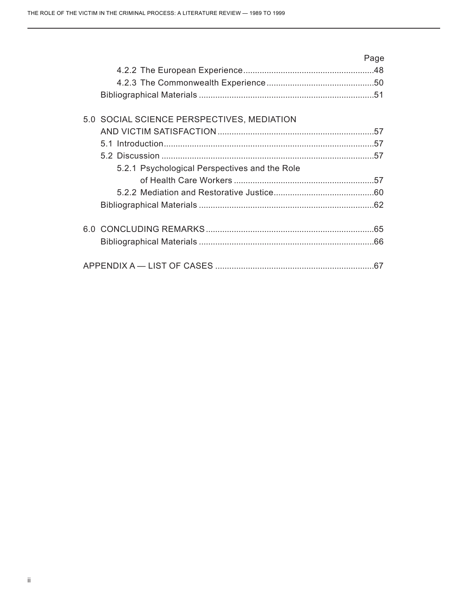|                                               | Page |
|-----------------------------------------------|------|
|                                               |      |
|                                               |      |
|                                               |      |
| 5.0 SOCIAL SCIENCE PERSPECTIVES, MEDIATION    |      |
|                                               |      |
|                                               |      |
|                                               |      |
| 5.2.1 Psychological Perspectives and the Role |      |
|                                               |      |
|                                               |      |
|                                               |      |
|                                               |      |
|                                               |      |
|                                               | 67   |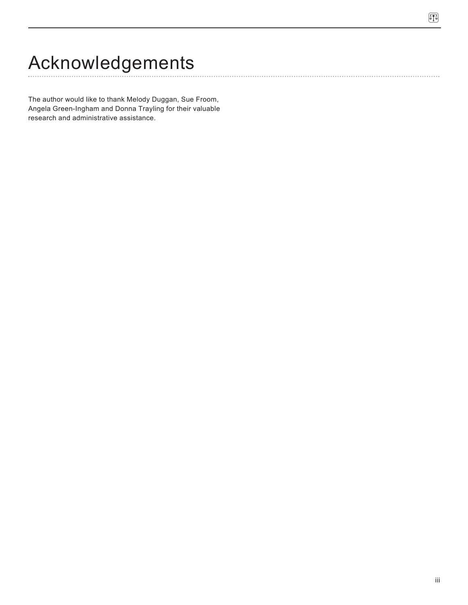# Acknowledgements

The author would like to thank Melody Duggan, Sue Froom, Angela Green-Ingham and Donna Trayling for their valuable research and administrative assistance.

 $\boxed{0}$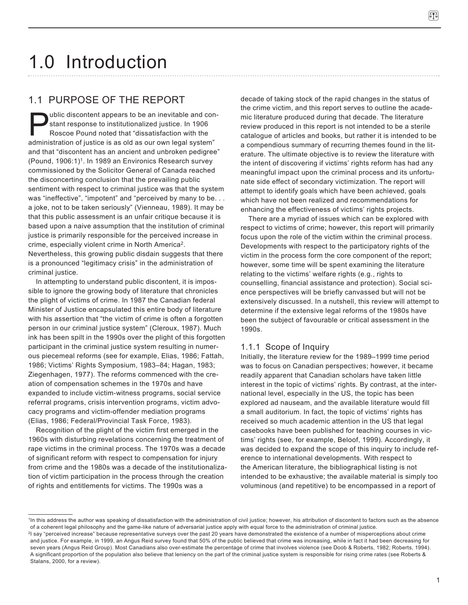# 1.0 Introduction

# 1.1 PURPOSE OF THE REPORT

ublic discontent appears to be an inevitable and constant response to institutionalized justice. In 1906 Roscoe Pound noted that "dissatisfaction with the administration of justice is as old as our own legal system" and that "discontent has an ancient and unbroken pedigree" (Pound, 1906:1)1. In 1989 an Environics Research survey commissioned by the Solicitor General of Canada reached the disconcerting conclusion that the prevailing public sentiment with respect to criminal justice was that the system was "ineffective", "impotent" and "perceived by many to be. . . a joke, not to be taken seriously" (Vienneau, 1989). It may be that this public assessment is an unfair critique because it is based upon a naive assumption that the institution of criminal justice is primarily responsible for the perceived increase in crime, especially violent crime in North America<sup>2</sup>. Nevertheless, this growing public disdain suggests that there is a pronounced "legitimacy crisis" in the administration of criminal justice.

In attempting to understand public discontent, it is impossible to ignore the growing body of literature that chronicles the plight of victims of crime. In 1987 the Canadian federal Minister of Justice encapsulated this entire body of literature with his assertion that "the victim of crime is often a forgotten person in our criminal justice system" (Cleroux, 1987). Much ink has been spilt in the 1990s over the plight of this forgotten participant in the criminal justice system resulting in numerous piecemeal reforms (see for example, Elias, 1986; Fattah, 1986; Victims' Rights Symposium, 1983–84; Hagan, 1983; Ziegenhagen, 1977). The reforms commenced with the creation of compensation schemes in the 1970s and have expanded to include victim-witness programs, social service referral programs, crisis intervention programs, victim advocacy programs and victim-offender mediation programs (Elias, 1986; Federal/Provincial Task Force, 1983).

Recognition of the plight of the victim first emerged in the 1960s with disturbing revelations concerning the treatment of rape victims in the criminal process. The 1970s was a decade of significant reform with respect to compensation for injury from crime and the 1980s was a decade of the institutionalization of victim participation in the process through the creation of rights and entitlements for victims. The 1990s was a

decade of taking stock of the rapid changes in the status of the crime victim, and this report serves to outline the academic literature produced during that decade. The literature review produced in this report is not intended to be a sterile catalogue of articles and books, but rather it is intended to be a compendious summary of recurring themes found in the literature. The ultimate objective is to review the literature with the intent of discovering if victims' rights reform has had any meaningful impact upon the criminal process and its unfortunate side effect of secondary victimization. The report will attempt to identify goals which have been achieved, goals which have not been realized and recommendations for enhancing the effectiveness of victims' rights projects.

There are a myriad of issues which can be explored with respect to victims of crime; however, this report will primarily focus upon the role of the victim within the criminal process. Developments with respect to the participatory rights of the victim in the process form the core component of the report; however, some time will be spent examining the literature relating to the victims' welfare rights (e.g., rights to counselling, financial assistance and protection). Social science perspectives will be briefly canvassed but will not be extensively discussed. In a nutshell, this review will attempt to determine if the extensive legal reforms of the 1980s have been the subject of favourable or critical assessment in the 1990s.

### 1.1.1 Scope of Inquiry

Initially, the literature review for the 1989–1999 time period was to focus on Canadian perspectives; however, it became readily apparent that Canadian scholars have taken little interest in the topic of victims' rights. By contrast, at the international level, especially in the US, the topic has been explored ad nauseam, and the available literature would fill a small auditorium. In fact, the topic of victims' rights has received so much academic attention in the US that legal casebooks have been published for teaching courses in victims' rights (see, for example, Beloof, 1999). Accordingly, it was decided to expand the scope of this inquiry to include reference to international developments. With respect to the American literature, the bibliographical listing is not intended to be exhaustive; the available material is simply too voluminous (and repetitive) to be encompassed in a report of

<sup>1</sup>In this address the author was speaking of dissatisfaction with the administration of civil justice; however, his attribution of discontent to factors such as the absence of a coherent legal philosophy and the game-like nature of adversarial justice apply with equal force to the administration of criminal justice.

<sup>&</sup>lt;sup>2</sup>I say "perceived increase" because representative surveys over the past 20 years have demonstrated the existence of a number of misperceptions about crime and justice. For example, in 1999, an Angus Reid survey found that 50% of the public believed that crime was increasing, while in fact it had been decreasing for seven years (Angus Reid Group). Most Canadians also over-estimate the percentage of crime that involves violence (see Doob & Roberts, 1982; Roberts, 1994). A significant proportion of the population also believe that leniency on the part of the criminal justice system is responsible for rising crime rates (see Roberts & Stalans, 2000, for a review).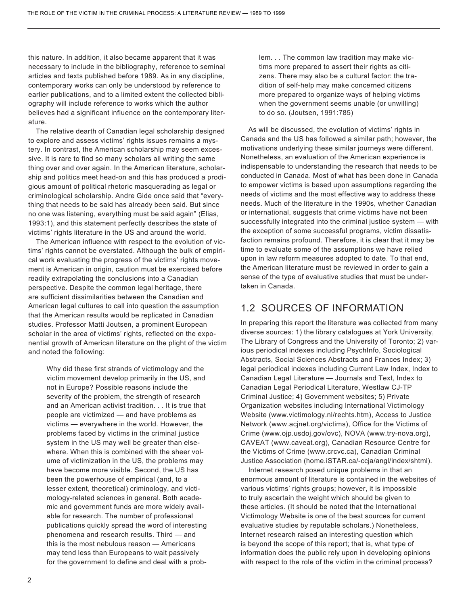this nature. In addition, it also became apparent that it was necessary to include in the bibliography, reference to seminal articles and texts published before 1989. As in any discipline, contemporary works can only be understood by reference to earlier publications, and to a limited extent the collected bibliography will include reference to works which the author believes had a significant influence on the contemporary literature.

The relative dearth of Canadian legal scholarship designed to explore and assess victims' rights issues remains a mystery. In contrast, the American scholarship may seem excessive. It is rare to find so many scholars all writing the same thing over and over again. In the American literature, scholarship and politics meet head-on and this has produced a prodigious amount of political rhetoric masquerading as legal or criminological scholarship. Andre Gide once said that "everything that needs to be said has already been said. But since no one was listening, everything must be said again" (Elias, 1993:1), and this statement perfectly describes the state of victims' rights literature in the US and around the world.

The American influence with respect to the evolution of victims' rights cannot be overstated. Although the bulk of empirical work evaluating the progress of the victims' rights movement is American in origin, caution must be exercised before readily extrapolating the conclusions into a Canadian perspective. Despite the common legal heritage, there are sufficient dissimilarities between the Canadian and American legal cultures to call into question the assumption that the American results would be replicated in Canadian studies. Professor Matti Joutsen, a prominent European scholar in the area of victims' rights, reflected on the exponential growth of American literature on the plight of the victim and noted the following:

Why did these first strands of victimology and the victim movement develop primarily in the US, and not in Europe? Possible reasons include the severity of the problem, the strength of research and an American activist tradition. . . It is true that people are victimized — and have problems as victims — everywhere in the world. However, the problems faced by victims in the criminal justice system in the US may well be greater than elsewhere. When this is combined with the sheer volume of victimization in the US, the problems may have become more visible. Second, the US has been the powerhouse of empirical (and, to a lesser extent, theoretical) criminology, and victimology-related sciences in general. Both academic and government funds are more widely available for research. The number of professional publications quickly spread the word of interesting phenomena and research results. Third — and this is the most nebulous reason — Americans may tend less than Europeans to wait passively for the government to define and deal with a problem. . . The common law tradition may make victims more prepared to assert their rights as citizens. There may also be a cultural factor: the tradition of self-help may make concerned citizens more prepared to organize ways of helping victims when the government seems unable (or unwilling) to do so. (Joutsen, 1991:785)

As will be discussed, the evolution of victims' rights in Canada and the US has followed a similar path; however, the motivations underlying these similar journeys were different. Nonetheless, an evaluation of the American experience is indispensable to understanding the research that needs to be conducted in Canada. Most of what has been done in Canada to empower victims is based upon assumptions regarding the needs of victims and the most effective way to address these needs. Much of the literature in the 1990s, whether Canadian or international, suggests that crime victims have not been successfully integrated into the criminal justice system — with the exception of some successful programs, victim dissatisfaction remains profound. Therefore, it is clear that it may be time to evaluate some of the assumptions we have relied upon in law reform measures adopted to date. To that end, the American literature must be reviewed in order to gain a sense of the type of evaluative studies that must be undertaken in Canada.

# 1.2 SOURCES OF INFORMATION

In preparing this report the literature was collected from many diverse sources: 1) the library catalogues at York University, The Library of Congress and the University of Toronto; 2) various periodical indexes including PsychInfo, Sociological Abstracts, Social Sciences Abstracts and Frances Index; 3) legal periodical indexes including Current Law Index, Index to Canadian Legal Literature — Journals and Text, Index to Canadian Legal Periodical Literature, Westlaw CJ-TP Criminal Justice; 4) Government websites; 5) Private Organization websites including International Victimology Website (www.victimology.nl/rechts.htm), Access to Justice Network (www.acjnet.org/victims), Office for the Victims of Crime (www.ojp.usdoj.gov/ovc), NOVA (www.try-nova.org), CAVEAT (www.caveat.org), Canadian Resource Centre for the Victims of Crime (www.crcvc.ca), Canadian Criminal Justice Association (home.iSTAR.ca/-ccja/angl/index/shtml).

Internet research posed unique problems in that an enormous amount of literature is contained in the websites of various victims' rights groups; however, it is impossible to truly ascertain the weight which should be given to these articles. (It should be noted that the International Victimology Website is one of the best sources for current evaluative studies by reputable scholars.) Nonetheless, Internet research raised an interesting question which is beyond the scope of this report; that is, what type of information does the public rely upon in developing opinions with respect to the role of the victim in the criminal process?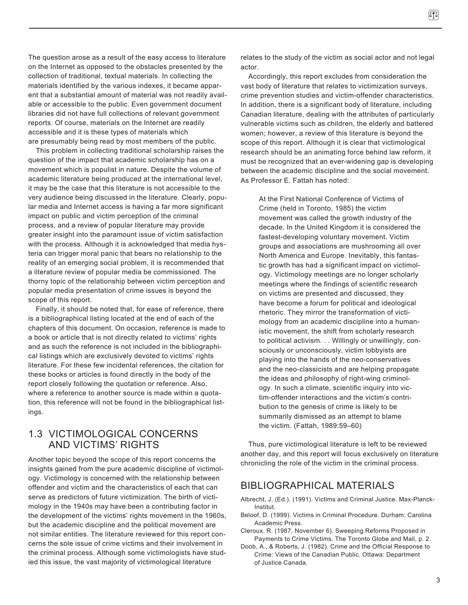The question arose as a result of the easy access to literature on the Internet as opposed to the obstacles presented by the collection of traditional, textual materials. In collecting the materials identified by the various indexes, it became apparent that a substantial amount of material was not readily available or accessible to the public. Even government document libraries did not have full collections of relevant government reports. Of course, materials on the Internet are readily accessible and it is these types of materials which are presumably being read by most members of the public.

This problem in collecting traditional scholarship raises the question of the impact that academic scholarship has on a movement which is populist in nature. Despite the volume of academic literature being produced at the international level, it may be the case that this literature is not accessible to the very audience being discussed in the literature. Clearly, popular media and Internet access is having a far more significant impact on public and victim perception of the criminal process, and a review of popular literature may provide greater insight into the paramount issue of victim satisfaction with the process. Although it is acknowledged that media hysteria can trigger moral panic that bears no relationship to the reality of an emerging social problem, it is recommended that a literature review of popular media be commissioned. The thorny topic of the relationship between victim perception and popular media presentation of crime issues is beyond the scope of this report.

Finally, it should be noted that, for ease of reference, there is a bibliographical listing located at the end of each of the chapters of this document. On occasion, reference is made to a book or article that is not directly related to victims' rights and as such the reference is not included in the bibliographical listings which are exclusively devoted to victims' rights literature. For these few incidental references, the citation for these books or articles is found directly in the body of the report closely following the quotation or reference. Also, where a reference to another source is made within a quotation, this reference will not be found in the bibliographical listings.

# 1.3 VICTIMOLOGICAL CONCERNS AND VICTIMS' RIGHTS

Another topic beyond the scope of this report concerns the insights gained from the pure academic discipline of victimology. Victimology is concerned with the relationship between offender and victim and the characteristics of each that can serve as predictors of future victimization. The birth of victimology in the 1940s may have been a contributing factor in the development of the victims' rights movement in the 1960s, but the academic discipline and the political movement are not similar entities. The literature reviewed for this report concerns the sole issue of crime victims and their involvement in the criminal process. Although some victimologists have studied this issue, the vast majority of victimological literature

relates to the study of the victim as social actor and not legal actor.

Accordingly, this report excludes from consideration the vast body of literature that relates to victimization surveys, crime prevention studies and victim-offender characteristics. In addition, there is a significant body of literature, including Canadian literature, dealing with the attributes of particularly vulnerable victims such as children, the elderly and battered women; however, a review of this literature is beyond the scope of this report. Although it is clear that victimological research should be an animating force behind law reform, it must be recognized that an ever-widening gap is developing between the academic discipline and the social movement. As Professor E. Fattah has noted:

At the First National Conference of Victims of Crime (held in Toronto, 1985) the victim movement was called the growth industry of the decade. In the United Kingdom it is considered the fastest-developing voluntary movement. Victim groups and associations are mushrooming all over North America and Europe. Inevitably, this fantastic growth has had a significant impact on victimology. Victimology meetings are no longer scholarly meetings where the findings of scientific research on victims are presented and discussed, they have become a forum for political and ideological rhetoric. They mirror the transformation of victimology from an academic discipline into a humanistic movement, the shift from scholarly research to political activism. . . Willingly or unwillingly, consciously or unconsciously, victim lobbyists are playing into the hands of the neo-conservatives and the neo-classicists and are helping propagate the ideas and philosophy of right-wing criminology. In such a climate, scientific inquiry into victim-offender interactions and the victim's contribution to the genesis of crime is likely to be summarily dismissed as an attempt to blame the victim. (Fattah, 1989:59–60)

Thus, pure victimological literature is left to be reviewed another day, and this report will focus exclusively on literature chronicling the role of the victim in the criminal process.

# BIBLIOGRAPHICAL MATERIALS

- Albrecht, J. (Ed.). (1991). Victims and Criminal Justice. Max-Planck-Institut.
- Beloof, D. (1999). Victims in Criminal Procedure. Durham: Carolina Academic Press.
- Cleroux, R. (1987, November 6). Sweeping Reforms Proposed in Payments to Crime Victims. The Toronto Globe and Mail, p. 2.
- Doob, A., & Roberts, J. (1982). Crime and the Official Response to Crime: Views of the Canadian Public. Ottawa: Department of Justice Canada.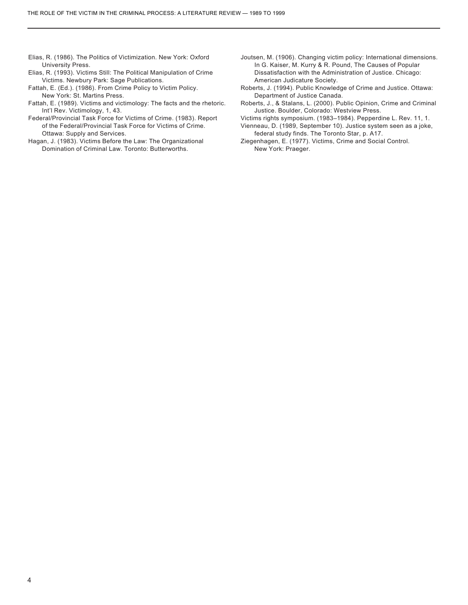Elias, R. (1986). The Politics of Victimization. New York: Oxford University Press.

- Elias, R. (1993). Victims Still: The Political Manipulation of Crime Victims. Newbury Park: Sage Publications.
- Fattah, E. (Ed.). (1986). From Crime Policy to Victim Policy. New York: St. Martins Press.
- Fattah, E. (1989). Victims and victimology: The facts and the rhetoric. Int'l Rev. Victimology, 1, 43.
- Federal/Provincial Task Force for Victims of Crime. (1983). Report of the Federal/Provincial Task Force for Victims of Crime. Ottawa: Supply and Services.
- Hagan, J. (1983). Victims Before the Law: The Organizational Domination of Criminal Law. Toronto: Butterworths.
- Joutsen, M. (1906). Changing victim policy: International dimensions. In G. Kaiser, M. Kurry & R. Pound, The Causes of Popular Dissatisfaction with the Administration of Justice. Chicago: American Judicature Society.
- Roberts, J. (1994). Public Knowledge of Crime and Justice. Ottawa: Department of Justice Canada.
- Roberts, J., & Stalans, L. (2000). Public Opinion, Crime and Criminal Justice. Boulder, Colorado: Westview Press.
- Victims rights symposium. (1983–1984). Pepperdine L. Rev. 11, 1.
- Vienneau, D. (1989, September 10). Justice system seen as a joke, federal study finds. The Toronto Star, p. A17.
- Ziegenhagen, E. (1977). Victims, Crime and Social Control. New York: Praeger.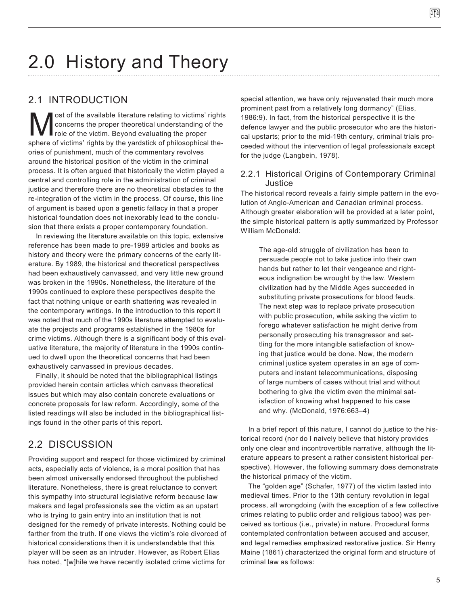# 2.1 INTRODUCTION

ost of the available literature relating to victims' rights concerns the proper theoretical understanding of the role of the victim. Beyond evaluating the proper sphere of victims' rights by the yardstick of philosophical theories of punishment, much of the commentary revolves around the historical position of the victim in the criminal process. It is often argued that historically the victim played a central and controlling role in the administration of criminal justice and therefore there are no theoretical obstacles to the re-integration of the victim in the process. Of course, this line of argument is based upon a genetic fallacy in that a proper historical foundation does not inexorably lead to the conclusion that there exists a proper contemporary foundation.

In reviewing the literature available on this topic, extensive reference has been made to pre-1989 articles and books as history and theory were the primary concerns of the early literature. By 1989, the historical and theoretical perspectives had been exhaustively canvassed, and very little new ground was broken in the 1990s. Nonetheless, the literature of the 1990s continued to explore these perspectives despite the fact that nothing unique or earth shattering was revealed in the contemporary writings. In the introduction to this report it was noted that much of the 1990s literature attempted to evaluate the projects and programs established in the 1980s for crime victims. Although there is a significant body of this evaluative literature, the majority of literature in the 1990s continued to dwell upon the theoretical concerns that had been exhaustively canvassed in previous decades.

Finally, it should be noted that the bibliographical listings provided herein contain articles which canvass theoretical issues but which may also contain concrete evaluations or concrete proposals for law reform. Accordingly, some of the listed readings will also be included in the bibliographical listings found in the other parts of this report.

# 2.2 DISCUSSION

Providing support and respect for those victimized by criminal acts, especially acts of violence, is a moral position that has been almost universally endorsed throughout the published literature. Nonetheless, there is great reluctance to convert this sympathy into structural legislative reform because law makers and legal professionals see the victim as an upstart who is trying to gain entry into an institution that is not designed for the remedy of private interests. Nothing could be farther from the truth. If one views the victim's role divorced of historical considerations then it is understandable that this player will be seen as an intruder. However, as Robert Elias has noted, "[w]hile we have recently isolated crime victims for

special attention, we have only rejuvenated their much more prominent past from a relatively long dormancy" (Elias, 1986:9). In fact, from the historical perspective it is the defence lawyer and the public prosecutor who are the historical upstarts; prior to the mid-19th century, criminal trials proceeded without the intervention of legal professionals except for the judge (Langbein, 1978).

## 2.2.1 Historical Origins of Contemporary Criminal Justice

The historical record reveals a fairly simple pattern in the evolution of Anglo-American and Canadian criminal process. Although greater elaboration will be provided at a later point, the simple historical pattern is aptly summarized by Professor William McDonald:

The age-old struggle of civilization has been to persuade people not to take justice into their own hands but rather to let their vengeance and righteous indignation be wrought by the law. Western civilization had by the Middle Ages succeeded in substituting private prosecutions for blood feuds. The next step was to replace private prosecution with public prosecution, while asking the victim to forego whatever satisfaction he might derive from personally prosecuting his transgressor and settling for the more intangible satisfaction of knowing that justice would be done. Now, the modern criminal justice system operates in an age of computers and instant telecommunications, disposing of large numbers of cases without trial and without bothering to give the victim even the minimal satisfaction of knowing what happened to his case and why. (McDonald, 1976:663–4)

In a brief report of this nature, I cannot do justice to the historical record (nor do I naively believe that history provides only one clear and incontrovertible narrative, although the literature appears to present a rather consistent historical perspective). However, the following summary does demonstrate the historical primacy of the victim.

The "golden age" (Schafer, 1977) of the victim lasted into medieval times. Prior to the 13th century revolution in legal process, all wrongdoing (with the exception of a few collective crimes relating to public order and religious taboo) was perceived as tortious (i.e., private) in nature. Procedural forms contemplated confrontation between accused and accuser, and legal remedies emphasized restorative justice. Sir Henry Maine (1861) characterized the original form and structure of criminal law as follows: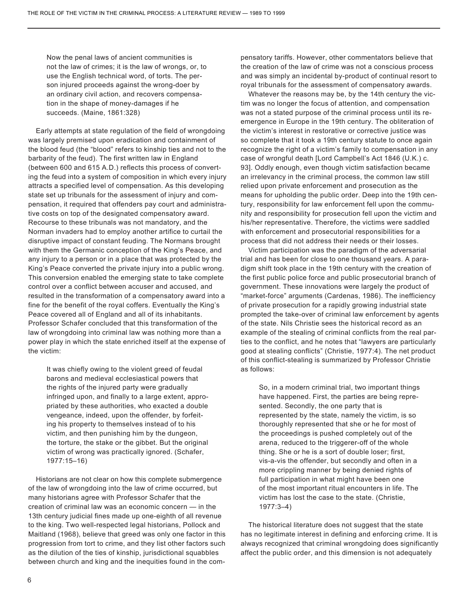Now the penal laws of ancient communities is not the law of crimes; it is the law of wrongs, or, to use the English technical word, of torts. The person injured proceeds against the wrong-doer by an ordinary civil action, and recovers compensation in the shape of money-damages if he succeeds. (Maine, 1861:328)

Early attempts at state regulation of the field of wrongdoing was largely premised upon eradication and containment of the blood feud (the "blood" refers to kinship ties and not to the barbarity of the feud). The first written law in England (between 600 and 615 A.D.) reflects this process of converting the feud into a system of composition in which every injury attracts a specified level of compensation. As this developing state set up tribunals for the assessment of injury and compensation, it required that offenders pay court and administrative costs on top of the designated compensatory award. Recourse to these tribunals was not mandatory, and the Norman invaders had to employ another artifice to curtail the disruptive impact of constant feuding. The Normans brought with them the Germanic conception of the King's Peace, and any injury to a person or in a place that was protected by the King's Peace converted the private injury into a public wrong. This conversion enabled the emerging state to take complete control over a conflict between accuser and accused, and resulted in the transformation of a compensatory award into a fine for the benefit of the royal coffers. Eventually the King's Peace covered all of England and all of its inhabitants. Professor Schafer concluded that this transformation of the law of wrongdoing into criminal law was nothing more than a power play in which the state enriched itself at the expense of the victim:

It was chiefly owing to the violent greed of feudal barons and medieval ecclesiastical powers that the rights of the injured party were gradually infringed upon, and finally to a large extent, appropriated by these authorities, who exacted a double vengeance, indeed, upon the offender, by forfeiting his property to themselves instead of to his victim, and then punishing him by the dungeon, the torture, the stake or the gibbet. But the original victim of wrong was practically ignored. (Schafer, 1977:15–16)

Historians are not clear on how this complete submergence of the law of wrongdoing into the law of crime occurred, but many historians agree with Professor Schafer that the creation of criminal law was an economic concern — in the 13th century judicial fines made up one-eighth of all revenue to the king. Two well-respected legal historians, Pollock and Maitland (1968), believe that greed was only one factor in this progression from tort to crime, and they list other factors such as the dilution of the ties of kinship, jurisdictional squabbles between church and king and the inequities found in the compensatory tariffs. However, other commentators believe that the creation of the law of crime was not a conscious process and was simply an incidental by-product of continual resort to royal tribunals for the assessment of compensatory awards.

Whatever the reasons may be, by the 14th century the victim was no longer the focus of attention, and compensation was not a stated purpose of the criminal process until its reemergence in Europe in the 19th century. The obliteration of the victim's interest in restorative or corrective justice was so complete that it took a 19th century statute to once again recognize the right of a victim's family to compensation in any case of wrongful death [Lord Campbell's Act 1846 (U.K.) c. 93]. Oddly enough, even though victim satisfaction became an irrelevancy in the criminal process, the common law still relied upon private enforcement and prosecution as the means for upholding the public order. Deep into the 19th century, responsibility for law enforcement fell upon the community and responsibility for prosecution fell upon the victim and his/her representative. Therefore, the victims were saddled with enforcement and prosecutorial responsibilities for a process that did not address their needs or their losses.

Victim participation was the paradigm of the adversarial trial and has been for close to one thousand years. A paradigm shift took place in the 19th century with the creation of the first public police force and public prosecutorial branch of government. These innovations were largely the product of "market-force" arguments (Cardenas, 1986). The inefficiency of private prosecution for a rapidly growing industrial state prompted the take-over of criminal law enforcement by agents of the state. Nils Christie sees the historical record as an example of the stealing of criminal conflicts from the real parties to the conflict, and he notes that "lawyers are particularly good at stealing conflicts" (Christie, 1977:4). The net product of this conflict-stealing is summarized by Professor Christie as follows:

So, in a modern criminal trial, two important things have happened. First, the parties are being represented. Secondly, the one party that is represented by the state, namely the victim, is so thoroughly represented that she or he for most of the proceedings is pushed completely out of the arena, reduced to the triggerer-off of the whole thing. She or he is a sort of double loser; first, vis-a-vis the offender, but secondly and often in a more crippling manner by being denied rights of full participation in what might have been one of the most important ritual encounters in life. The victim has lost the case to the state. (Christie, 1977:3–4)

The historical literature does not suggest that the state has no legitimate interest in defining and enforcing crime. It is always recognized that criminal wrongdoing does significantly affect the public order, and this dimension is not adequately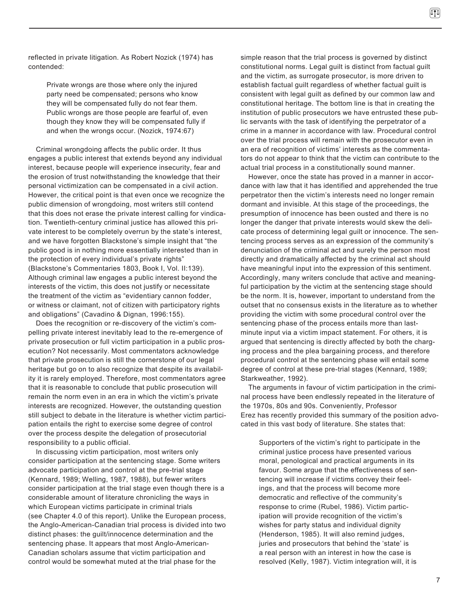reflected in private litigation. As Robert Nozick (1974) has contended:

Private wrongs are those where only the injured party need be compensated; persons who know they will be compensated fully do not fear them. Public wrongs are those people are fearful of, even though they know they will be compensated fully if and when the wrongs occur. (Nozick, 1974:67)

Criminal wrongdoing affects the public order. It thus engages a public interest that extends beyond any individual interest, because people will experience insecurity, fear and the erosion of trust notwithstanding the knowledge that their personal victimization can be compensated in a civil action. However, the critical point is that even once we recognize the public dimension of wrongdoing, most writers still contend that this does not erase the private interest calling for vindication. Twentieth-century criminal justice has allowed this private interest to be completely overrun by the state's interest, and we have forgotten Blackstone's simple insight that "the public good is in nothing more essentially interested than in the protection of every individual's private rights" (Blackstone's Commentaries 1803, Book I, Vol. II:139). Although criminal law engages a public interest beyond the interests of the victim, this does not justify or necessitate the treatment of the victim as "evidentiary cannon fodder, or witness or claimant, not of citizen with participatory rights and obligations" (Cavadino & Dignan, 1996:155).

Does the recognition or re-discovery of the victim's compelling private interest inevitably lead to the re-emergence of private prosecution or full victim participation in a public prosecution? Not necessarily. Most commentators acknowledge that private prosecution is still the cornerstone of our legal heritage but go on to also recognize that despite its availability it is rarely employed. Therefore, most commentators agree that it is reasonable to conclude that public prosecution will remain the norm even in an era in which the victim's private interests are recognized. However, the outstanding question still subject to debate in the literature is whether victim participation entails the right to exercise some degree of control over the process despite the delegation of prosecutorial responsibility to a public official.

In discussing victim participation, most writers only consider participation at the sentencing stage. Some writers advocate participation and control at the pre-trial stage (Kennard, 1989; Welling, 1987, 1988), but fewer writers consider participation at the trial stage even though there is a considerable amount of literature chronicling the ways in which European victims participate in criminal trials (see Chapter 4.0 of this report). Unlike the European process, the Anglo-American-Canadian trial process is divided into two distinct phases: the guilt/innocence determination and the sentencing phase. It appears that most Anglo-American-Canadian scholars assume that victim participation and control would be somewhat muted at the trial phase for the

simple reason that the trial process is governed by distinct constitutional norms. Legal guilt is distinct from factual guilt and the victim, as surrogate prosecutor, is more driven to establish factual guilt regardless of whether factual guilt is consistent with legal guilt as defined by our common law and constitutional heritage. The bottom line is that in creating the institution of public prosecutors we have entrusted these public servants with the task of identifying the perpetrator of a crime in a manner in accordance with law. Procedural control over the trial process will remain with the prosecutor even in an era of recognition of victims' interests as the commentators do not appear to think that the victim can contribute to the actual trial process in a constitutionally sound manner.

However, once the state has proved in a manner in accordance with law that it has identified and apprehended the true perpetrator then the victim's interests need no longer remain dormant and invisible. At this stage of the proceedings, the presumption of innocence has been ousted and there is no longer the danger that private interests would skew the delicate process of determining legal guilt or innocence. The sentencing process serves as an expression of the community's denunciation of the criminal act and surely the person most directly and dramatically affected by the criminal act should have meaningful input into the expression of this sentiment. Accordingly, many writers conclude that active and meaningful participation by the victim at the sentencing stage should be the norm. It is, however, important to understand from the outset that no consensus exists in the literature as to whether providing the victim with some procedural control over the sentencing phase of the process entails more than lastminute input via a victim impact statement. For others, it is argued that sentencing is directly affected by both the charging process and the plea bargaining process, and therefore procedural control at the sentencing phase will entail some degree of control at these pre-trial stages (Kennard, 1989; Starkweather, 1992).

The arguments in favour of victim participation in the criminal process have been endlessly repeated in the literature of the 1970s, 80s and 90s. Conveniently, Professor Erez has recently provided this summary of the position advocated in this vast body of literature. She states that:

Supporters of the victim's right to participate in the criminal justice process have presented various moral, penological and practical arguments in its favour. Some argue that the effectiveness of sentencing will increase if victims convey their feelings, and that the process will become more democratic and reflective of the community's response to crime (Rubel, 1986). Victim participation will provide recognition of the victim's wishes for party status and individual dignity (Henderson, 1985). It will also remind judges, juries and prosecutors that behind the 'state' is a real person with an interest in how the case is resolved (Kelly, 1987). Victim integration will, it is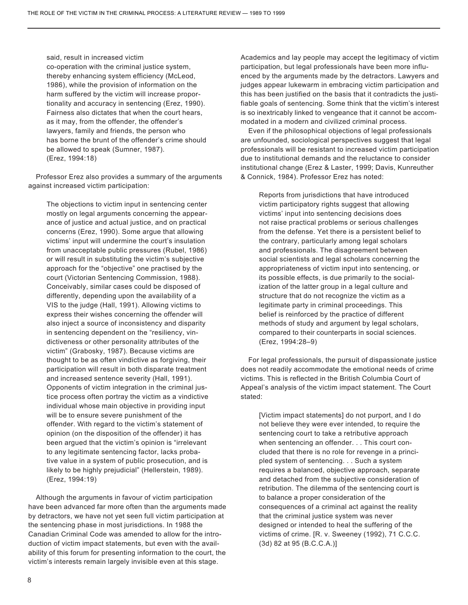said, result in increased victim co-operation with the criminal justice system, thereby enhancing system efficiency (McLeod, 1986), while the provision of information on the harm suffered by the victim will increase proportionality and accuracy in sentencing (Erez, 1990). Fairness also dictates that when the court hears, as it may, from the offender, the offender's lawyers, family and friends, the person who has borne the brunt of the offender's crime should be allowed to speak (Sumner, 1987). (Erez, 1994:18)

Professor Erez also provides a summary of the arguments against increased victim participation:

The objections to victim input in sentencing center mostly on legal arguments concerning the appearance of justice and actual justice, and on practical concerns (Erez, 1990). Some argue that allowing victims' input will undermine the court's insulation from unacceptable public pressures (Rubel, 1986) or will result in substituting the victim's subjective approach for the "objective" one practised by the court (Victorian Sentencing Commission, 1988). Conceivably, similar cases could be disposed of differently, depending upon the availability of a VIS to the judge (Hall, 1991). Allowing victims to express their wishes concerning the offender will also inject a source of inconsistency and disparity in sentencing dependent on the "resiliency, vindictiveness or other personality attributes of the victim" (Grabosky, 1987). Because victims are thought to be as often vindictive as forgiving, their participation will result in both disparate treatment and increased sentence severity (Hall, 1991). Opponents of victim integration in the criminal justice process often portray the victim as a vindictive individual whose main objective in providing input will be to ensure severe punishment of the offender. With regard to the victim's statement of opinion (on the disposition of the offender) it has been argued that the victim's opinion is "irrelevant to any legitimate sentencing factor, lacks probative value in a system of public prosecution, and is likely to be highly prejudicial" (Hellerstein, 1989). (Erez, 1994:19)

Although the arguments in favour of victim participation have been advanced far more often than the arguments made by detractors, we have not yet seen full victim participation at the sentencing phase in most jurisdictions. In 1988 the Canadian Criminal Code was amended to allow for the introduction of victim impact statements, but even with the availability of this forum for presenting information to the court, the victim's interests remain largely invisible even at this stage.

Academics and lay people may accept the legitimacy of victim participation, but legal professionals have been more influenced by the arguments made by the detractors. Lawyers and judges appear lukewarm in embracing victim participation and this has been justified on the basis that it contradicts the justifiable goals of sentencing. Some think that the victim's interest is so inextricably linked to vengeance that it cannot be accommodated in a modern and civilized criminal process.

Even if the philosophical objections of legal professionals are unfounded, sociological perspectives suggest that legal professionals will be resistant to increased victim participation due to institutional demands and the reluctance to consider institutional change (Erez & Laster, 1999; Davis, Kunreuther & Connick, 1984). Professor Erez has noted:

Reports from jurisdictions that have introduced victim participatory rights suggest that allowing victims' input into sentencing decisions does not raise practical problems or serious challenges from the defense. Yet there is a persistent belief to the contrary, particularly among legal scholars and professionals. The disagreement between social scientists and legal scholars concerning the appropriateness of victim input into sentencing, or its possible effects, is due primarily to the socialization of the latter group in a legal culture and structure that do not recognize the victim as a legitimate party in criminal proceedings. This belief is reinforced by the practice of different methods of study and argument by legal scholars, compared to their counterparts in social sciences. (Erez, 1994:28–9)

For legal professionals, the pursuit of dispassionate justice does not readily accommodate the emotional needs of crime victims. This is reflected in the British Columbia Court of Appeal's analysis of the victim impact statement. The Court stated:

[Victim impact statements] do not purport, and I do not believe they were ever intended, to require the sentencing court to take a retributive approach when sentencing an offender. . . This court concluded that there is no role for revenge in a principled system of sentencing. . . Such a system requires a balanced, objective approach, separate and detached from the subjective consideration of retribution. The dilemma of the sentencing court is to balance a proper consideration of the consequences of a criminal act against the reality that the criminal justice system was never designed or intended to heal the suffering of the victims of crime. [R. v. Sweeney (1992), 71 C.C.C. (3d) 82 at 95 (B.C.C.A.)]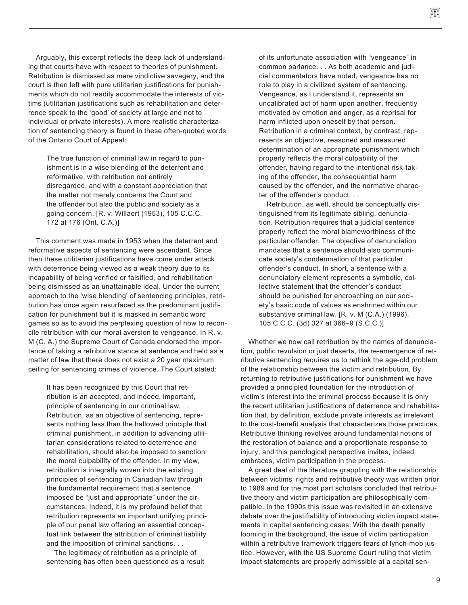Arguably, this excerpt reflects the deep lack of understanding that courts have with respect to theories of punishment. Retribution is dismissed as mere vindictive savagery, and the court is then left with pure utilitarian justifications for punishments which do not readily accommodate the interests of victims (utilitarian justifications such as rehabilitation and deterrence speak to the 'good' of society at large and not to individual or private interests). A more realistic characterization of sentencing theory is found in these often-quoted words of the Ontario Court of Appeal:

The true function of criminal law in regard to punishment is in a wise blending of the deterrent and reformative, with retribution not entirely disregarded, and with a constant appreciation that the matter not merely concerns the Court and the offender but also the public and society as a going concern. [R. v. Willaert (1953), 105 C.C.C. 172 at 176 (Ont. C.A.)]

This comment was made in 1953 when the deterrent and reformative aspects of sentencing were ascendant. Since then these utilitarian justifications have come under attack with deterrence being viewed as a weak theory due to its incapability of being verified or falsified, and rehabilitation being dismissed as an unattainable ideal. Under the current approach to the 'wise blending' of sentencing principles, retribution has once again resurfaced as the predominant justification for punishment but it is masked in semantic word games so as to avoid the perplexing question of how to reconcile retribution with our moral aversion to vengeance. In R. v. M (C. A.) the Supreme Court of Canada endorsed the importance of taking a retributive stance at sentence and held as a matter of law that there does not exist a 20 year maximum ceiling for sentencing crimes of violence. The Court stated:

It has been recognized by this Court that retribution is an accepted, and indeed, important, principle of sentencing in our criminal law. . . Retribution, as an objective of sentencing, represents nothing less than the hallowed principle that criminal punishment, in addition to advancing utilitarian considerations related to deterrence and rehabilitation, should also be imposed to sanction the moral culpability of the offender. In my view, retribution is integrally woven into the existing principles of sentencing in Canadian law through the fundamental requirement that a sentence imposed be "just and appropriate" under the circumstances. Indeed, it is my profound belief that retribution represents an important unifying principle of our penal law offering an essential conceptual link between the attribution of criminal liability and the imposition of criminal sanctions. . .

The legitimacy of retribution as a principle of sentencing has often been questioned as a result of its unfortunate association with "vengeance" in common parlance. . . As both academic and judicial commentators have noted, vengeance has no role to play in a civilized system of sentencing. Vengeance, as I understand it, represents an uncalibrated act of harm upon another, frequently motivated by emotion and anger, as a reprisal for harm inflicted upon oneself by that person. Retribution in a criminal context, by contrast, represents an objective, reasoned and measured determination of an appropriate punishment which properly reflects the moral culpability of the offender, having regard to the intentional risk-taking of the offender, the consequential harm caused by the offender, and the normative character of the offender's conduct. . .

Retribution, as well, should be conceptually distinguished from its legitimate sibling, denunciation. Retribution requires that a judicial sentence properly reflect the moral blameworthiness of the particular offender. The objective of denunciation mandates that a sentence should also communicate society's condemnation of that particular offender's conduct. In short, a sentence with a denunciatory element represents a symbolic, collective statement that the offender's conduct should be punished for encroaching on our society's basic code of values as enshrined within our substantive criminal law. [R. v. M (C.A.) (1996), 105 C.C.C. (3d) 327 at 366–9 (S.C.C.)]

Whether we now call retribution by the names of denunciation, public revulsion or just deserts, the re-emergence of retributive sentencing requires us to rethink the age-old problem of the relationship between the victim and retribution. By returning to retributive justifications for punishment we have provided a principled foundation for the introduction of victim's interest into the criminal process because it is only the recent utilitarian justifications of deterrence and rehabilitation that, by definition, exclude private interests as irrelevant to the cost-benefit analysis that characterizes those practices. Retributive thinking revolves around fundamental notions of the restoration of balance and a proportionate response to injury, and this penological perspective invites, indeed embraces, victim participation in the process.

A great deal of the literature grappling with the relationship between victims' rights and retributive theory was written prior to 1989 and for the most part scholars concluded that retributive theory and victim participation are philosophically compatible. In the 1990s this issue was revisited in an extensive debate over the justifiability of introducing victim impact statements in capital sentencing cases. With the death penalty looming in the background, the issue of victim participation within a retributive framework triggers fears of lynch-mob justice. However, with the US Supreme Court ruling that victim impact statements are properly admissible at a capital sen-

9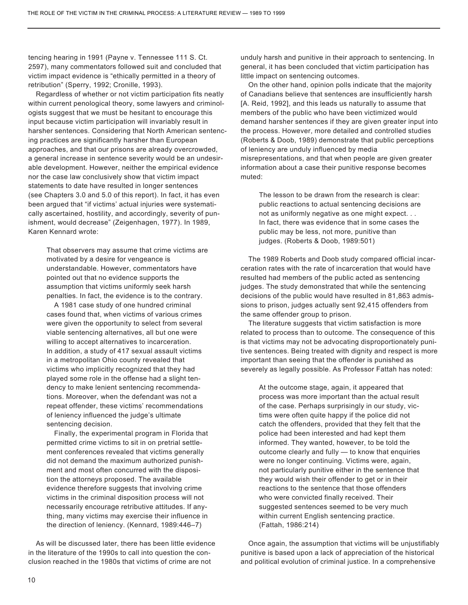tencing hearing in 1991 (Payne v. Tennessee 111 S. Ct. 2597), many commentators followed suit and concluded that victim impact evidence is "ethically permitted in a theory of retribution" (Sperry, 1992; Cronille, 1993).

Regardless of whether or not victim participation fits neatly within current penological theory, some lawyers and criminologists suggest that we must be hesitant to encourage this input because victim participation will invariably result in harsher sentences. Considering that North American sentencing practices are significantly harsher than European approaches, and that our prisons are already overcrowded, a general increase in sentence severity would be an undesirable development. However, neither the empirical evidence nor the case law conclusively show that victim impact statements to date have resulted in longer sentences (see Chapters 3.0 and 5.0 of this report). In fact, it has even been argued that "if victims' actual injuries were systematically ascertained, hostility, and accordingly, severity of punishment, would decrease" (Zeigenhagen, 1977). In 1989, Karen Kennard wrote:

That observers may assume that crime victims are motivated by a desire for vengeance is understandable. However, commentators have pointed out that no evidence supports the assumption that victims uniformly seek harsh penalties. In fact, the evidence is to the contrary.

A 1981 case study of one hundred criminal cases found that, when victims of various crimes were given the opportunity to select from several viable sentencing alternatives, all but one were willing to accept alternatives to incarceration. In addition, a study of 417 sexual assault victims in a metropolitan Ohio county revealed that victims who implicitly recognized that they had played some role in the offense had a slight tendency to make lenient sentencing recommendations. Moreover, when the defendant was not a repeat offender, these victims' recommendations of leniency influenced the judge's ultimate sentencing decision.

Finally, the experimental program in Florida that permitted crime victims to sit in on pretrial settlement conferences revealed that victims generally did not demand the maximum authorized punishment and most often concurred with the disposition the attorneys proposed. The available evidence therefore suggests that involving crime victims in the criminal disposition process will not necessarily encourage retributive attitudes. If anything, many victims may exercise their influence in the direction of leniency. (Kennard, 1989:446–7)

As will be discussed later, there has been little evidence in the literature of the 1990s to call into question the conclusion reached in the 1980s that victims of crime are not

unduly harsh and punitive in their approach to sentencing. In general, it has been concluded that victim participation has little impact on sentencing outcomes.

On the other hand, opinion polls indicate that the majority of Canadians believe that sentences are insufficiently harsh [A. Reid, 1992], and this leads us naturally to assume that members of the public who have been victimized would demand harsher sentences if they are given greater input into the process. However, more detailed and controlled studies (Roberts & Doob, 1989) demonstrate that public perceptions of leniency are unduly influenced by media misrepresentations, and that when people are given greater information about a case their punitive response becomes muted:

The lesson to be drawn from the research is clear: public reactions to actual sentencing decisions are not as uniformly negative as one might expect. . . In fact, there was evidence that in some cases the public may be less, not more, punitive than judges. (Roberts & Doob, 1989:501)

The 1989 Roberts and Doob study compared official incarceration rates with the rate of incarceration that would have resulted had members of the public acted as sentencing judges. The study demonstrated that while the sentencing decisions of the public would have resulted in 81,863 admissions to prison, judges actually sent 92,415 offenders from the same offender group to prison.

The literature suggests that victim satisfaction is more related to process than to outcome. The consequence of this is that victims may not be advocating disproportionately punitive sentences. Being treated with dignity and respect is more important than seeing that the offender is punished as severely as legally possible. As Professor Fattah has noted:

At the outcome stage, again, it appeared that process was more important than the actual result of the case. Perhaps surprisingly in our study, victims were often quite happy if the police did not catch the offenders, provided that they felt that the police had been interested and had kept them informed. They wanted, however, to be told the outcome clearly and fully — to know that enquiries were no longer continuing. Victims were, again, not particularly punitive either in the sentence that they would wish their offender to get or in their reactions to the sentence that those offenders who were convicted finally received. Their suggested sentences seemed to be very much within current English sentencing practice. (Fattah, 1986:214)

Once again, the assumption that victims will be unjustifiably punitive is based upon a lack of appreciation of the historical and political evolution of criminal justice. In a comprehensive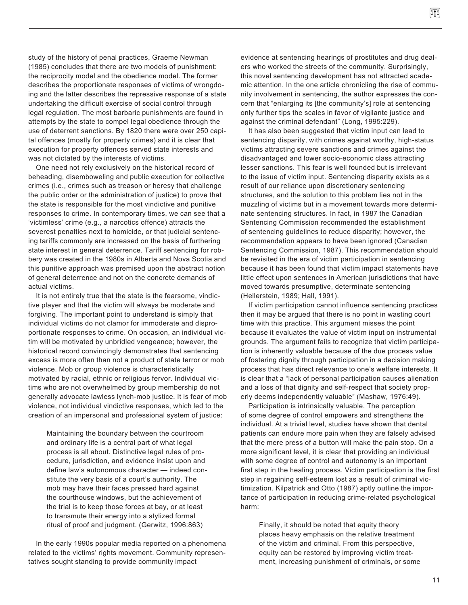study of the history of penal practices, Graeme Newman (1985) concludes that there are two models of punishment: the reciprocity model and the obedience model. The former describes the proportionate responses of victims of wrongdoing and the latter describes the repressive response of a state undertaking the difficult exercise of social control through legal regulation. The most barbaric punishments are found in attempts by the state to compel legal obedience through the use of deterrent sanctions. By 1820 there were over 250 capital offences (mostly for property crimes) and it is clear that execution for property offences served state interests and was not dictated by the interests of victims.

One need not rely exclusively on the historical record of beheading, disemboweling and public execution for collective crimes (i.e., crimes such as treason or heresy that challenge the public order or the administration of justice) to prove that the state is responsible for the most vindictive and punitive responses to crime. In contemporary times, we can see that a 'victimless' crime (e.g., a narcotics offence) attracts the severest penalties next to homicide, or that judicial sentencing tariffs commonly are increased on the basis of furthering state interest in general deterrence. Tariff sentencing for robbery was created in the 1980s in Alberta and Nova Scotia and this punitive approach was premised upon the abstract notion of general deterrence and not on the concrete demands of actual victims.

It is not entirely true that the state is the fearsome, vindictive player and that the victim will always be moderate and forgiving. The important point to understand is simply that individual victims do not clamor for immoderate and disproportionate responses to crime. On occasion, an individual victim will be motivated by unbridled vengeance; however, the historical record convincingly demonstrates that sentencing excess is more often than not a product of state terror or mob violence. Mob or group violence is characteristically motivated by racial, ethnic or religious fervor. Individual victims who are not overwhelmed by group membership do not generally advocate lawless lynch-mob justice. It is fear of mob violence, not individual vindictive responses, which led to the creation of an impersonal and professional system of justice:

Maintaining the boundary between the courtroom and ordinary life is a central part of what legal process is all about. Distinctive legal rules of procedure, jurisdiction, and evidence insist upon and define law's autonomous character — indeed constitute the very basis of a court's authority. The mob may have their faces pressed hard against the courthouse windows, but the achievement of the trial is to keep those forces at bay, or at least to transmute their energy into a stylized formal ritual of proof and judgment. (Gerwitz, 1996:863)

In the early 1990s popular media reported on a phenomena related to the victims' rights movement. Community representatives sought standing to provide community impact

evidence at sentencing hearings of prostitutes and drug dealers who worked the streets of the community. Surprisingly, this novel sentencing development has not attracted academic attention. In the one article chronicling the rise of community involvement in sentencing, the author expresses the concern that "enlarging its [the community's] role at sentencing only further tips the scales in favor of vigilante justice and against the criminal defendant" (Long, 1995:229).

It has also been suggested that victim input can lead to sentencing disparity, with crimes against worthy, high-status victims attracting severe sanctions and crimes against the disadvantaged and lower socio-economic class attracting lesser sanctions. This fear is well founded but is irrelevant to the issue of victim input. Sentencing disparity exists as a result of our reliance upon discretionary sentencing structures, and the solution to this problem lies not in the muzzling of victims but in a movement towards more determinate sentencing structures. In fact, in 1987 the Canadian Sentencing Commission recommended the establishment of sentencing guidelines to reduce disparity; however, the recommendation appears to have been ignored (Canadian Sentencing Commission, 1987). This recommendation should be revisited in the era of victim participation in sentencing because it has been found that victim impact statements have little effect upon sentences in American jurisdictions that have moved towards presumptive, determinate sentencing (Hellerstein, 1989; Hall, 1991).

If victim participation cannot influence sentencing practices then it may be argued that there is no point in wasting court time with this practice. This argument misses the point because it evaluates the value of victim input on instrumental grounds. The argument fails to recognize that victim participation is inherently valuable because of the due process value of fostering dignity through participation in a decision making process that has direct relevance to one's welfare interests. It is clear that a "lack of personal participation causes alienation and a loss of that dignity and self-respect that society properly deems independently valuable" (Mashaw, 1976:49).

Participation is intrinsically valuable. The perception of some degree of control empowers and strengthens the individual. At a trivial level, studies have shown that dental patients can endure more pain when they are falsely advised that the mere press of a button will make the pain stop. On a more significant level, it is clear that providing an individual with some degree of control and autonomy is an important first step in the healing process. Victim participation is the first step in regaining self-esteem lost as a result of criminal victimization. Kilpatrick and Otto (1987) aptly outline the importance of participation in reducing crime-related psychological harm:

Finally, it should be noted that equity theory places heavy emphasis on the relative treatment of the victim and criminal. From this perspective, equity can be restored by improving victim treatment, increasing punishment of criminals, or some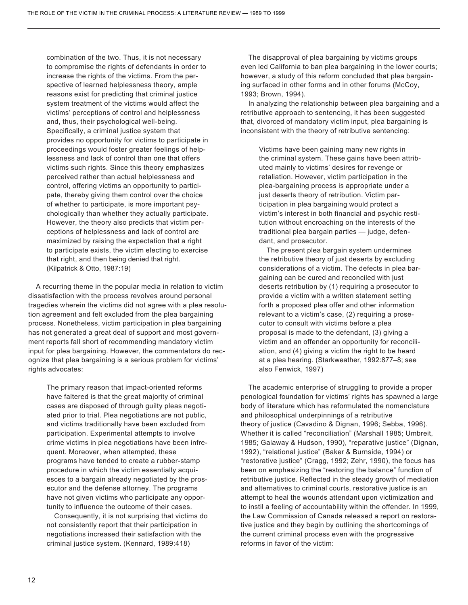combination of the two. Thus, it is not necessary to compromise the rights of defendants in order to increase the rights of the victims. From the perspective of learned helplessness theory, ample reasons exist for predicting that criminal justice system treatment of the victims would affect the victims' perceptions of control and helplessness and, thus, their psychological well-being. Specifically, a criminal justice system that provides no opportunity for victims to participate in proceedings would foster greater feelings of helplessness and lack of control than one that offers victims such rights. Since this theory emphasizes perceived rather than actual helplessness and control, offering victims an opportunity to participate, thereby giving them control over the choice of whether to participate, is more important psychologically than whether they actually participate. However, the theory also predicts that victim perceptions of helplessness and lack of control are maximized by raising the expectation that a right to participate exists, the victim electing to exercise that right, and then being denied that right. (Kilpatrick & Otto, 1987:19)

A recurring theme in the popular media in relation to victim dissatisfaction with the process revolves around personal tragedies wherein the victims did not agree with a plea resolution agreement and felt excluded from the plea bargaining process. Nonetheless, victim participation in plea bargaining has not generated a great deal of support and most government reports fall short of recommending mandatory victim input for plea bargaining. However, the commentators do recognize that plea bargaining is a serious problem for victims' rights advocates:

The primary reason that impact-oriented reforms have faltered is that the great majority of criminal cases are disposed of through guilty pleas negotiated prior to trial. Plea negotiations are not public, and victims traditionally have been excluded from participation. Experimental attempts to involve crime victims in plea negotiations have been infrequent. Moreover, when attempted, these programs have tended to create a rubber-stamp procedure in which the victim essentially acquiesces to a bargain already negotiated by the prosecutor and the defense attorney. The programs have not given victims who participate any opportunity to influence the outcome of their cases.

Consequently, it is not surprising that victims do not consistently report that their participation in negotiations increased their satisfaction with the criminal justice system. (Kennard, 1989:418)

The disapproval of plea bargaining by victims groups even led California to ban plea bargaining in the lower courts; however, a study of this reform concluded that plea bargaining surfaced in other forms and in other forums (McCoy, 1993; Brown, 1994).

In analyzing the relationship between plea bargaining and a retributive approach to sentencing, it has been suggested that, divorced of mandatory victim input, plea bargaining is inconsistent with the theory of retributive sentencing:

Victims have been gaining many new rights in the criminal system. These gains have been attributed mainly to victims' desires for revenge or retaliation. However, victim participation in the plea-bargaining process is appropriate under a just deserts theory of retribution. Victim participation in plea bargaining would protect a victim's interest in both financial and psychic restitution without encroaching on the interests of the traditional plea bargain parties — judge, defendant, and prosecutor.

The present plea bargain system undermines the retributive theory of just deserts by excluding considerations of a victim. The defects in plea bargaining can be cured and reconciled with just deserts retribution by (1) requiring a prosecutor to provide a victim with a written statement setting forth a proposed plea offer and other information relevant to a victim's case, (2) requiring a prosecutor to consult with victims before a plea proposal is made to the defendant, (3) giving a victim and an offender an opportunity for reconciliation, and (4) giving a victim the right to be heard at a plea hearing. (Starkweather, 1992:877–8; see also Fenwick, 1997)

The academic enterprise of struggling to provide a proper penological foundation for victims' rights has spawned a large body of literature which has reformulated the nomenclature and philosophical underpinnings of a retributive theory of justice (Cavadino & Dignan, 1996; Sebba, 1996). Whether it is called "reconciliation" (Marshall 1985; Umbreit, 1985; Galaway & Hudson, 1990), "reparative justice" (Dignan, 1992), "relational justice" (Baker & Burnside, 1994) or "restorative justice" (Cragg, 1992; Zehr, 1990), the focus has been on emphasizing the "restoring the balance" function of retributive justice. Reflected in the steady growth of mediation and alternatives to criminal courts, restorative justice is an attempt to heal the wounds attendant upon victimization and to instil a feeling of accountability within the offender. In 1999, the Law Commission of Canada released a report on restorative justice and they begin by outlining the shortcomings of the current criminal process even with the progressive reforms in favor of the victim: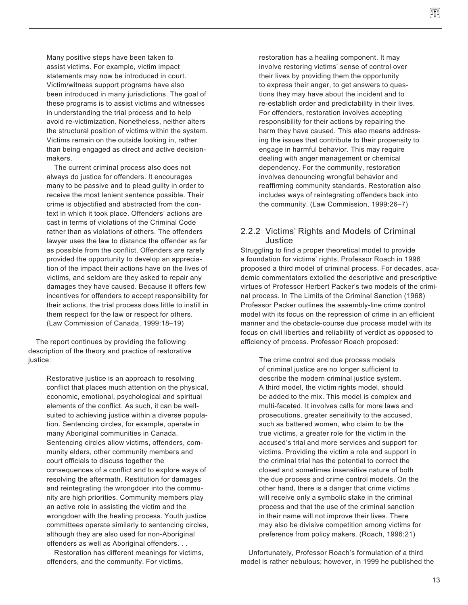Many positive steps have been taken to assist victims. For example, victim impact statements may now be introduced in court. Victim/witness support programs have also been introduced in many jurisdictions. The goal of these programs is to assist victims and witnesses in understanding the trial process and to help avoid re-victimization. Nonetheless, neither alters the structural position of victims within the system. Victims remain on the outside looking in, rather than being engaged as direct and active decisionmakers.

The current criminal process also does not always do justice for offenders. It encourages many to be passive and to plead guilty in order to receive the most lenient sentence possible. Their crime is objectified and abstracted from the context in which it took place. Offenders' actions are cast in terms of violations of the Criminal Code rather than as violations of others. The offenders lawyer uses the law to distance the offender as far as possible from the conflict. Offenders are rarely provided the opportunity to develop an appreciation of the impact their actions have on the lives of victims, and seldom are they asked to repair any damages they have caused. Because it offers few incentives for offenders to accept responsibility for their actions, the trial process does little to instill in them respect for the law or respect for others. (Law Commission of Canada, 1999:18–19)

The report continues by providing the following description of the theory and practice of restorative justice:

> Restorative justice is an approach to resolving conflict that places much attention on the physical, economic, emotional, psychological and spiritual elements of the conflict. As such, it can be wellsuited to achieving justice within a diverse population. Sentencing circles, for example, operate in many Aboriginal communities in Canada. Sentencing circles allow victims, offenders, community elders, other community members and court officials to discuss together the consequences of a conflict and to explore ways of resolving the aftermath. Restitution for damages and reintegrating the wrongdoer into the community are high priorities. Community members play an active role in assisting the victim and the wrongdoer with the healing process. Youth justice committees operate similarly to sentencing circles, although they are also used for non-Aboriginal offenders as well as Aboriginal offenders. . .

Restoration has different meanings for victims, offenders, and the community. For victims,

restoration has a healing component. It may involve restoring victims' sense of control over their lives by providing them the opportunity to express their anger, to get answers to questions they may have about the incident and to re-establish order and predictability in their lives. For offenders, restoration involves accepting responsibility for their actions by repairing the harm they have caused. This also means addressing the issues that contribute to their propensity to engage in harmful behavior. This may require dealing with anger management or chemical dependency. For the community, restoration involves denouncing wrongful behavior and reaffirming community standards. Restoration also includes ways of reintegrating offenders back into the community. (Law Commission, 1999:26–7)

## 2.2.2 Victims' Rights and Models of Criminal **Justice**

Struggling to find a proper theoretical model to provide a foundation for victims' rights, Professor Roach in 1996 proposed a third model of criminal process. For decades, academic commentators extolled the descriptive and prescriptive virtues of Professor Herbert Packer's two models of the criminal process. In The Limits of the Criminal Sanction (1968) Professor Packer outlines the assembly-line crime control model with its focus on the repression of crime in an efficient manner and the obstacle-course due process model with its focus on civil liberties and reliability of verdict as opposed to efficiency of process. Professor Roach proposed:

The crime control and due process models of criminal justice are no longer sufficient to describe the modern criminal justice system. A third model, the victim rights model, should be added to the mix. This model is complex and multi-faceted. It involves calls for more laws and prosecutions, greater sensitivity to the accused, such as battered women, who claim to be the true victims, a greater role for the victim in the accused's trial and more services and support for victims. Providing the victim a role and support in the criminal trial has the potential to correct the closed and sometimes insensitive nature of both the due process and crime control models. On the other hand, there is a danger that crime victims will receive only a symbolic stake in the criminal process and that the use of the criminal sanction in their name will not improve their lives. There may also be divisive competition among victims for preference from policy makers. (Roach, 1996:21)

Unfortunately, Professor Roach's formulation of a third model is rather nebulous; however, in 1999 he published the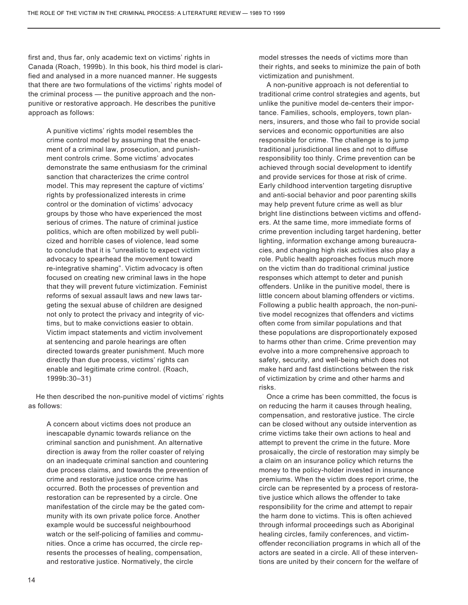first and, thus far, only academic text on victims' rights in Canada (Roach, 1999b). In this book, his third model is clarified and analysed in a more nuanced manner. He suggests that there are two formulations of the victims' rights model of the criminal process — the punitive approach and the nonpunitive or restorative approach. He describes the punitive approach as follows:

A punitive victims' rights model resembles the crime control model by assuming that the enactment of a criminal law, prosecution, and punishment controls crime. Some victims' advocates demonstrate the same enthusiasm for the criminal sanction that characterizes the crime control model. This may represent the capture of victims' rights by professionalized interests in crime control or the domination of victims' advocacy groups by those who have experienced the most serious of crimes. The nature of criminal justice politics, which are often mobilized by well publicized and horrible cases of violence, lead some to conclude that it is "unrealistic to expect victim advocacy to spearhead the movement toward re-integrative shaming". Victim advocacy is often focused on creating new criminal laws in the hope that they will prevent future victimization. Feminist reforms of sexual assault laws and new laws targeting the sexual abuse of children are designed not only to protect the privacy and integrity of victims, but to make convictions easier to obtain. Victim impact statements and victim involvement at sentencing and parole hearings are often directed towards greater punishment. Much more directly than due process, victims' rights can enable and legitimate crime control. (Roach, 1999b:30–31)

He then described the non-punitive model of victims' rights as follows:

A concern about victims does not produce an inescapable dynamic towards reliance on the criminal sanction and punishment. An alternative direction is away from the roller coaster of relying on an inadequate criminal sanction and countering due process claims, and towards the prevention of crime and restorative justice once crime has occurred. Both the processes of prevention and restoration can be represented by a circle. One manifestation of the circle may be the gated community with its own private police force. Another example would be successful neighbourhood watch or the self-policing of families and communities. Once a crime has occurred, the circle represents the processes of healing, compensation, and restorative justice. Normatively, the circle

model stresses the needs of victims more than their rights, and seeks to minimize the pain of both victimization and punishment.

A non-punitive approach is not deferential to traditional crime control strategies and agents, but unlike the punitive model de-centers their importance. Families, schools, employers, town planners, insurers, and those who fail to provide social services and economic opportunities are also responsible for crime. The challenge is to jump traditional jurisdictional lines and not to diffuse responsibility too thinly. Crime prevention can be achieved through social development to identify and provide services for those at risk of crime. Early childhood intervention targeting disruptive and anti-social behavior and poor parenting skills may help prevent future crime as well as blur bright line distinctions between victims and offenders. At the same time, more immediate forms of crime prevention including target hardening, better lighting, information exchange among bureaucracies, and changing high risk activities also play a role. Public health approaches focus much more on the victim than do traditional criminal justice responses which attempt to deter and punish offenders. Unlike in the punitive model, there is little concern about blaming offenders or victims. Following a public health approach, the non-punitive model recognizes that offenders and victims often come from similar populations and that these populations are disproportionately exposed to harms other than crime. Crime prevention may evolve into a more comprehensive approach to safety, security, and well-being which does not make hard and fast distinctions between the risk of victimization by crime and other harms and risks.

Once a crime has been committed, the focus is on reducing the harm it causes through healing, compensation, and restorative justice. The circle can be closed without any outside intervention as crime victims take their own actions to heal and attempt to prevent the crime in the future. More prosaically, the circle of restoration may simply be a claim on an insurance policy which returns the money to the policy-holder invested in insurance premiums. When the victim does report crime, the circle can be represented by a process of restorative justice which allows the offender to take responsibility for the crime and attempt to repair the harm done to victims. This is often achieved through informal proceedings such as Aboriginal healing circles, family conferences, and victimoffender reconciliation programs in which all of the actors are seated in a circle. All of these interventions are united by their concern for the welfare of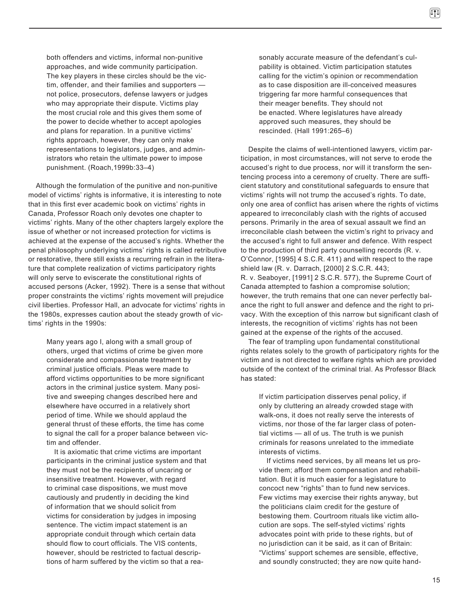both offenders and victims, informal non-punitive approaches, and wide community participation. The key players in these circles should be the victim, offender, and their families and supporters not police, prosecutors, defense lawyers or judges who may appropriate their dispute. Victims play the most crucial role and this gives them some of the power to decide whether to accept apologies and plans for reparation. In a punitive victims' rights approach, however, they can only make representations to legislators, judges, and administrators who retain the ultimate power to impose punishment. (Roach,1999b:33–4)

Although the formulation of the punitive and non-punitive model of victims' rights is informative, it is interesting to note that in this first ever academic book on victims' rights in Canada, Professor Roach only devotes one chapter to victims' rights. Many of the other chapters largely explore the issue of whether or not increased protection for victims is achieved at the expense of the accused's rights. Whether the penal philosophy underlying victims' rights is called retributive or restorative, there still exists a recurring refrain in the literature that complete realization of victims participatory rights will only serve to eviscerate the constitutional rights of accused persons (Acker, 1992). There is a sense that without proper constraints the victims' rights movement will prejudice civil liberties. Professor Hall, an advocate for victims' rights in the 1980s, expresses caution about the steady growth of victims' rights in the 1990s:

Many years ago I, along with a small group of others, urged that victims of crime be given more considerate and compassionate treatment by criminal justice officials. Pleas were made to afford victims opportunities to be more significant actors in the criminal justice system. Many positive and sweeping changes described here and elsewhere have occurred in a relatively short period of time. While we should applaud the general thrust of these efforts, the time has come to signal the call for a proper balance between victim and offender.

It is axiomatic that crime victims are important participants in the criminal justice system and that they must not be the recipients of uncaring or insensitive treatment. However, with regard to criminal case dispositions, we must move cautiously and prudently in deciding the kind of information that we should solicit from victims for consideration by judges in imposing sentence. The victim impact statement is an appropriate conduit through which certain data should flow to court officials. The VIS contents, however, should be restricted to factual descriptions of harm suffered by the victim so that a reasonably accurate measure of the defendant's culpability is obtained. Victim participation statutes calling for the victim's opinion or recommendation as to case disposition are ill-conceived measures triggering far more harmful consequences that their meager benefits. They should not be enacted. Where legislatures have already approved such measures, they should be rescinded. (Hall 1991:265–6)

Despite the claims of well-intentioned lawyers, victim participation, in most circumstances, will not serve to erode the accused's right to due process, nor will it transform the sentencing process into a ceremony of cruelty. There are sufficient statutory and constitutional safeguards to ensure that victims' rights will not trump the accused's rights. To date, only one area of conflict has arisen where the rights of victims appeared to irreconcilably clash with the rights of accused persons. Primarily in the area of sexual assault we find an irreconcilable clash between the victim's right to privacy and the accused's right to full answer and defence. With respect to the production of third party counselling records (R. v. O'Connor, [1995] 4 S.C.R. 411) and with respect to the rape shield law (R. v. Darrach, [2000] 2 S.C.R. 443; R. v. Seaboyer, [1991] 2 S.C.R. 577), the Supreme Court of Canada attempted to fashion a compromise solution; however, the truth remains that one can never perfectly balance the right to full answer and defence and the right to privacy. With the exception of this narrow but significant clash of interests, the recognition of victims' rights has not been gained at the expense of the rights of the accused.

The fear of trampling upon fundamental constitutional rights relates solely to the growth of participatory rights for the victim and is not directed to welfare rights which are provided outside of the context of the criminal trial. As Professor Black has stated:

If victim participation disserves penal policy, if only by cluttering an already crowded stage with walk-ons, it does not really serve the interests of victims, nor those of the far larger class of potential victims — all of us. The truth is we punish criminals for reasons unrelated to the immediate interests of victims.

If victims need services, by all means let us provide them; afford them compensation and rehabilitation. But it is much easier for a legislature to concoct new "rights" than to fund new services. Few victims may exercise their rights anyway, but the politicians claim credit for the gesture of bestowing them. Courtroom rituals like victim allocution are sops. The self-styled victims' rights advocates point with pride to these rights, but of no jurisdiction can it be said, as it can of Britain: "Victims' support schemes are sensible, effective, and soundly constructed; they are now quite hand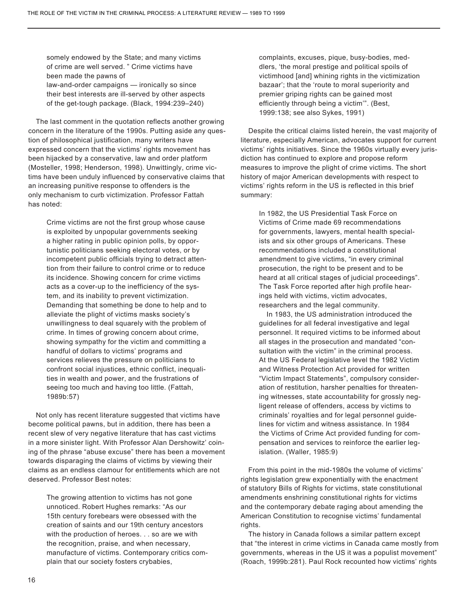somely endowed by the State; and many victims of crime are well served. " Crime victims have been made the pawns of law-and-order campaigns — ironically so since their best interests are ill-served by other aspects of the get-tough package. (Black, 1994:239–240)

The last comment in the quotation reflects another growing concern in the literature of the 1990s. Putting aside any question of philosophical justification, many writers have expressed concern that the victims' rights movement has been hijacked by a conservative, law and order platform (Mosteller, 1998; Henderson, 1998). Unwittingly, crime victims have been unduly influenced by conservative claims that an increasing punitive response to offenders is the only mechanism to curb victimization. Professor Fattah has noted:

Crime victims are not the first group whose cause is exploited by unpopular governments seeking a higher rating in public opinion polls, by opportunistic politicians seeking electoral votes, or by incompetent public officials trying to detract attention from their failure to control crime or to reduce its incidence. Showing concern for crime victims acts as a cover-up to the inefficiency of the system, and its inability to prevent victimization. Demanding that something be done to help and to alleviate the plight of victims masks society's unwillingness to deal squarely with the problem of crime. In times of growing concern about crime, showing sympathy for the victim and committing a handful of dollars to victims' programs and services relieves the pressure on politicians to confront social injustices, ethnic conflict, inequalities in wealth and power, and the frustrations of seeing too much and having too little. (Fattah, 1989b:57)

Not only has recent literature suggested that victims have become political pawns, but in addition, there has been a recent slew of very negative literature that has cast victims in a more sinister light. With Professor Alan Dershowitz' coining of the phrase "abuse excuse" there has been a movement towards disparaging the claims of victims by viewing their claims as an endless clamour for entitlements which are not deserved. Professor Best notes:

The growing attention to victims has not gone unnoticed. Robert Hughes remarks: "As our 15th century forebears were obsessed with the creation of saints and our 19th century ancestors with the production of heroes. . . so are we with the recognition, praise, and when necessary, manufacture of victims. Contemporary critics complain that our society fosters crybabies,

complaints, excuses, pique, busy-bodies, meddlers, 'the moral prestige and political spoils of victimhood [and] whining rights in the victimization bazaar'; that the 'route to moral superiority and premier griping rights can be gained most efficiently through being a victim'". (Best, 1999:138; see also Sykes, 1991)

Despite the critical claims listed herein, the vast majority of literature, especially American, advocates support for current victims' rights initiatives. Since the 1960s virtually every jurisdiction has continued to explore and propose reform measures to improve the plight of crime victims. The short history of major American developments with respect to victims' rights reform in the US is reflected in this brief summary:

In 1982, the US Presidential Task Force on Victims of Crime made 69 recommendations for governments, lawyers, mental health specialists and six other groups of Americans. These recommendations included a constitutional amendment to give victims, "in every criminal prosecution, the right to be present and to be heard at all critical stages of judicial proceedings". The Task Force reported after high profile hearings held with victims, victim advocates, researchers and the legal community.

In 1983, the US administration introduced the guidelines for all federal investigative and legal personnel. It required victims to be informed about all stages in the prosecution and mandated "consultation with the victim" in the criminal process. At the US Federal legislative level the 1982 Victim and Witness Protection Act provided for written "Victim Impact Statements", compulsory consideration of restitution, harsher penalties for threatening witnesses, state accountability for grossly negligent release of offenders, access by victims to criminals' royalties and for legal personnel guidelines for victim and witness assistance. In 1984 the Victims of Crime Act provided funding for compensation and services to reinforce the earlier legislation. (Waller, 1985:9)

From this point in the mid-1980s the volume of victims' rights legislation grew exponentially with the enactment of statutory Bills of Rights for victims, state constitutional amendments enshrining constitutional rights for victims and the contemporary debate raging about amending the American Constitution to recognise victims' fundamental rights.

The history in Canada follows a similar pattern except that "the interest in crime victims in Canada came mostly from governments, whereas in the US it was a populist movement" (Roach, 1999b:281). Paul Rock recounted how victims' rights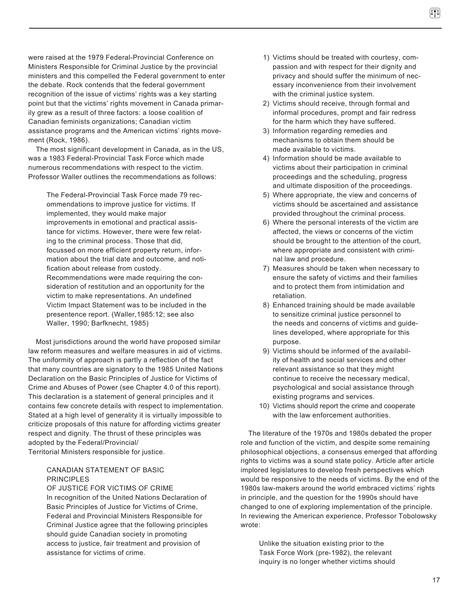were raised at the 1979 Federal-Provincial Conference on Ministers Responsible for Criminal Justice by the provincial ministers and this compelled the Federal government to enter the debate. Rock contends that the federal government recognition of the issue of victims' rights was a key starting point but that the victims' rights movement in Canada primarily grew as a result of three factors: a loose coalition of Canadian feminists organizations; Canadian victim assistance programs and the American victims' rights movement (Rock, 1986).

The most significant development in Canada, as in the US, was a 1983 Federal-Provincial Task Force which made numerous recommendations with respect to the victim. Professor Waller outlines the recommendations as follows:

The Federal-Provincial Task Force made 79 recommendations to improve justice for victims. If implemented, they would make major improvements in emotional and practical assistance for victims. However, there were few relating to the criminal process. Those that did, focussed on more efficient property return, information about the trial date and outcome, and notification about release from custody. Recommendations were made requiring the consideration of restitution and an opportunity for the victim to make representations. An undefined Victim Impact Statement was to be included in the presentence report. (Waller,1985:12; see also Waller, 1990; Barfknecht, 1985)

Most jurisdictions around the world have proposed similar law reform measures and welfare measures in aid of victims. The uniformity of approach is partly a reflection of the fact that many countries are signatory to the 1985 United Nations Declaration on the Basic Principles of Justice for Victims of Crime and Abuses of Power (see Chapter 4.0 of this report). This declaration is a statement of general principles and it contains few concrete details with respect to implementation. Stated at a high level of generality it is virtually impossible to criticize proposals of this nature for affording victims greater respect and dignity. The thrust of these principles was adopted by the Federal/Provincial/ Territorial Ministers responsible for justice.

## CANADIAN STATEMENT OF BASIC PRINCIPLES

OF JUSTICE FOR VICTIMS OF CRIME In recognition of the United Nations Declaration of Basic Principles of Justice for Victims of Crime, Federal and Provincial Ministers Responsible for Criminal Justice agree that the following principles should guide Canadian society in promoting access to justice, fair treatment and provision of assistance for victims of crime.

- 1) Victims should be treated with courtesy, compassion and with respect for their dignity and privacy and should suffer the minimum of necessary inconvenience from their involvement with the criminal justice system.
- 2) Victims should receive, through formal and informal procedures, prompt and fair redress for the harm which they have suffered.
- 3) Information regarding remedies and mechanisms to obtain them should be made available to victims.
- 4) Information should be made available to victims about their participation in criminal proceedings and the scheduling, progress and ultimate disposition of the proceedings.
- 5) Where appropriate, the view and concerns of victims should be ascertained and assistance provided throughout the criminal process.
- 6) Where the personal interests of the victim are affected, the views or concerns of the victim should be brought to the attention of the court, where appropriate and consistent with criminal law and procedure.
- 7) Measures should be taken when necessary to ensure the safety of victims and their families and to protect them from intimidation and retaliation.
- 8) Enhanced training should be made available to sensitize criminal justice personnel to the needs and concerns of victims and guidelines developed, where appropriate for this purpose.
- 9) Victims should be informed of the availability of health and social services and other relevant assistance so that they might continue to receive the necessary medical, psychological and social assistance through existing programs and services.
- 10) Victims should report the crime and cooperate with the law enforcement authorities.

The literature of the 1970s and 1980s debated the proper role and function of the victim, and despite some remaining philosophical objections, a consensus emerged that affording rights to victims was a sound state policy. Article after article implored legislatures to develop fresh perspectives which would be responsive to the needs of victims. By the end of the 1980s law-makers around the world embraced victims' rights in principle, and the question for the 1990s should have changed to one of exploring implementation of the principle. In reviewing the American experience, Professor Tobolowsky wrote:

Unlike the situation existing prior to the Task Force Work (pre-1982), the relevant inquiry is no longer whether victims should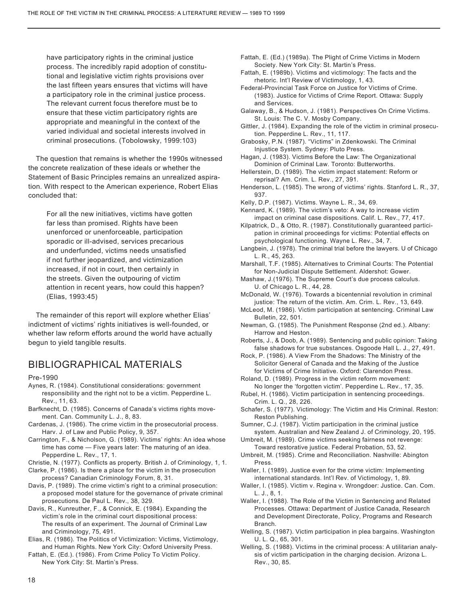have participatory rights in the criminal justice process. The incredibly rapid adoption of constitutional and legislative victim rights provisions over the last fifteen years ensures that victims will have a participatory role in the criminal justice process. The relevant current focus therefore must be to ensure that these victim participatory rights are appropriate and meaningful in the context of the varied individual and societal interests involved in criminal prosecutions. (Tobolowsky, 1999:103)

The question that remains is whether the 1990s witnessed the concrete realization of these ideals or whether the Statement of Basic Principles remains an unrealized aspiration. With respect to the American experience, Robert Elias concluded that:

For all the new initiatives, victims have gotten far less than promised. Rights have been unenforced or unenforceable, participation sporadic or ill-advised, services precarious and underfunded, victims needs unsatisfied if not further jeopardized, and victimization increased, if not in court, then certainly in the streets. Given the outpouring of victim attention in recent years, how could this happen? (Elias, 1993:45)

The remainder of this report will explore whether Elias' indictment of victims' rights initiatives is well-founded, or whether law reform efforts around the world have actually begun to yield tangible results.

# BIBLIOGRAPHICAL MATERIALS

#### Pre-1990

- Aynes, R. (1984). Constitutional considerations: government responsibility and the right not to be a victim. Pepperdine L. Rev., 11, 63.
- Barfknecht, D. (1985). Concerns of Canada's victims rights movement. Can. Community L. J., 8, 83.
- Cardenas, J. (1986). The crime victim in the prosecutorial process. Harv. J. of Law and Public Policy, 9, 357.
- Carrington, F., & Nicholson, G. (1989). Victims' rights: An idea whose time has come — Five years later: The maturing of an idea. Pepperdine L. Rev., 17, 1.
- Christie, N. (1977). Conflicts as property. British J. of Criminology, 1, 1.
- Clarke, P. (1986). Is there a place for the victim in the prosecution process? Canadian Criminology Forum, 8, 31.
- Davis, P. (1989). The crime victim's right to a criminal prosecution: a proposed model stature for the governance of private criminal prosecutions. De Paul L. Rev., 38, 329.
- Davis, R., Kunreuther, F., & Connick, E. (1984). Expanding the victim's role in the criminal court dispositional process: The results of an experiment. The Journal of Criminal Law and Criminology, 75, 491.
- Elias, R. (1986). The Politics of Victimization: Victims, Victimology, and Human Rights. New York City: Oxford University Press.
- Fattah, E. (Ed.). (1986). From Crime Policy To Victim Policy. New York City: St. Martin's Press.
- Fattah, E. (1989b). Victims and victimology: The facts and the rhetoric. Int'l Review of Victimology, 1, 43.
- Federal-Provincial Task Force on Justice for Victims of Crime. (1983). Justice for Victims of Crime Report. Ottawa: Supply and Services.
- Galaway, B., & Hudson, J. (1981). Perspectives On Crime Victims. St. Louis: The C. V. Mosby Company.
- Gittler, J. (1984). Expanding the role of the victim in criminal prosecution. Pepperdine L. Rev., 11, 117.
- Grabosky, P.N. (1987). "Victims" in Zdenkowski. The Criminal Injustice System. Sydney: Pluto Press.
- Hagan, J. (1983). Victims Before the Law: The Organizational Dominion of Criminal Law. Toronto: Butterworths.
- Hellerstein, D. (1989). The victim impact statement: Reform or reprisal? Am. Crim. L. Rev., 27, 391.
- Henderson, L. (1985). The wrong of victims' rights. Stanford L. R., 37, 937.
- Kelly, D.P. (1987). Victims. Wayne L. R., 34, 69.
- Kennard, K. (1989). The victim's veto: A way to increase victim impact on criminal case dispositions. Calif. L. Rev., 77, 417.
- Kilpatrick, D., & Otto, R. (1987). Constitutionally guaranteed participation in criminal proceedings for victims: Potential effects on psychological functioning. Wayne L. Rev., 34, 7.
- Langbein, J. (1978). The criminal trial before the lawyers. U of Chicago L. R., 45, 263.
- Marshall, T.F. (1985). Alternatives to Criminal Courts: The Potential for Non-Judicial Dispute Settlement. Aldershot: Gower.
- Mashaw, J.(1976). The Supreme Court's due process calculus. U. of Chicago L. R., 44, 28.
- McDonald, W. (1976). Towards a bicentennial revolution in criminal justice: The return of the victim. Am. Crim. L. Rev., 13, 649.
- McLeod, M. (1986). Victim participation at sentencing. Criminal Law Bulletin, 22, 501.
- Newman, G. (1985). The Punishment Response (2nd ed.). Albany: Harrow and Heston.
- Roberts, J., & Doob, A. (1989). Sentencing and public opinion: Taking false shadows for true substances. Osgoode Hall L. J., 27, 491.
- Rock, P. (1986). A View From the Shadows: The Ministry of the Solicitor General of Canada and the Making of the Justice for Victims of Crime Initiative. Oxford: Clarendon Press.
- Roland, D. (1989). Progress in the victim reform movement: No longer the 'forgotten victim'. Pepperdine L. Rev., 17, 35.
- Rubel, H. (1986). Victim participation in sentencing proceedings. Crim. L. Q., 28, 226.
- Schafer, S. (1977). Victimology: The Victim and His Criminal. Reston: Reston Publishing.
- Sumner, C.J. (1987). Victim participation in the criminal justice system. Australian and New Zealand J. of Criminology, 20, 195.
- Umbreit, M. (1989). Crime victims seeking fairness not revenge: Toward restorative justice. Federal Probation, 53, 52.
- Umbreit, M. (1985). Crime and Reconciliation. Nashville: Abington Press.
- Waller, I. (1989). Justice even for the crime victim: Implementing international standards. Int'l Rev. of Victimology, 1, 89.
- Waller, I. (1985). Victim v. Regina v. Wrongdoer: Justice. Can. Com. L. J., 8, 1.
- Waller, I. (1988). The Role of the Victim in Sentencing and Related Processes. Ottawa: Department of Justice Canada, Research and Development Directorate, Policy, Programs and Research Branch.
- Welling, S. (1987). Victim participation in plea bargains. Washington U. L. Q., 65, 301.
- Welling, S. (1988). Victims in the criminal process: A utilitarian analysis of victim participation in the charging decision. Arizona L. Rev., 30, 85.

Fattah, E. (Ed.) (1989a). The Plight of Crime Victims in Modern Society. New York City: St. Martin's Press.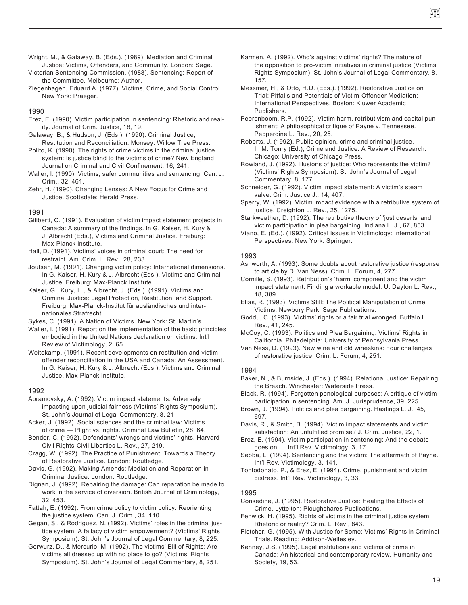- Wright, M., & Galaway, B. (Eds.). (1989). Mediation and Criminal Justice: Victims, Offenders, and Community. London: Sage.
- Victorian Sentencing Commission. (1988). Sentencing: Report of the Committee. Melbourne: Author.
- Ziegenhagen, Eduard A. (1977). Victims, Crime, and Social Control. New York: Praeger.

#### 1990

- Erez, E. (1990). Victim participation in sentencing: Rhetoric and reality. Journal of Crim. Justice, 18, 19.
- Galaway, B., & Hudson, J. (Eds.). (1990). Criminal Justice, Restitution and Reconciliation. Monsey: Willow Tree Press.
- Polito, K. (1990). The rights of crime victims in the criminal justice system: Is justice blind to the victims of crime? New England Journal on Criminal and Civil Confinement, 16, 241.
- Waller, I. (1990). Victims, safer communities and sentencing. Can. J. Crim., 32, 461.
- Zehr, H. (1990). Changing Lenses: A New Focus for Crime and Justice. Scottsdale: Herald Press.

#### 1991

- Giliberti, C. (1991). Evaluation of victim impact statement projects in Canada: A summary of the findings. In G. Kaiser, H. Kury & J. Albrecht (Eds.), Victims and Criminal Justice. Freiburg: Max-Planck Institute.
- Hall, D. (1991). Victims' voices in criminal court: The need for restraint. Am. Crim. L. Rev., 28, 233.
- Joutsen, M. (1991). Changing victim policy: International dimensions. In G. Kaiser, H. Kury & J. Albrecht (Eds.), Victims and Criminal Justice. Freiburg: Max-Planck Institute.
- Kaiser, G., Kury, H., & Albrecht, J. (Eds.). (1991). Victims and Criminal Justice: Legal Protection, Restitution, and Support. Freiburg: Max-Planck-Institut für ausländisches und internationales Strafrecht.
- Sykes, C. (1991). A Nation of Victims. New York: St. Martin's.
- Waller, I. (1991). Report on the implementation of the basic principles embodied in the United Nations declaration on victims. Int'l Review of Victimology, 2, 65.
- Weitekamp. (1991). Recent developments on restitution and victimoffender reconciliation in the USA and Canada: An Assessment. In G. Kaiser, H. Kury & J. Albrecht (Eds.), Victims and Criminal Justice. Max-Planck Institute.

#### 1992

- Abramovsky, A. (1992). Victim impact statements: Adversely impacting upon judicial fairness (Victims' Rights Symposium). St. John's Journal of Legal Commentary, 8, 21.
- Acker, J. (1992). Social sciences and the criminal law: Victims of crime — Plight vs. rights. Criminal Law Bulletin, 28, 64.
- Bendor, C. (1992). Defendants' wrongs and victims' rights. Harvard Civil Rights-Civil Liberties L. Rev., 27, 219.
- Cragg, W. (1992). The Practice of Punishment: Towards a Theory of Restorative Justice. London: Routledge.
- Davis, G. (1992). Making Amends: Mediation and Reparation in Criminal Justice. London: Routledge.
- Dignan, J. (1992). Repairing the damage: Can reparation be made to work in the service of diversion. British Journal of Criminology, 32, 453.
- Fattah, E. (1992). From crime policy to victim policy: Reorienting the justice system. Can. J. Crim., 34, 110.
- Gegan, S., & Rodriguez, N. (1992). Victims' roles in the criminal justice system: A fallacy of victim empowerment? (Victims' Rights Symposium). St. John's Journal of Legal Commentary, 8, 225.
- Gerwurz, D., & Mercurio, M. (1992). The victims' Bill of Rights: Are victims all dressed up with no place to go? (Victims' Rights Symposium). St. John's Journal of Legal Commentary, 8, 251.
- Karmen, A. (1992). Who's against victims' rights? The nature of the opposition to pro-victim initiatives in criminal justice (Victims' Rights Symposium). St. John's Journal of Legal Commentary, 8, 157.
- Messmer, H., & Otto, H.U. (Eds.). (1992). Restorative Justice on Trial: Pitfalls and Potentials of Victim-Offender Mediation: International Perspectives. Boston: Kluwer Academic Publishers.
- Peerenboom, R.P. (1992). Victim harm, retributivism and capital punishment: A philosophical critique of Payne v. Tennessee. Pepperdine L. Rev., 20, 25.

Roberts, J. (1992). Public opinion, crime and criminal justice. In M. Tonry (Ed.), Crime and Justice: A Review of Research. Chicago: University of Chicago Press.

- Rowland, J. (1992). Illusions of justice: Who represents the victim? (Victims' Rights Symposium). St. John's Journal of Legal Commentary, 8, 177.
- Schneider, G. (1992). Victim impact statement: A victim's steam valve. Crim. Justice J., 14, 407.
- Sperry, W. (1992). Victim impact evidence with a retributive system of justice. Creighton L. Rev., 25, 1275.
- Starkweather, D. (1992). The retributive theory of 'just deserts' and victim participation in plea bargaining. Indiana L. J., 67, 853.
- Viano, E. (Ed.). (1992). Critical Issues in Victimology: International Perspectives. New York: Springer.

#### 1993

- Ashworth, A. (1993). Some doubts about restorative justice (response to article by D. Van Ness). Crim. L. Forum, 4, 277.
- Cornille, S. (1993). Retribution's 'harm' component and the victim impact statement: Finding a workable model. U. Dayton L. Rev., 18, 389.
- Elias, R. (1993). Victims Still: The Political Manipulation of Crime Victims. Newbury Park: Sage Publications.
- Goddu, C. (1993). Victims' rights or a fair trial wronged. Buffalo L. Rev., 41, 245.
- McCoy, C. (1993). Politics and Plea Bargaining: Victims' Rights in California. Philadelphia: University of Pennsylvania Press.
- Van Ness, D. (1993). New wine and old wineskins: Four challenges of restorative justice. Crim. L. Forum, 4, 251.

#### 1994

- Baker, N., & Burnside, J. (Eds.). (1994). Relational Justice: Repairing the Breach. Winchester: Waterside Press.
- Black, R. (1994). Forgotten penological purposes: A critique of victim participation in sentencing. Am. J. Jurisprudence, 39, 225.
- Brown, J. (1994). Politics and plea bargaining. Hastings L. J., 45, 697.
- Davis, R., & Smith, B. (1994). Victim impact statements and victim satisfaction: An unfulfilled promise? J. Crim. Justice, 22, 1.
- Erez, E. (1994). Victim participation in sentencing: And the debate goes on. . . Int'l Rev. Victimology, 3, 17.
- Sebba, L. (1994). Sentencing and the victim: The aftermath of Payne. Int'l Rev. Victimology, 3, 141.
- Tontodonato, P., & Erez, E. (1994). Crime, punishment and victim distress. Int'l Rev. Victimology, 3, 33.

#### 1995

- Consedine, J. (1995). Restorative Justice: Healing the Effects of Crime. Lyttelton: Ploughshares Publications.
- Fenwick, H. (1995). Rights of victims in the criminal justice system: Rhetoric or reality? Crim. L. Rev., 843.
- Fletcher, G. (1995). With Justice for Some: Victims' Rights in Criminal Trials. Reading: Addison-Wellesley.
- Kenney, J.S. (1995). Legal institutions and victims of crime in Canada: An historical and contemporary review. Humanity and Society, 19, 53.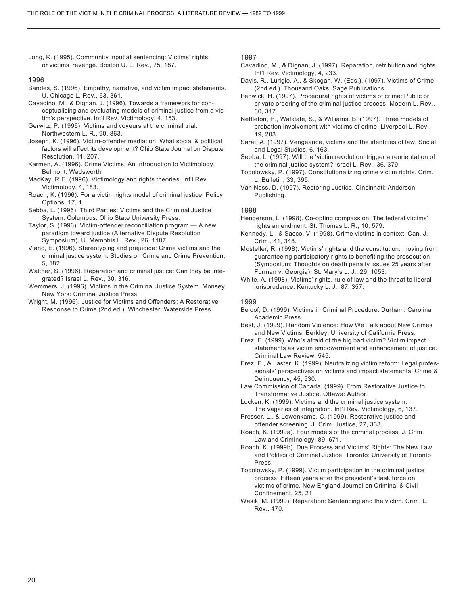Long, K. (1995). Community input at sentencing: Victims' rights or victims' revenge. Boston U. L. Rev., 75, 187.

1996

- Bandes, S. (1996). Empathy, narrative, and victim impact statements. U. Chicago L. Rev., 63, 361.
- Cavadino, M., & Dignan, J. (1996). Towards a framework for conceptualising and evaluating models of criminal justice from a victim's perspective. Int'l Rev. Victimology, 4, 153.
- Gerwitz, P. (1996). Victims and voyeurs at the criminal trial. Northwestern L. R., 90, 863.
- Joseph, K. (1996). Victim-offender mediation: What social & political factors will affect its development? Ohio State Journal on Dispute Resolution, 11, 207.
- Karmen, A. (1996). Crime Victims: An Introduction to Victimology. Belmont: Wadsworth.
- MacKay, R.E. (1996). Victimology and rights theories. Int'l Rev. Victimology, 4, 183.
- Roach, K. (1996). For a victim rights model of criminal justice. Policy Options, 17, 1.
- Sebba, L. (1996). Third Parties: Victims and the Criminal Justice System. Columbus: Ohio State University Press.
- Taylor, S. (1996). Victim-offender reconciliation program A new paradigm toward justice (Alternative Dispute Resolution Symposium). U. Memphis L. Rev., 26, 1187.
- Viano, E. (1996). Stereotyping and prejudice: Crime victims and the criminal justice system. Studies on Crime and Crime Prevention, 5, 182.
- Walther, S. (1996). Reparation and criminal justice: Can they be integrated? Israel L. Rev., 30, 316.
- Wemmers, J. (1996). Victims in the Criminal Justice System. Monsey, New York: Criminal Justice Press.
- Wright, M. (1996). Justice for Victims and Offenders: A Restorative Response to Crime (2nd ed.). Winchester: Waterside Press.

1997

- Cavadino, M., & Dignan, J. (1997). Reparation, retribution and rights. Int'l Rev. Victimology, 4, 233.
- Davis, R., Lurigio, A., & Skogan, W. (Eds.). (1997). Victims of Crime (2nd ed.). Thousand Oaks: Sage Publications.
- Fenwick, H. (1997). Procedural rights of victims of crime: Public or private ordering of the criminal justice process. Modern L. Rev., 60, 317.
- Nettleton, H., Walklate, S., & Williams, B. (1997). Three models of probation involvement with victims of crime. Liverpool L. Rev., 19, 203.
- Sarat, A. (1997). Vengeance, victims and the identities of law. Social and Legal Studies, 6, 163.
- Sebba, L. (1997). Will the 'victim revolution' trigger a reorientation of the criminal justice system? Israel L. Rev., 36, 379.
- Tobolowsky, P. (1997). Constitutionalizing crime victim rights. Crim. L. Bulletin, 33, 395.
- Van Ness, D. (1997). Restoring Justice. Cincinnati: Anderson Publishing.

#### 1998

- Henderson, L. (1998). Co-opting compassion: The federal victims' rights amendment. St. Thomas L. R., 10, 579.
- Kennedy, L., & Sacco, V. (1998). Crime victims in context. Can. J. Crim., 41, 348.
- Mosteller, R. (1998). Victims' rights and the constitution: moving from guaranteeing participatory rights to benefiting the prosecution (Symposium: Thoughts on death penalty issues 25 years after Furman v. Georgia). St. Mary's L. J., 29, 1053.
- White, A. (1998). Victims' rights, rule of law and the threat to liberal jurisprudence. Kentucky L. J., 87, 357.

#### 1999

- Beloof, D. (1999). Victims in Criminal Procedure. Durham: Carolina Academic Press.
- Best, J. (1999). Random Violence: How We Talk about New Crimes and New Victims. Berkley: University of California Press.
- Erez, E. (1999). Who's afraid of the big bad victim? Victim impact statements as victim empowerment and enhancement of justice. Criminal Law Review, 545.
- Erez, E., & Laster, K. (1999). Neutralizing victim reform: Legal professionals' perspectives on victims and impact statements. Crime & Delinquency, 45, 530.
- Law Commission of Canada. (1999). From Restorative Justice to Transformative Justice. Ottawa: Author.
- Lucken, K. (1999). Victims and the criminal justice system: The vagaries of integration. Int'l Rev. Victimology, 6, 137.
- Presser, L., & Lowenkamp, C. (1999). Restorative justice and offender screening. J. Crim. Justice, 27, 333.
- Roach, K. (1999a). Four models of the criminal process. J. Crim. Law and Criminology, 89, 671.
- Roach, K. (1999b). Due Process and Victims' Rights: The New Law and Politics of Criminal Justice. Toronto: University of Toronto Press.
- Tobolowsky, P. (1999). Victim participation in the criminal justice process: Fifteen years after the president's task force on victims of crime. New England Journal on Criminal & Civil Confinement, 25, 21.
- Wasik, M. (1999). Reparation: Sentencing and the victim. Crim. L. Rev., 470.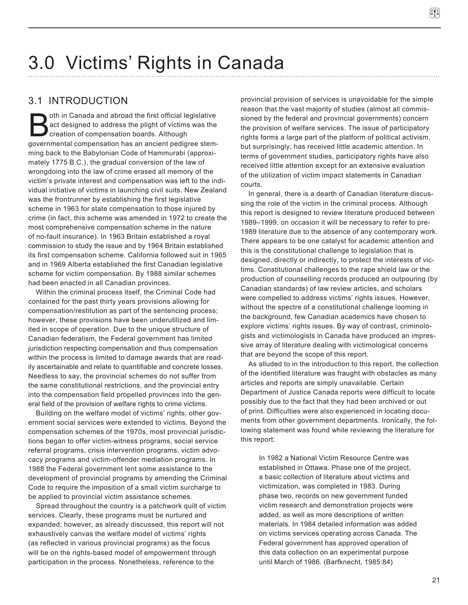# 3.0 Victims' Rights in Canada

# 3.1 INTRODUCTION

oth in Canada and abroad the first official legislative act designed to address the plight of victims was the creation of compensation boards. Although governmental compensation has an ancient pedigree stemming back to the Babylonian Code of Hammurabi (approximately 1775 B.C.), the gradual conversion of the law of wrongdoing into the law of crime erased all memory of the victim's private interest and compensation was left to the individual initiative of victims in launching civil suits. New Zealand was the frontrunner by establishing the first legislative scheme in 1963 for state compensation to those injured by crime (in fact, this scheme was amended in 1972 to create the most comprehensive compensation scheme in the nature of no-fault insurance). In 1963 Britain established a royal commission to study the issue and by 1964 Britain established its first compensation scheme. California followed suit in 1965 and in 1969 Alberta established the first Canadian legislative scheme for victim compensation. By 1988 similar schemes had been enacted in all Canadian provinces.

Within the criminal process itself, the Criminal Code had contained for the past thirty years provisions allowing for compensation/restitution as part of the sentencing process; however, these provisions have been underutilized and limited in scope of operation. Due to the unique structure of Canadian federalism, the Federal government has limited jurisdiction respecting compensation and thus compensation within the process is limited to damage awards that are readily ascertainable and relate to quantifiable and concrete losses. Needless to say, the provincial schemes do not suffer from the same constitutional restrictions, and the provincial entry into the compensation field propelled provinces into the general field of the provision of welfare rights to crime victims.

Building on the welfare model of victims' rights, other government social services were extended to victims. Beyond the compensation schemes of the 1970s, most provincial jurisdictions began to offer victim-witness programs, social service referral programs, crisis intervention programs, victim advocacy programs and victim-offender mediation programs. In 1988 the Federal government lent some assistance to the development of provincial programs by amending the Criminal Code to require the imposition of a small victim surcharge to be applied to provincial victim assistance schemes.

Spread throughout the country is a patchwork quilt of victim services. Clearly, these programs must be nurtured and expanded; however, as already discussed, this report will not exhaustively canvas the welfare model of victims' rights (as reflected in various provincial programs) as the focus will be on the rights-based model of empowerment through participation in the process. Nonetheless, reference to the

provincial provision of services is unavoidable for the simple reason that the vast majority of studies (almost all commissioned by the federal and provincial governments) concern the provision of welfare services. The issue of participatory rights forms a large part of the platform of political activism, but surprisingly, has received little academic attention. In terms of government studies, participatory rights have also received little attention except for an extensive evaluation of the utilization of victim impact statements in Canadian courts.

In general, there is a dearth of Canadian literature discussing the role of the victim in the criminal process. Although this report is designed to review literature produced between 1989–1999, on occasion it will be necessary to refer to pre-1989 literature due to the absence of any contemporary work. There appears to be one catalyst for academic attention and this is the constitutional challenge to legislation that is designed, directly or indirectly, to protect the interests of victims. Constitutional challenges to the rape shield law or the production of counselling records produced an outpouring (by Canadian standards) of law review articles, and scholars were compelled to address victims' rights issues. However, without the spectre of a constitutional challenge looming in the background, few Canadian academics have chosen to explore victims' rights issues. By way of contrast, criminologists and victimologists in Canada have produced an impressive array of literature dealing with victimological concerns that are beyond the scope of this report.

As alluded to in the introduction to this report, the collection of the identified literature was fraught with obstacles as many articles and reports are simply unavailable. Certain Department of Justice Canada reports were difficult to locate possibly due to the fact that they had been archived or out of print. Difficulties were also experienced in locating documents from other government departments. Ironically, the following statement was found while reviewing the literature for this report:

In 1982 a National Victim Resource Centre was established in Ottawa. Phase one of the project, a basic collection of literature about victims and victimization, was completed in 1983. During phase two, records on new government funded victim research and demonstration projects were added, as well as more descriptions of written materials. In 1984 detailed information was added on victims services operating across Canada. The Federal government has approved operation of this data collection on an experimental purpose until March of 1986. (Barfknecht, 1985:84)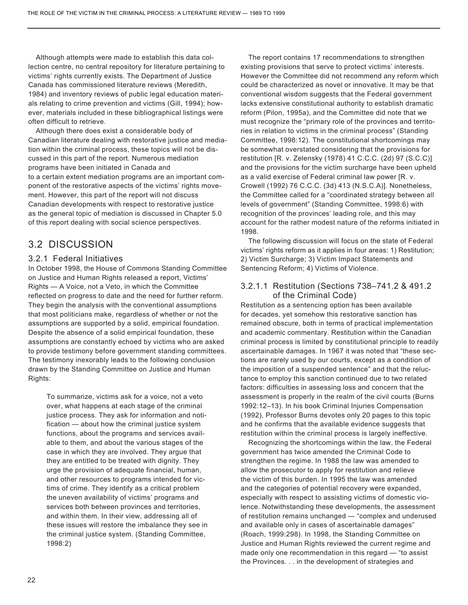Although attempts were made to establish this data collection centre, no central repository for literature pertaining to victims' rights currently exists. The Department of Justice Canada has commissioned literature reviews (Meredith, 1984) and inventory reviews of public legal education materials relating to crime prevention and victims (Gill, 1994); however, materials included in these bibliographical listings were often difficult to retrieve.

Although there does exist a considerable body of Canadian literature dealing with restorative justice and mediation within the criminal process, these topics will not be discussed in this part of the report. Numerous mediation programs have been initiated in Canada and to a certain extent mediation programs are an important component of the restorative aspects of the victims' rights movement. However, this part of the report will not discuss Canadian developments with respect to restorative justice as the general topic of mediation is discussed in Chapter 5.0 of this report dealing with social science perspectives.

# 3.2 DISCUSSION

## 3.2.1 Federal Initiatives

In October 1998, the House of Commons Standing Committee on Justice and Human Rights released a report, Victims' Rights — A Voice, not a Veto, in which the Committee reflected on progress to date and the need for further reform. They begin the analysis with the conventional assumptions that most politicians make, regardless of whether or not the assumptions are supported by a solid, empirical foundation. Despite the absence of a solid empirical foundation, these assumptions are constantly echoed by victims who are asked to provide testimony before government standing committees. The testimony inexorably leads to the following conclusion drawn by the Standing Committee on Justice and Human Rights:

To summarize, victims ask for a voice, not a veto over, what happens at each stage of the criminal justice process. They ask for information and notification — about how the criminal justice system functions, about the programs and services available to them, and about the various stages of the case in which they are involved. They argue that they are entitled to be treated with dignity. They urge the provision of adequate financial, human, and other resources to programs intended for victims of crime. They identify as a critical problem the uneven availability of victims' programs and services both between provinces and territories, and within them. In their view, addressing all of these issues will restore the imbalance they see in the criminal justice system. (Standing Committee, 1998:2)

The report contains 17 recommendations to strengthen existing provisions that serve to protect victims' interests. However the Committee did not recommend any reform which could be characterized as novel or innovative. It may be that conventional wisdom suggests that the Federal government lacks extensive constitutional authority to establish dramatic reform (Pilon, 1995a), and the Committee did note that we must recognize the "primary role of the provinces and territories in relation to victims in the criminal process" (Standing Committee, 1998:12). The constitutional shortcomings may be somewhat overstated considering that the provisions for restitution [R. v. Zelensky (1978) 41 C.C.C. (2d) 97 (S.C.C)] and the provisions for the victim surcharge have been upheld as a valid exercise of Federal criminal law power [R. v. Crowell (1992) 76 C.C.C. (3d) 413 (N.S.C.A)]. Nonetheless, the Committee called for a "coordinated strategy between all levels of government" (Standing Committee, 1998:6) with recognition of the provinces' leading role, and this may account for the rather modest nature of the reforms initiated in 1998.

The following discussion will focus on the state of Federal victims' rights reform as it applies in four areas: 1) Restitution; 2) Victim Surcharge; 3) Victim Impact Statements and Sentencing Reform; 4) Victims of Violence.

### 3.2.1.1 Restitution (Sections 738–741.2 & 491.2 of the Criminal Code)

Restitution as a sentencing option has been available for decades, yet somehow this restorative sanction has remained obscure, both in terms of practical implementation and academic commentary. Restitution within the Canadian criminal process is limited by constitutional principle to readily ascertainable damages. In 1967 it was noted that "these sections are rarely used by our courts, except as a condition of the imposition of a suspended sentence" and that the reluctance to employ this sanction continued due to two related factors: difficulties in assessing loss and concern that the assessment is properly in the realm of the civil courts (Burns 1992:12–13). In his book Criminal Injuries Compensation (1992), Professor Burns devotes only 20 pages to this topic and he confirms that the available evidence suggests that restitution within the criminal process is largely ineffective.

Recognizing the shortcomings within the law, the Federal government has twice amended the Criminal Code to strengthen the regime. In 1988 the law was amended to allow the prosecutor to apply for restitution and relieve the victim of this burden. In 1995 the law was amended and the categories of potential recovery were expanded, especially with respect to assisting victims of domestic violence. Notwithstanding these developments, the assessment of restitution remains unchanged — "complex and underused and available only in cases of ascertainable damages" (Roach, 1999:298). In 1998, the Standing Committee on Justice and Human Rights reviewed the current regime and made only one recommendation in this regard — "to assist the Provinces. . . in the development of strategies and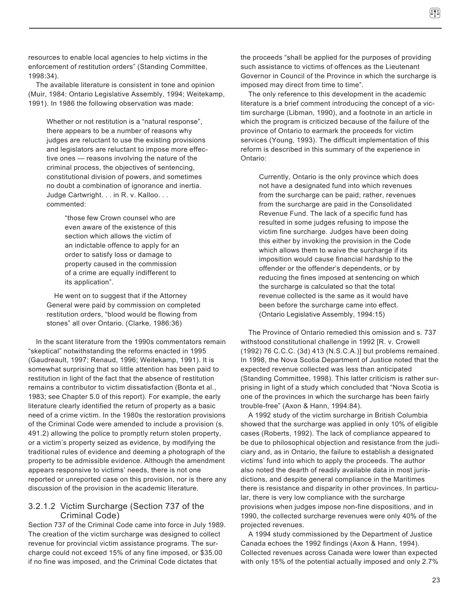resources to enable local agencies to help victims in the enforcement of restitution orders" (Standing Committee, 1998:34).

The available literature is consistent in tone and opinion (Muir, 1984; Ontario Legislative Assembly, 1994; Weitekamp, 1991). In 1986 the following observation was made:

Whether or not restitution is a "natural response", there appears to be a number of reasons why judges are reluctant to use the existing provisions and legislators are reluctant to impose more effective ones — reasons involving the nature of the criminal process, the objectives of sentencing, constitutional division of powers, and sometimes no doubt a combination of ignorance and inertia. Judge Cartwright. . . in R. v. Kalloo. . . commented:

> "those few Crown counsel who are even aware of the existence of this section which allows the victim of an indictable offence to apply for an order to satisfy loss or damage to property caused in the commission of a crime are equally indifferent to its application".

He went on to suggest that if the Attorney General were paid by commission on completed restitution orders, "blood would be flowing from stones" all over Ontario. (Clarke, 1986:36)

In the scant literature from the 1990s commentators remain "skeptical" notwithstanding the reforms enacted in 1995 (Gaudreault, 1997; Renaud, 1996; Weitekamp, 1991). It is somewhat surprising that so little attention has been paid to restitution in light of the fact that the absence of restitution remains a contributor to victim dissatisfaction (Bonta et al., 1983; see Chapter 5.0 of this report). For example, the early literature clearly identified the return of property as a basic need of a crime victim. In the 1980s the restoration provisions of the Criminal Code were amended to include a provision (s. 491.2) allowing the police to promptly return stolen property, or a victim's property seized as evidence, by modifying the traditional rules of evidence and deeming a photograph of the property to be admissible evidence. Although the amendment appears responsive to victims' needs, there is not one reported or unreported case on this provision, nor is there any discussion of the provision in the academic literature.

## 3.2.1.2 Victim Surcharge (Section 737 of the Criminal Code)

Section 737 of the Criminal Code came into force in July 1989. The creation of the victim surcharge was designed to collect revenue for provincial victim assistance programs. The surcharge could not exceed 15% of any fine imposed, or \$35.00 if no fine was imposed, and the Criminal Code dictates that

the proceeds "shall be applied for the purposes of providing such assistance to victims of offences as the Lieutenant Governor in Council of the Province in which the surcharge is imposed may direct from time to time".

The only reference to this development in the academic literature is a brief comment introducing the concept of a victim surcharge (Libman, 1990), and a footnote in an article in which the program is criticized because of the failure of the province of Ontario to earmark the proceeds for victim services (Young, 1993). The difficult implementation of this reform is described in this summary of the experience in Ontario:

Currently, Ontario is the only province which does not have a designated fund into which revenues from the surcharge can be paid; rather, revenues from the surcharge are paid in the Consolidated Revenue Fund. The lack of a specific fund has resulted in some judges refusing to impose the victim fine surcharge. Judges have been doing this either by invoking the provision in the Code which allows them to waive the surcharge if its imposition would cause financial hardship to the offender or the offender's dependents, or by reducing the fines imposed at sentencing on which the surcharge is calculated so that the total revenue collected is the same as it would have been before the surcharge came into effect. (Ontario Legislative Assembly, 1994:15)

The Province of Ontario remedied this omission and s. 737 withstood constitutional challenge in 1992 [R. v. Crowell (1992) 76 C.C.C. (3d) 413 (N.S.C.A.)] but problems remained. In 1998, the Nova Scotia Department of Justice noted that the expected revenue collected was less than anticipated (Standing Committee, 1998). This latter criticism is rather surprising in light of a study which concluded that "Nova Scotia is one of the provinces in which the surcharge has been fairly trouble-free" (Axon & Hann, 1994:84).

A 1992 study of the victim surcharge in British Columbia showed that the surcharge was applied in only 10% of eligible cases (Roberts, 1992). The lack of compliance appeared to be due to philosophical objection and resistance from the judiciary and, as in Ontario, the failure to establish a designated victims' fund into which to apply the proceeds. The author also noted the dearth of readily available data in most jurisdictions, and despite general compliance in the Maritimes there is resistance and disparity in other provinces. In particular, there is very low compliance with the surcharge provisions when judges impose non-fine dispositions, and in 1990, the collected surcharge revenues were only 40% of the projected revenues.

A 1994 study commissioned by the Department of Justice Canada echoes the 1992 findings (Axon & Hann, 1994). Collected revenues across Canada were lower than expected with only 15% of the potential actually imposed and only 2.7%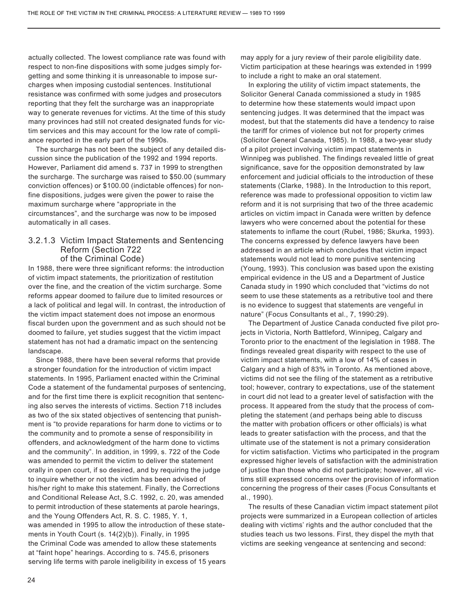actually collected. The lowest compliance rate was found with respect to non-fine dispositions with some judges simply forgetting and some thinking it is unreasonable to impose surcharges when imposing custodial sentences. Institutional resistance was confirmed with some judges and prosecutors reporting that they felt the surcharge was an inappropriate way to generate revenues for victims. At the time of this study many provinces had still not created designated funds for victim services and this may account for the low rate of compliance reported in the early part of the 1990s.

The surcharge has not been the subject of any detailed discussion since the publication of the 1992 and 1994 reports. However, Parliament did amend s. 737 in 1999 to strengthen the surcharge. The surcharge was raised to \$50.00 (summary conviction offences) or \$100.00 (indictable offences) for nonfine dispositions, judges were given the power to raise the maximum surcharge where "appropriate in the circumstances", and the surcharge was now to be imposed automatically in all cases.

### 3.2.1.3 Victim Impact Statements and Sentencing Reform (Section 722 of the Criminal Code)

In 1988, there were three significant reforms: the introduction of victim impact statements, the prioritization of restitution over the fine, and the creation of the victim surcharge. Some reforms appear doomed to failure due to limited resources or a lack of political and legal will. In contrast, the introduction of the victim impact statement does not impose an enormous fiscal burden upon the government and as such should not be doomed to failure, yet studies suggest that the victim impact statement has not had a dramatic impact on the sentencing landscape.

Since 1988, there have been several reforms that provide a stronger foundation for the introduction of victim impact statements. In 1995, Parliament enacted within the Criminal Code a statement of the fundamental purposes of sentencing, and for the first time there is explicit recognition that sentencing also serves the interests of victims. Section 718 includes as two of the six stated objectives of sentencing that punishment is "to provide reparations for harm done to victims or to the community and to promote a sense of responsibility in offenders, and acknowledgment of the harm done to victims and the community". In addition, in 1999, s. 722 of the Code was amended to permit the victim to deliver the statement orally in open court, if so desired, and by requiring the judge to inquire whether or not the victim has been advised of his/her right to make this statement. Finally, the Corrections and Conditional Release Act, S.C. 1992, c. 20, was amended to permit introduction of these statements at parole hearings, and the Young Offenders Act, R. S. C. 1985, Y. 1, was amended in 1995 to allow the introduction of these statements in Youth Court (s. 14(2)(b)). Finally, in 1995 the Criminal Code was amended to allow these statements at "faint hope" hearings. According to s. 745.6, prisoners serving life terms with parole ineligibility in excess of 15 years may apply for a jury review of their parole eligibility date. Victim participation at these hearings was extended in 1999 to include a right to make an oral statement.

In exploring the utility of victim impact statements, the Solicitor General Canada commissioned a study in 1985 to determine how these statements would impact upon sentencing judges. It was determined that the impact was modest, but that the statements did have a tendency to raise the tariff for crimes of violence but not for property crimes (Solicitor General Canada, 1985). In 1988, a two-year study of a pilot project involving victim impact statements in Winnipeg was published. The findings revealed little of great significance, save for the opposition demonstrated by law enforcement and judicial officials to the introduction of these statements (Clarke, 1988). In the Introduction to this report, reference was made to professional opposition to victim law reform and it is not surprising that two of the three academic articles on victim impact in Canada were written by defence lawyers who were concerned about the potential for these statements to inflame the court (Rubel, 1986; Skurka, 1993). The concerns expressed by defence lawyers have been addressed in an article which concludes that victim impact statements would not lead to more punitive sentencing (Young, 1993). This conclusion was based upon the existing empirical evidence in the US and a Department of Justice Canada study in 1990 which concluded that "victims do not seem to use these statements as a retributive tool and there is no evidence to suggest that statements are vengeful in nature" (Focus Consultants et al., 7, 1990:29).

The Department of Justice Canada conducted five pilot projects in Victoria, North Battleford, Winnipeg, Calgary and Toronto prior to the enactment of the legislation in 1988. The findings revealed great disparity with respect to the use of victim impact statements, with a low of 14% of cases in Calgary and a high of 83% in Toronto. As mentioned above, victims did not see the filing of the statement as a retributive tool; however, contrary to expectations, use of the statement in court did not lead to a greater level of satisfaction with the process. It appeared from the study that the process of completing the statement (and perhaps being able to discuss the matter with probation officers or other officials) is what leads to greater satisfaction with the process, and that the ultimate use of the statement is not a primary consideration for victim satisfaction. Victims who participated in the program expressed higher levels of satisfaction with the administration of justice than those who did not participate; however, all victims still expressed concerns over the provision of information concerning the progress of their cases (Focus Consultants et al., 1990).

The results of these Canadian victim impact statement pilot projects were summarized in a European collection of articles dealing with victims' rights and the author concluded that the studies teach us two lessons. First, they dispel the myth that victims are seeking vengeance at sentencing and second: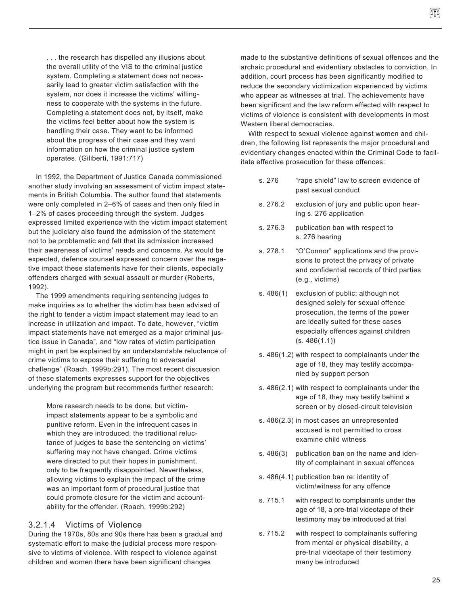. . . the research has dispelled any illusions about the overall utility of the VIS to the criminal justice system. Completing a statement does not necessarily lead to greater victim satisfaction with the system, nor does it increase the victims' willingness to cooperate with the systems in the future. Completing a statement does not, by itself, make the victims feel better about how the system is handling their case. They want to be informed about the progress of their case and they want information on how the criminal justice system operates. (Giliberti, 1991:717)

In 1992, the Department of Justice Canada commissioned another study involving an assessment of victim impact statements in British Columbia. The author found that statements were only completed in 2–6% of cases and then only filed in 1–2% of cases proceeding through the system. Judges expressed limited experience with the victim impact statement but the judiciary also found the admission of the statement not to be problematic and felt that its admission increased their awareness of victims' needs and concerns. As would be expected, defence counsel expressed concern over the negative impact these statements have for their clients, especially offenders charged with sexual assault or murder (Roberts, 1992).

The 1999 amendments requiring sentencing judges to make inquiries as to whether the victim has been advised of the right to tender a victim impact statement may lead to an increase in utilization and impact. To date, however, "victim impact statements have not emerged as a major criminal justice issue in Canada", and "low rates of victim participation might in part be explained by an understandable reluctance of crime victims to expose their suffering to adversarial challenge" (Roach, 1999b:291). The most recent discussion of these statements expresses support for the objectives underlying the program but recommends further research:

More research needs to be done, but victimimpact statements appear to be a symbolic and punitive reform. Even in the infrequent cases in which they are introduced, the traditional reluctance of judges to base the sentencing on victims' suffering may not have changed. Crime victims were directed to put their hopes in punishment, only to be frequently disappointed. Nevertheless, allowing victims to explain the impact of the crime was an important form of procedural justice that could promote closure for the victim and accountability for the offender. (Roach, 1999b:292)

## 3.2.1.4 Victims of Violence

During the 1970s, 80s and 90s there has been a gradual and systematic effort to make the judicial process more responsive to victims of violence. With respect to violence against children and women there have been significant changes

made to the substantive definitions of sexual offences and the archaic procedural and evidentiary obstacles to conviction. In addition, court process has been significantly modified to reduce the secondary victimization experienced by victims who appear as witnesses at trial. The achievements have been significant and the law reform effected with respect to victims of violence is consistent with developments in most Western liberal democracies.

With respect to sexual violence against women and children, the following list represents the major procedural and evidentiary changes enacted within the Criminal Code to facilitate effective prosecution for these offences:

- s. 276 "rape shield" law to screen evidence of past sexual conduct
- s. 276.2 exclusion of jury and public upon hearing s. 276 application
- s. 276.3 publication ban with respect to s. 276 hearing
- s. 278.1 "O'Connor" applications and the provisions to protect the privacy of private and confidential records of third parties (e.g., victims)
- s. 486(1) exclusion of public; although not designed solely for sexual offence prosecution, the terms of the power are ideally suited for these cases especially offences against children  $(s. 486(1.1))$
- s. 486(1.2) with respect to complainants under the age of 18, they may testify accompanied by support person
- s. 486(2.1) with respect to complainants under the age of 18, they may testify behind a screen or by closed-circuit television
- s. 486(2.3) in most cases an unrepresented accused is not permitted to cross examine child witness
- s. 486(3) publication ban on the name and identity of complainant in sexual offences
- s. 486(4.1) publication ban re: identity of victim/witness for any offence
- s. 715.1 with respect to complainants under the age of 18, a pre-trial videotape of their testimony may be introduced at trial
- s. 715.2 with respect to complainants suffering from mental or physical disability, a pre-trial videotape of their testimony many be introduced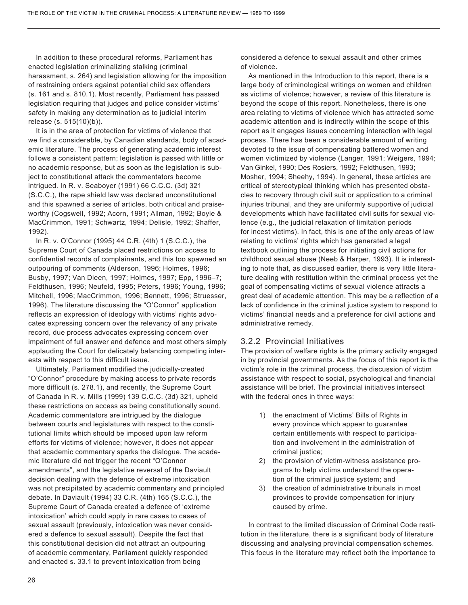In addition to these procedural reforms, Parliament has enacted legislation criminalizing stalking (criminal harassment, s. 264) and legislation allowing for the imposition of restraining orders against potential child sex offenders (s. 161 and s. 810.1). Most recently, Parliament has passed legislation requiring that judges and police consider victims' safety in making any determination as to judicial interim release (s. 515(10)(b)).

It is in the area of protection for victims of violence that we find a considerable, by Canadian standards, body of academic literature. The process of generating academic interest follows a consistent pattern; legislation is passed with little or no academic response, but as soon as the legislation is subject to constitutional attack the commentators become intrigued. In R. v. Seaboyer (1991) 66 C.C.C. (3d) 321 (S.C.C.), the rape shield law was declared unconstitutional and this spawned a series of articles, both critical and praiseworthy (Cogswell, 1992; Acorn, 1991; Allman, 1992; Boyle & MacCrimmon, 1991; Schwartz, 1994; Delisle, 1992; Shaffer, 1992).

In R. v. O'Connor (1995) 44 C.R. (4th) 1 (S.C.C.), the Supreme Court of Canada placed restrictions on access to confidential records of complainants, and this too spawned an outpouring of comments (Alderson, 1996; Holmes, 1996; Busby, 1997; Van Dieen, 1997; Holmes, 1997; Epp, 1996–7; Feldthusen, 1996; Neufeld, 1995; Peters, 1996; Young, 1996; Mitchell, 1996; MacCrimmon, 1996; Bennett, 1996; Struesser, 1996). The literature discussing the "O'Connor" application reflects an expression of ideology with victims' rights advocates expressing concern over the relevancy of any private record, due process advocates expressing concern over impairment of full answer and defence and most others simply applauding the Court for delicately balancing competing interests with respect to this difficult issue.

Ultimately, Parliament modified the judicially-created "O'Connor" procedure by making access to private records more difficult (s. 278.1), and recently, the Supreme Court of Canada in R. v. Mills (1999) 139 C.C.C. (3d) 321, upheld these restrictions on access as being constitutionally sound. Academic commentators are intrigued by the dialogue between courts and legislatures with respect to the constitutional limits which should be imposed upon law reform efforts for victims of violence; however, it does not appear that academic commentary sparks the dialogue. The academic literature did not trigger the recent "O'Connor amendments", and the legislative reversal of the Daviault decision dealing with the defence of extreme intoxication was not precipitated by academic commentary and principled debate. In Daviault (1994) 33 C.R. (4th) 165 (S.C.C.), the Supreme Court of Canada created a defence of 'extreme intoxication' which could apply in rare cases to cases of sexual assault (previously, intoxication was never considered a defence to sexual assault). Despite the fact that this constitutional decision did not attract an outpouring of academic commentary, Parliament quickly responded and enacted s. 33.1 to prevent intoxication from being

considered a defence to sexual assault and other crimes of violence.

As mentioned in the Introduction to this report, there is a large body of criminological writings on women and children as victims of violence; however, a review of this literature is beyond the scope of this report. Nonetheless, there is one area relating to victims of violence which has attracted some academic attention and is indirectly within the scope of this report as it engages issues concerning interaction with legal process. There has been a considerable amount of writing devoted to the issue of compensating battered women and women victimized by violence (Langer, 1991; Weigers, 1994; Van Ginkel, 1990; Des Rosiers, 1992; Feldthusen, 1993; Mosher, 1994; Sheehy, 1994). In general, these articles are critical of stereotypical thinking which has presented obstacles to recovery through civil suit or application to a criminal injuries tribunal, and they are uniformly supportive of judicial developments which have facilitated civil suits for sexual violence (e.g., the judicial relaxation of limitation periods for incest victims). In fact, this is one of the only areas of law relating to victims' rights which has generated a legal textbook outlining the process for initiating civil actions for childhood sexual abuse (Neeb & Harper, 1993). It is interesting to note that, as discussed earlier, there is very little literature dealing with restitution within the criminal process yet the goal of compensating victims of sexual violence attracts a great deal of academic attention. This may be a reflection of a lack of confidence in the criminal justice system to respond to victims' financial needs and a preference for civil actions and administrative remedy.

## 3.2.2 Provincial Initiatives

The provision of welfare rights is the primary activity engaged in by provincial governments. As the focus of this report is the victim's role in the criminal process, the discussion of victim assistance with respect to social, psychological and financial assistance will be brief. The provincial initiatives intersect with the federal ones in three ways:

- 1) the enactment of Victims' Bills of Rights in every province which appear to guarantee certain entitlements with respect to participation and involvement in the administration of criminal justice;
- 2) the provision of victim-witness assistance programs to help victims understand the operation of the criminal justice system; and
- 3) the creation of administrative tribunals in most provinces to provide compensation for injury caused by crime.

In contrast to the limited discussion of Criminal Code restitution in the literature, there is a significant body of literature discussing and analysing provincial compensation schemes. This focus in the literature may reflect both the importance to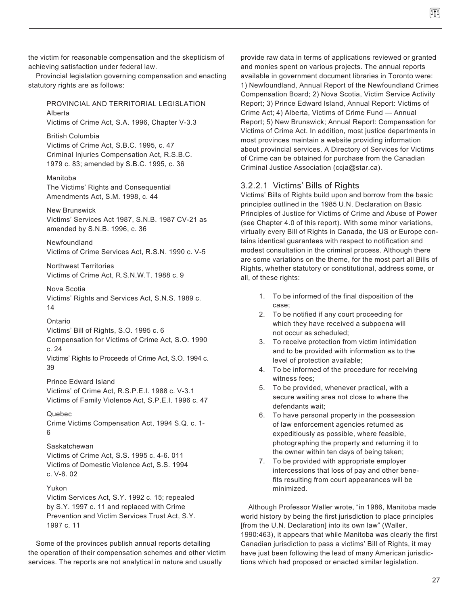Provincial legislation governing compensation and enacting statutory rights are as follows:

PROVINCIAL AND TERRITORIAL LEGISLATION Alberta Victims of Crime Act, S.A. 1996, Chapter V-3.3

British Columbia Victims of Crime Act, S.B.C. 1995, c. 47 Criminal Injuries Compensation Act, R.S.B.C. 1979 c. 83; amended by S.B.C. 1995, c. 36

#### Manitoba The Victims' Rights and Consequential Amendments Act, S.M. 1998, c. 44

New Brunswick Victims' Services Act 1987, S.N.B. 1987 CV-21 as amended by S.N.B. 1996, c. 36

Newfoundland Victims of Crime Services Act, R.S.N. 1990 c. V-5

Northwest Territories Victims of Crime Act, R.S.N.W.T. 1988 c. 9

Nova Scotia Victims' Rights and Services Act, S.N.S. 1989 c. 14

## Ontario

Victims' Bill of Rights, S.O. 1995 c. 6

Compensation for Victims of Crime Act, S.O. 1990 c. 24

Victims' Rights to Proceeds of Crime Act, S.O. 1994 c. 39

Prince Edward Island

Victims' of Crime Act, R.S.P.E.I. 1988 c. V-3.1 Victims of Family Violence Act, S.P.E.I. 1996 c. 47

Quebec

Crime Victims Compensation Act, 1994 S.Q. c. 1- 6

## Saskatchewan

Victims of Crime Act, S.S. 1995 c. 4-6. 011 Victims of Domestic Violence Act, S.S. 1994 c. V-6. 02

## Yukon

Victim Services Act, S.Y. 1992 c. 15; repealed by S.Y. 1997 c. 11 and replaced with Crime Prevention and Victim Services Trust Act, S.Y. 1997 c. 11

Some of the provinces publish annual reports detailing the operation of their compensation schemes and other victim services. The reports are not analytical in nature and usually

provide raw data in terms of applications reviewed or granted and monies spent on various projects. The annual reports available in government document libraries in Toronto were: 1) Newfoundland, Annual Report of the Newfoundland Crimes Compensation Board; 2) Nova Scotia, Victim Service Activity Report; 3) Prince Edward Island, Annual Report: Victims of Crime Act; 4) Alberta, Victims of Crime Fund — Annual Report; 5) New Brunswick; Annual Report: Compensation for Victims of Crime Act. In addition, most justice departments in most provinces maintain a website providing information about provincial services. A Directory of Services for Victims of Crime can be obtained for purchase from the Canadian Criminal Justice Association (ccja@star.ca).

# 3.2.2.1 Victims' Bills of Rights

Victims' Bills of Rights build upon and borrow from the basic principles outlined in the 1985 U.N. Declaration on Basic Principles of Justice for Victims of Crime and Abuse of Power (see Chapter 4.0 of this report). With some minor variations, virtually every Bill of Rights in Canada, the US or Europe contains identical guarantees with respect to notification and modest consultation in the criminal process. Although there are some variations on the theme, for the most part all Bills of Rights, whether statutory or constitutional, address some, or all, of these rights:

- 1. To be informed of the final disposition of the case;
- 2. To be notified if any court proceeding for which they have received a subpoena will not occur as scheduled;
- 3. To receive protection from victim intimidation and to be provided with information as to the level of protection available;
- 4. To be informed of the procedure for receiving witness fees;
- 5. To be provided, whenever practical, with a secure waiting area not close to where the defendants wait;
- 6. To have personal property in the possession of law enforcement agencies returned as expeditiously as possible, where feasible, photographing the property and returning it to the owner within ten days of being taken;
- 7. To be provided with appropriate employer intercessions that loss of pay and other benefits resulting from court appearances will be minimized.

Although Professor Waller wrote, "in 1986, Manitoba made world history by being the first jurisdiction to place principles [from the U.N. Declaration] into its own law" (Waller, 1990:463), it appears that while Manitoba was clearly the first Canadian jurisdiction to pass a victims' Bill of Rights, it may have just been following the lead of many American jurisdictions which had proposed or enacted similar legislation.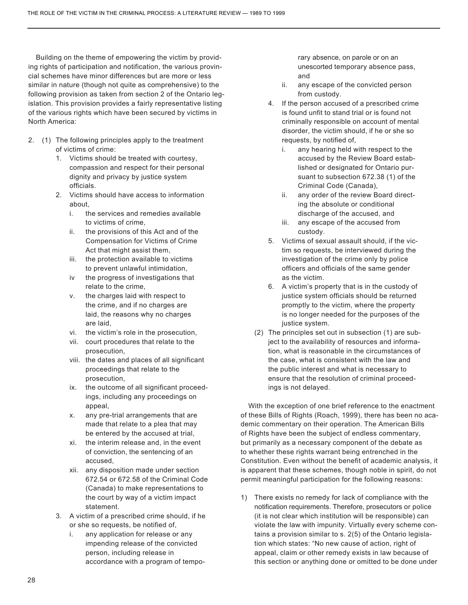Building on the theme of empowering the victim by providing rights of participation and notification, the various provincial schemes have minor differences but are more or less similar in nature (though not quite as comprehensive) to the following provision as taken from section 2 of the Ontario legislation. This provision provides a fairly representative listing of the various rights which have been secured by victims in North America:

- 2. (1) The following principles apply to the treatment of victims of crime:
	- 1. Victims should be treated with courtesy, compassion and respect for their personal dignity and privacy by justice system officials.
	- 2. Victims should have access to information about,
		- i. the services and remedies available to victims of crime,
		- ii. the provisions of this Act and of the Compensation for Victims of Crime Act that might assist them,
		- iii. the protection available to victims to prevent unlawful intimidation,
		- iv the progress of investigations that relate to the crime,
		- v. the charges laid with respect to the crime, and if no charges are laid, the reasons why no charges are laid,
		- vi. the victim's role in the prosecution,
		- vii. court procedures that relate to the prosecution,
		- viii. the dates and places of all significant proceedings that relate to the prosecution,
		- ix. the outcome of all significant proceedings, including any proceedings on appeal,
		- x. any pre-trial arrangements that are made that relate to a plea that may be entered by the accused at trial,
		- xi. the interim release and, in the event of conviction, the sentencing of an accused,
		- xii. any disposition made under section 672.54 or 672.58 of the Criminal Code (Canada) to make representations to the court by way of a victim impact statement.
	- 3. A victim of a prescribed crime should, if he or she so requests, be notified of,
		- i. any application for release or any impending release of the convicted person, including release in accordance with a program of tempo-

rary absence, on parole or on an unescorted temporary absence pass, and

- ii. any escape of the convicted person from custody.
- 4. If the person accused of a prescribed crime is found unfit to stand trial or is found not criminally responsible on account of mental disorder, the victim should, if he or she so requests, by notified of,
	- i. any hearing held with respect to the accused by the Review Board established or designated for Ontario pursuant to subsection 672.38 (1) of the Criminal Code (Canada),
	- ii. any order of the review Board directing the absolute or conditional discharge of the accused, and
	- iii. any escape of the accused from custody.
- 5. Victims of sexual assault should, if the victim so requests, be interviewed during the investigation of the crime only by police officers and officials of the same gender as the victim.
- 6. A victim's property that is in the custody of justice system officials should be returned promptly to the victim, where the property is no longer needed for the purposes of the justice system.
- (2) The principles set out in subsection (1) are subject to the availability of resources and information, what is reasonable in the circumstances of the case, what is consistent with the law and the public interest and what is necessary to ensure that the resolution of criminal proceedings is not delayed.

With the exception of one brief reference to the enactment of these Bills of Rights (Roach, 1999), there has been no academic commentary on their operation. The American Bills of Rights have been the subject of endless commentary, but primarily as a necessary component of the debate as to whether these rights warrant being entrenched in the Constitution. Even without the benefit of academic analysis, it is apparent that these schemes, though noble in spirit, do not permit meaningful participation for the following reasons:

1) There exists no remedy for lack of compliance with the notification requirements. Therefore, prosecutors or police (it is not clear which institution will be responsible) can violate the law with impunity. Virtually every scheme contains a provision similar to s. 2(5) of the Ontario legislation which states: "No new cause of action, right of appeal, claim or other remedy exists in law because of this section or anything done or omitted to be done under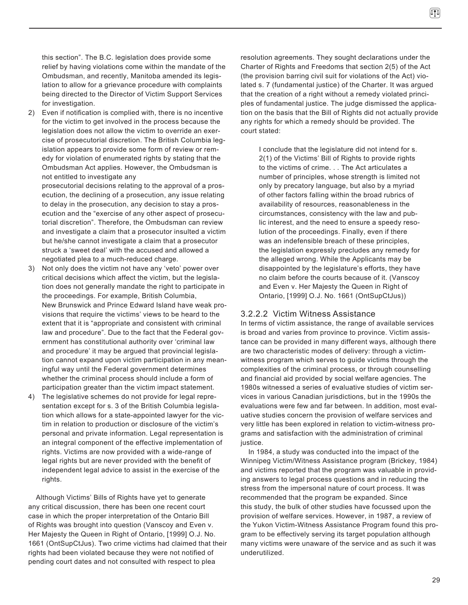this section". The B.C. legislation does provide some relief by having violations come within the mandate of the Ombudsman, and recently, Manitoba amended its legislation to allow for a grievance procedure with complaints being directed to the Director of Victim Support Services for investigation.

2) Even if notification is complied with, there is no incentive for the victim to get involved in the process because the legislation does not allow the victim to override an exercise of prosecutorial discretion. The British Columbia legislation appears to provide some form of review or remedy for violation of enumerated rights by stating that the Ombudsman Act applies. However, the Ombudsman is not entitled to investigate any

prosecutorial decisions relating to the approval of a prosecution, the declining of a prosecution, any issue relating to delay in the prosecution, any decision to stay a prosecution and the "exercise of any other aspect of prosecutorial discretion". Therefore, the Ombudsman can review and investigate a claim that a prosecutor insulted a victim but he/she cannot investigate a claim that a prosecutor struck a 'sweet deal' with the accused and allowed a negotiated plea to a much-reduced charge.

- 3) Not only does the victim not have any 'veto' power over critical decisions which affect the victim, but the legislation does not generally mandate the right to participate in the proceedings. For example, British Columbia, New Brunswick and Prince Edward Island have weak provisions that require the victims' views to be heard to the extent that it is "appropriate and consistent with criminal law and procedure". Due to the fact that the Federal government has constitutional authority over 'criminal law and procedure' it may be argued that provincial legislation cannot expand upon victim participation in any meaningful way until the Federal government determines whether the criminal process should include a form of participation greater than the victim impact statement.
- 4) The legislative schemes do not provide for legal representation except for s. 3 of the British Columbia legislation which allows for a state-appointed lawyer for the victim in relation to production or disclosure of the victim's personal and private information. Legal representation is an integral component of the effective implementation of rights. Victims are now provided with a wide-range of legal rights but are never provided with the benefit of independent legal advice to assist in the exercise of the rights.

Although Victims' Bills of Rights have yet to generate any critical discussion, there has been one recent court case in which the proper interpretation of the Ontario Bill of Rights was brought into question (Vanscoy and Even v. Her Majesty the Queen in Right of Ontario, [1999] O.J. No. 1661 (OntSupCtJus). Two crime victims had claimed that their rights had been violated because they were not notified of pending court dates and not consulted with respect to plea

resolution agreements. They sought declarations under the Charter of Rights and Freedoms that section 2(5) of the Act (the provision barring civil suit for violations of the Act) violated s. 7 (fundamental justice) of the Charter. It was argued that the creation of a right without a remedy violated principles of fundamental justice. The judge dismissed the application on the basis that the Bill of Rights did not actually provide any rights for which a remedy should be provided. The court stated:

I conclude that the legislature did not intend for s. 2(1) of the Victims' Bill of Rights to provide rights to the victims of crime. . . The Act articulates a number of principles, whose strength is limited not only by precatory language, but also by a myriad of other factors falling within the broad rubrics of availability of resources, reasonableness in the circumstances, consistency with the law and public interest, and the need to ensure a speedy resolution of the proceedings. Finally, even if there was an indefensible breach of these principles, the legislation expressly precludes any remedy for the alleged wrong. While the Applicants may be disappointed by the legislature's efforts, they have no claim before the courts because of it. (Vanscoy and Even v. Her Majesty the Queen in Right of Ontario, [1999] O.J. No. 1661 (OntSupCtJus))

### 3.2.2.2 Victim Witness Assistance

In terms of victim assistance, the range of available services is broad and varies from province to province. Victim assistance can be provided in many different ways, although there are two characteristic modes of delivery: through a victimwitness program which serves to guide victims through the complexities of the criminal process, or through counselling and financial aid provided by social welfare agencies. The 1980s witnessed a series of evaluative studies of victim services in various Canadian jurisdictions, but in the 1990s the evaluations were few and far between. In addition, most evaluative studies concern the provision of welfare services and very little has been explored in relation to victim-witness programs and satisfaction with the administration of criminal justice.

In 1984, a study was conducted into the impact of the Winnipeg Victim/Witness Assistance program (Brickey, 1984) and victims reported that the program was valuable in providing answers to legal process questions and in reducing the stress from the impersonal nature of court process. It was recommended that the program be expanded. Since this study, the bulk of other studies have focussed upon the provision of welfare services. However, in 1987, a review of the Yukon Victim-Witness Assistance Program found this program to be effectively serving its target population although many victims were unaware of the service and as such it was underutilized.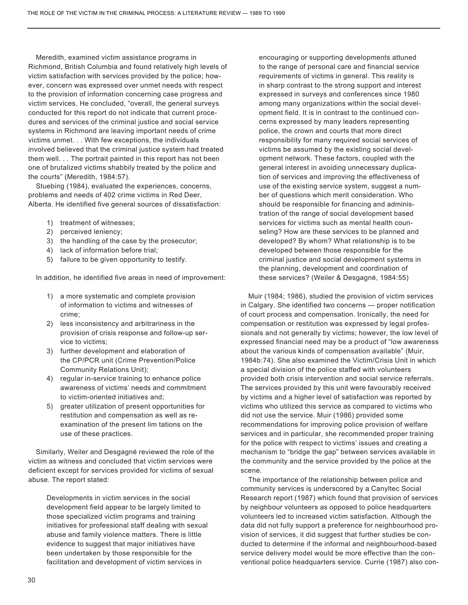Meredith, examined victim assistance programs in Richmond, British Columbia and found relatively high levels of victim satisfaction with services provided by the police; however, concern was expressed over unmet needs with respect to the provision of information concerning case progress and victim services. He concluded, "overall, the general surveys conducted for this report do not indicate that current procedures and services of the criminal justice and social service systems in Richmond are leaving important needs of crime victims unmet. . . With few exceptions, the individuals involved believed that the criminal justice system had treated them well. . . The portrait painted in this report has not been one of brutalized victims shabbily treated by the police and the courts" (Meredith, 1984:57).

Stuebing (1984), evaluated the experiences, concerns, problems and needs of 402 crime victims in Red Deer, Alberta. He identified five general sources of dissatisfaction:

- 1) treatment of witnesses;
- 2) perceived leniency;
- 3) the handling of the case by the prosecutor;
- 4) lack of information before trial;
- 5) failure to be given opportunity to testify.

In addition, he identified five areas in need of improvement:

- 1) a more systematic and complete provision of information to victims and witnesses of crime;
- 2) less inconsistency and arbitrariness in the provision of crisis response and follow-up service to victims;
- 3) further development and elaboration of the CP/PCR unit (Crime Prevention/Police Community Relations Unit);
- 4) regular in-service training to enhance police awareness of victims' needs and commitment to victim-oriented initiatives and;
- 5) greater utilization of present opportunities for restitution and compensation as well as reexamination of the present lim tations on the use of these practices.

Similarly, Weiler and Desgagné reviewed the role of the victim as witness and concluded that victim services were deficient except for services provided for victims of sexual abuse. The report stated:

Developments in victim services in the social development field appear to be largely limited to those specialized victim programs and training initiatives for professional staff dealing with sexual abuse and family violence matters. There is little evidence to suggest that major initiatives have been undertaken by those responsible for the facilitation and development of victim services in

encouraging or supporting developments attuned to the range of personal care and financial service requirements of victims in general. This reality is in sharp contrast to the strong support and interest expressed in surveys and conferences since 1980 among many organizations within the social development field. It is in contrast to the continued concerns expressed by many leaders representing police, the crown and courts that more direct responsibility for many required social services of victims be assumed by the existing social development network. These factors, coupled with the general interest in avoiding unnecessary duplication of services and improving the effectiveness of use of the existing service system, suggest a number of questions which merit consideration. Who should be responsible for financing and administration of the range of social development based services for victims such as mental health counseling? How are these services to be planned and developed? By whom? What relationship is to be developed between those responsible for the criminal justice and social development systems in the planning, development and coordination of these services? (Weiler & Desgagné, 1984:55)

Muir (1984; 1986), studied the provision of victim services in Calgary. She identified two concerns — proper notification of court process and compensation. Ironically, the need for compensation or restitution was expressed by legal professionals and not generally by victims; however, the low level of expressed financial need may be a product of "low awareness about the various kinds of compensation available" (Muir, 1984b:74). She also examined the Victim/Crisis Unit in which a special division of the police staffed with volunteers provided both crisis intervention and social service referrals. The services provided by this unit were favourably received by victims and a higher level of satisfaction was reported by victims who utilized this service as compared to victims who did not use the service. Muir (1986) provided some recommendations for improving police provision of welfare services and in particular, she recommended proper training for the police with respect to victims' issues and creating a mechanism to "bridge the gap" between services available in the community and the service provided by the police at the scene.

The importance of the relationship between police and community services is underscored by a Canyltec Social Research report (1987) which found that provision of services by neighbour volunteers as opposed to police headquarters volunteers led to increased victim satisfaction. Although the data did not fully support a preference for neighbourhood provision of services, it did suggest that further studies be conducted to determine if the informal and neighbourhood-based service delivery model would be more effective than the conventional police headquarters service. Currie (1987) also con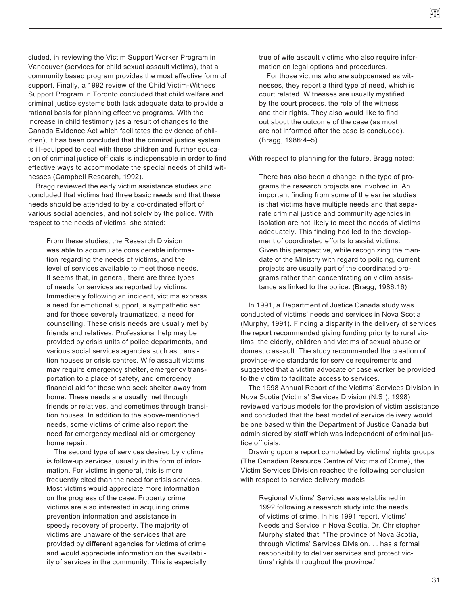cluded, in reviewing the Victim Support Worker Program in Vancouver (services for child sexual assault victims), that a community based program provides the most effective form of support. Finally, a 1992 review of the Child Victim-Witness Support Program in Toronto concluded that child welfare and criminal justice systems both lack adequate data to provide a rational basis for planning effective programs. With the increase in child testimony (as a result of changes to the Canada Evidence Act which facilitates the evidence of children), it has been concluded that the criminal justice system is ill-equipped to deal with these children and further education of criminal justice officials is indispensable in order to find effective ways to accommodate the special needs of child witnesses (Campbell Research, 1992).

Bragg reviewed the early victim assistance studies and concluded that victims had three basic needs and that these needs should be attended to by a co-ordinated effort of various social agencies, and not solely by the police. With respect to the needs of victims, she stated:

From these studies, the Research Division was able to accumulate considerable information regarding the needs of victims, and the level of services available to meet those needs. It seems that, in general, there are three types of needs for services as reported by victims. Immediately following an incident, victims express a need for emotional support, a sympathetic ear, and for those severely traumatized, a need for counselling. These crisis needs are usually met by friends and relatives. Professional help may be provided by crisis units of police departments, and various social services agencies such as transition houses or crisis centres. Wife assault victims may require emergency shelter, emergency transportation to a place of safety, and emergency financial aid for those who seek shelter away from home. These needs are usually met through friends or relatives, and sometimes through transition houses. In addition to the above-mentioned needs, some victims of crime also report the need for emergency medical aid or emergency home repair.

The second type of services desired by victims is follow-up services, usually in the form of information. For victims in general, this is more frequently cited than the need for crisis services. Most victims would appreciate more information on the progress of the case. Property crime victims are also interested in acquiring crime prevention information and assistance in speedy recovery of property. The majority of victims are unaware of the services that are provided by different agencies for victims of crime and would appreciate information on the availability of services in the community. This is especially true of wife assault victims who also require information on legal options and procedures.

For those victims who are subpoenaed as witnesses, they report a third type of need, which is court related. Witnesses are usually mystified by the court process, the role of the witness and their rights. They also would like to find out about the outcome of the case (as most are not informed after the case is concluded). (Bragg, 1986:4–5)

With respect to planning for the future, Bragg noted:

There has also been a change in the type of programs the research projects are involved in. An important finding from some of the earlier studies is that victims have multiple needs and that separate criminal justice and community agencies in isolation are not likely to meet the needs of victims adequately. This finding had led to the development of coordinated efforts to assist victims. Given this perspective, while recognizing the mandate of the Ministry with regard to policing, current projects are usually part of the coordinated programs rather than concentrating on victim assistance as linked to the police. (Bragg, 1986:16)

In 1991, a Department of Justice Canada study was conducted of victims' needs and services in Nova Scotia (Murphy, 1991). Finding a disparity in the delivery of services the report recommended giving funding priority to rural victims, the elderly, children and victims of sexual abuse or domestic assault. The study recommended the creation of province-wide standards for service requirements and suggested that a victim advocate or case worker be provided to the victim to facilitate access to services.

The 1998 Annual Report of the Victims' Services Division in Nova Scotia (Victims' Services Division (N.S.), 1998) reviewed various models for the provision of victim assistance and concluded that the best model of service delivery would be one based within the Department of Justice Canada but administered by staff which was independent of criminal justice officials.

Drawing upon a report completed by victims' rights groups (The Canadian Resource Centre of Victims of Crime), the Victim Services Division reached the following conclusion with respect to service delivery models:

Regional Victims' Services was established in 1992 following a research study into the needs of victims of crime. In his 1991 report, Victims' Needs and Service in Nova Scotia, Dr. Christopher Murphy stated that, "The province of Nova Scotia, through Victims' Services Division. . . has a formal responsibility to deliver services and protect victims' rights throughout the province."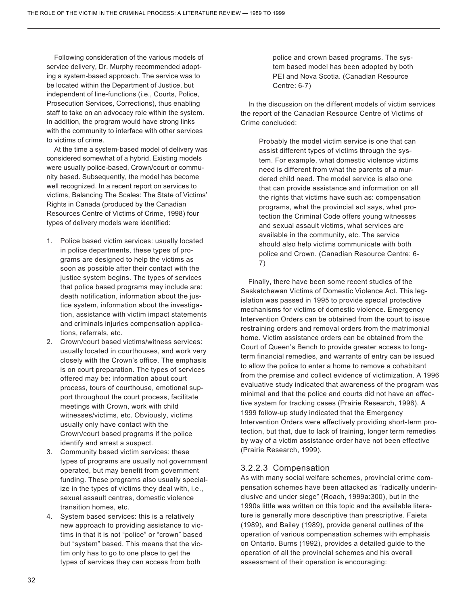Following consideration of the various models of service delivery, Dr. Murphy recommended adopting a system-based approach. The service was to be located within the Department of Justice, but independent of line-functions (i.e., Courts, Police, Prosecution Services, Corrections), thus enabling staff to take on an advocacy role within the system. In addition, the program would have strong links with the community to interface with other services to victims of crime.

At the time a system-based model of delivery was considered somewhat of a hybrid. Existing models were usually police-based, Crown/court or community based. Subsequently, the model has become well recognized. In a recent report on services to victims, Balancing The Scales: The State of Victims' Rights in Canada (produced by the Canadian Resources Centre of Victims of Crime, 1998) four types of delivery models were identified:

- 1. Police based victim services: usually located in police departments, these types of programs are designed to help the victims as soon as possible after their contact with the justice system begins. The types of services that police based programs may include are: death notification, information about the justice system, information about the investigation, assistance with victim impact statements and criminals injuries compensation applications, referrals, etc.
- 2. Crown/court based victims/witness services: usually located in courthouses, and work very closely with the Crown's office. The emphasis is on court preparation. The types of services offered may be: information about court process, tours of courthouse, emotional support throughout the court process, facilitate meetings with Crown, work with child witnesses/victims, etc. Obviously, victims usually only have contact with the Crown/court based programs if the police identify and arrest a suspect.
- 3. Community based victim services: these types of programs are usually not government operated, but may benefit from government funding. These programs also usually specialize in the types of victims they deal with, i.e., sexual assault centres, domestic violence transition homes, etc.
- 4. System based services: this is a relatively new approach to providing assistance to victims in that it is not "police" or "crown" based but "system" based. This means that the victim only has to go to one place to get the types of services they can access from both

police and crown based programs. The system based model has been adopted by both PEI and Nova Scotia. (Canadian Resource Centre: 6-7)

In the discussion on the different models of victim services the report of the Canadian Resource Centre of Victims of Crime concluded:

Probably the model victim service is one that can assist different types of victims through the system. For example, what domestic violence victims need is different from what the parents of a murdered child need. The model service is also one that can provide assistance and information on all the rights that victims have such as: compensation programs, what the provincial act says, what protection the Criminal Code offers young witnesses and sexual assault victims, what services are available in the community, etc. The service should also help victims communicate with both police and Crown. (Canadian Resource Centre: 6- 7)

Finally, there have been some recent studies of the Saskatchewan Victims of Domestic Violence Act. This legislation was passed in 1995 to provide special protective mechanisms for victims of domestic violence. Emergency Intervention Orders can be obtained from the court to issue restraining orders and removal orders from the matrimonial home. Victim assistance orders can be obtained from the Court of Queen's Bench to provide greater access to longterm financial remedies, and warrants of entry can be issued to allow the police to enter a home to remove a cohabitant from the premise and collect evidence of victimization. A 1996 evaluative study indicated that awareness of the program was minimal and that the police and courts did not have an effective system for tracking cases (Prairie Research, 1996). A 1999 follow-up study indicated that the Emergency Intervention Orders were effectively providing short-term protection, but that, due to lack of training, longer term remedies by way of a victim assistance order have not been effective (Prairie Research, 1999).

# 3.2.2.3 Compensation

As with many social welfare schemes, provincial crime compensation schemes have been attacked as "radically underinclusive and under siege" (Roach, 1999a:300), but in the 1990s little was written on this topic and the available literature is generally more descriptive than prescriptive. Faieta (1989), and Bailey (1989), provide general outlines of the operation of various compensation schemes with emphasis on Ontario. Burns (1992), provides a detailed guide to the operation of all the provincial schemes and his overall assessment of their operation is encouraging: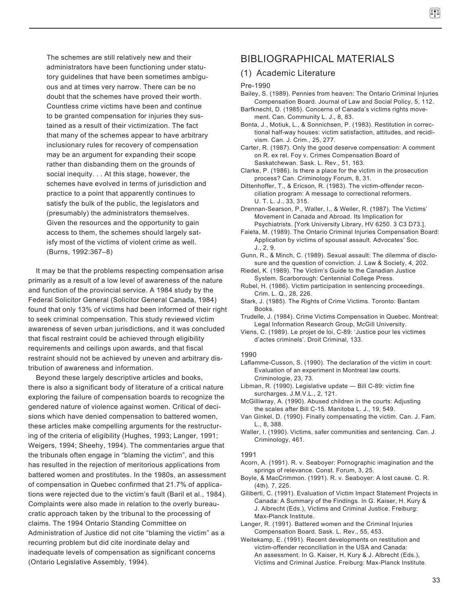The schemes are still relatively new and their administrators have been functioning under statutory guidelines that have been sometimes ambiguous and at times very narrow. There can be no doubt that the schemes have proved their worth. Countless crime victims have been and continue to be granted compensation for injuries they sustained as a result of their victimization. The fact that many of the schemes appear to have arbitrary inclusionary rules for recovery of compensation may be an argument for expanding their scope rather than disbanding them on the grounds of social inequity. . . At this stage, however, the schemes have evolved in terms of jurisdiction and practice to a point that apparently continues to satisfy the bulk of the public, the legislators and (presumably) the administrators themselves. Given the resources and the opportunity to gain access to them, the schemes should largely satisfy most of the victims of violent crime as well. (Burns, 1992:367–8)

It may be that the problems respecting compensation arise primarily as a result of a low level of awareness of the nature and function of the provincial service. A 1984 study by the Federal Solicitor General (Solicitor General Canada, 1984) found that only 13% of victims had been informed of their right to seek criminal compensation. This study reviewed victim awareness of seven urban jurisdictions, and it was concluded that fiscal restraint could be achieved through eligibility requirements and ceilings upon awards, and that fiscal restraint should not be achieved by uneven and arbitrary distribution of awareness and information.

Beyond these largely descriptive articles and books, there is also a significant body of literature of a critical nature exploring the failure of compensation boards to recognize the gendered nature of violence against women. Critical of decisions which have denied compensation to battered women, these articles make compelling arguments for the restructuring of the criteria of eligibility (Hughes, 1993; Langer, 1991; Weigers, 1994; Sheehy, 1994). The commentaries argue that the tribunals often engage in "blaming the victim", and this has resulted in the rejection of meritorious applications from battered women and prostitutes. In the 1980s, an assessment of compensation in Quebec confirmed that 21.7% of applications were rejected due to the victim's fault (Baril et al., 1984). Complaints were also made in relation to the overly bureaucratic approach taken by the tribunal to the processing of claims. The 1994 Ontario Standing Committee on Administration of Justice did not cite "blaming the victim" as a recurring problem but did cite inordinate delay and inadequate levels of compensation as significant concerns (Ontario Legislative Assembly, 1994).

# BIBLIOGRAPHICAL MATERIALS

# (1) Academic Literature

# Pre-1990

Bailey, S. (1989). Pennies from heaven: The Ontario Criminal Injuries Compensation Board. Journal of Law and Social Policy, 5, 112. Barfknecht, D. (1985). Concerns of Canada's victims rights move-

ment. Can. Community L. J., 8, 83. Bonta, J., Motiuk, L., & Sonnichsen, P. (1983). Restitution in correctional half-way houses: victim satisfaction, attitudes, and recidivism. Can. J. Crim., 25, 277.

Carter, R. (1987). Only the good deserve compensation: A comment on R. ex rel. Foy v. Crimes Compensation Board of Saskatchewan. Sask. L. Rev., 51, 163.

Clarke, P. (1986). Is there a place for the victim in the prosecution process? Can. Criminology Forum, 8, 31.

Dittenhoffer, T., & Ericson, R. (1983). The victim-offender reconciliation program: A message to correctional reformers. U. T. L. J., 33, 315.

Drennan-Searson, P., Waller, I., & Weiler, R. (1987). The Victims' Movement in Canada and Abroad. Its Implication for Psychiatrists. [York University Library, HV 6250. 3 C3 D73.].

Faieta, M. (1989). The Ontario Criminal Injuries Compensation Board: Application by victims of spousal assault. Advocates' Soc. J., 2, 9.

Gunn, R., & Minch, C. (1989). Sexual assault: The dilemma of disclosure and the question of conviction. J. Law & Society, 4, 202.

Riedel, K. (1989). The Victim's Guide to the Canadian Justice System. Scarborough: Centennial College Press.

Rubel, H. (1986). Victim participation in sentencing proceedings. Crim. L. Q., 28, 226.

- Stark, J. (1985). The Rights of Crime Victims. Toronto: Bantam Books.
- Trudelle, J. (1984). Crime Victims Compensation in Quebec. Montreal: Legal Information Research Group, McGill University.

# 1990

Laflamme-Cusson, S. (1990). The declaration of the victim in court: Evaluation of an experiment in Montreal law courts. Criminologie, 23, 73.

Libman, R. (1990). Legislative update — Bill C-89: victim fine surcharges. J.M.V.L., 2, 121.

- McGilliwray, A. (1990). Abused children in the courts: Adjusting the scales after Bill C-15. Manitoba L. J., 19, 549.
- Van Ginkel, D. (1990). Finally compensating the victim. Can. J. Fam. L., 8, 388.
- Waller, I. (1990). Victims, safer communities and sentencing. Can. J. Criminology, 461.

# 1991

Acorn, A. (1991). R. v. Seaboyer: Pornographic imagination and the springs of relevance. Const. Forum, 3, 25.

Boyle, & MacCrimmon. (1991). R. v. Seaboyer: A lost cause. C. R. (4th). 7, 225.

Giliberti, C. (1991). Evaluation of Victim Impact Statement Projects in Canada: A Summary of the Findings. In G. Kaiser, H. Kury & J. Albrecht (Eds.), Victims and Criminal Justice. Freiburg: Max-Planck Institute.

Langer, R. (1991). Battered women and the Criminal Injuries Compensation Board. Sask. L. Rev., 55, 453.

Weitekamp, E. (1991). Recent developments on restitution and victim-offender reconciliation in the USA and Canada: An assessment. In G. Kaiser, H. Kury & J. Albrecht (Eds.), Victims and Criminal Justice. Freiburg: Max-Planck Institute.

Viens, C. (1989). Le projet de loi, C-89: 'Justice pour les victimes d'actes criminels'. Droit Criminal, 133.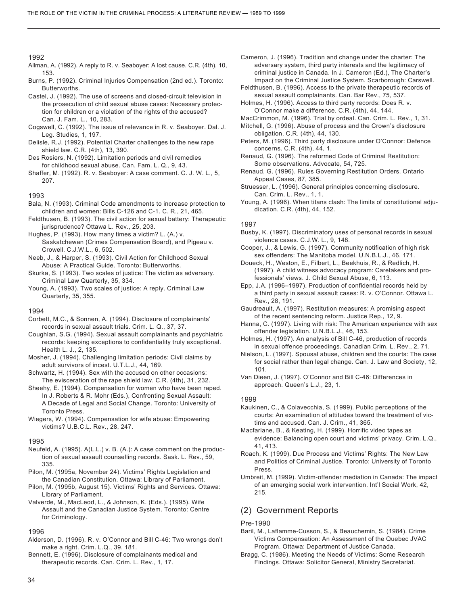#### 1992

- Allman, A. (1992). A reply to R. v. Seaboyer: A lost cause. C.R. (4th), 10, 153.
- Burns, P. (1992). Criminal Injuries Compensation (2nd ed.). Toronto: Butterworths.
- Castel, J. (1992). The use of screens and closed-circuit television in the prosecution of child sexual abuse cases: Necessary protection for children or a violation of the rights of the accused? Can. J. Fam. L., 10, 283.
- Cogswell, C. (1992). The issue of relevance in R. v. Seaboyer. Dal. J. Leg. Studies, 1, 197.
- Delisle, R.J. (1992). Potential Charter challenges to the new rape shield law. C.R. (4th), 13, 390.
- Des Rosiers, N. (1992). Limitation periods and civil remedies for childhood sexual abuse. Can. Fam. L. Q., 9, 43.
- Shaffer, M. (1992). R. v. Seaboyer: A case comment. C. J. W. L., 5, 207.

#### 1993

- Bala, N. (1993). Criminal Code amendments to increase protection to children and women: Bills C-126 and C-1. C. R., 21, 465.
- Feldthusen, B. (1993). The civil action for sexual battery: Therapeutic jurisprudence? Ottawa L. Rev., 25, 203.
- Hughes, P. (1993). How many times a victim? L. (A.) v. Saskatchewan (Crimes Compensation Board), and Pigeau v. Crowell. C.J.W.L., 6, 502.
- Neeb, J., & Harper, S. (1993). Civil Action for Childhood Sexual Abuse: A Practical Guide. Toronto: Butterworths.
- Skurka, S. (1993). Two scales of justice: The victim as adversary. Criminal Law Quarterly, 35, 334.
- Young, A. (1993). Two scales of justice: A reply. Criminal Law Quarterly, 35, 355.

#### 1994

- Corbett, M.C., & Sonnen, A. (1994). Disclosure of complainants' records in sexual assault trials. Crim. L. Q., 37, 37.
- Coughlan, S.G. (1994). Sexual assault complainants and psychiatric records: keeping exceptions to confidentiality truly exceptional. Health L. J., 2, 135.
- Mosher, J. (1994). Challenging limitation periods: Civil claims by adult survivors of incest. U.T.L.J., 44, 169.
- Schwartz, H. (1994). Sex with the accused on other occasions: The evisceration of the rape shield law. C.R. (4th), 31, 232.
- Sheehy, E. (1994). Compensation for women who have been raped. In J. Roberts & R. Mohr (Eds.), Confronting Sexual Assault: A Decade of Legal and Social Change. Toronto: University of Toronto Press.
- Wiegers, W. (1994). Compensation for wife abuse: Empowering victims? U.B.C.L. Rev., 28, 247.

#### 1995

- Neufeld, A. (1995). A(L.L.) v. B. (A.): A case comment on the production of sexual assault counselling records. Sask. L. Rev., 59, 335.
- Pilon, M. (1995a, November 24). Victims' Rights Legislation and the Canadian Constitution. Ottawa: Library of Parliament.
- Pilon, M. (1995b, August 15). Victims' Rights and Services. Ottawa: Library of Parliament.
- Valverde, M., MacLeod, L., & Johnson, K. (Eds.). (1995). Wife Assault and the Canadian Justice System. Toronto: Centre for Criminology.

#### 1996

- Alderson, D. (1996). R. v. O'Connor and Bill C-46: Two wrongs don't make a right. Crim. L.Q., 39, 181.
- Bennett, E. (1996). Disclosure of complainants medical and therapeutic records. Can. Crim. L. Rev., 1, 17.
- Cameron, J. (1996). Tradition and change under the charter: The adversary system, third party interests and the legitimacy of criminal justice in Canada. In J. Cameron (Ed.), The Charter's Impact on the Criminal Justice System. Scarborough: Carswell.
- Feldthusen, B. (1996). Access to the private therapeutic records of sexual assault complainants. Can. Bar Rev., 75, 537.
- Holmes, H. (1996). Access to third party records: Does R. v. O'Connor make a difference. C.R. (4th), 44, 144.
- MacCrimmon, M. (1996). Trial by ordeal. Can. Crim. L. Rev., 1, 31.
- Mitchell, G. (1996). Abuse of process and the Crown's disclosure obligation. C.R. (4th), 44, 130.
- Peters, M. (1996). Third party disclosure under O'Connor: Defence concerns. C.R. (4th), 44, 1.
- Renaud, G. (1996). The reformed Code of Criminal Restitution: Some observations. Advocate, 54, 725.
- Renaud, G. (1996). Rules Governing Restitution Orders. Ontario Appeal Cases, 87, 385.
- Struesser, L. (1996). General principles concerning disclosure. Can. Crim. L. Rev., 1, 1.
- Young, A. (1996). When titans clash: The limits of constitutional adjudication. C.R. (4th), 44, 152.

#### 1997

- Busby, K. (1997). Discriminatory uses of personal records in sexual violence cases. C.J.W. L., 9, 148.
- Cooper, J., & Lewis, G. (1997). Community notification of high risk sex offenders: The Manitoba model. U.N.B.L.J., 46, 171.
- Doueck, H., Weston, E., Filbert, L., Beekhuis, R., & Redlich, H. (1997). A child witness advocacy program: Caretakers and professionals' views. J. Child Sexual Abuse, 6, 113.
- Epp, J.A. (1996–1997). Production of confidential records held by a third party in sexual assault cases: R. v. O'Connor. Ottawa L. Rev., 28, 191.
- Gaudreault, A. (1997). Restitution measures: A promising aspect of the recent sentencing reform. Justice Rep., 12, 9.
- Hanna, C. (1997). Living with risk: The American experience with sex offender legislation. U.N.B.L.J., 46, 153.
- Holmes, H. (1997). An analysis of Bill C-46, production of records in sexual offence proceedings. Canadian Crim. L. Rev., 2, 71.
- Nielson, L. (1997). Spousal abuse, children and the courts: The case for social rather than legal change. Can. J. Law and Society, 12, 101.
- Van Dieen, J. (1997). O'Connor and Bill C-46: Differences in approach. Queen's L.J., 23, 1.

#### 1999

Kaukinen, C., & Colavecchia, S. (1999). Public perceptions of the courts: An examination of attitudes toward the treatment of victims and accused. Can. J. Crim., 41, 365.

Macfarlane, B., & Keating, H. (1999). Horrific video tapes as evidence: Balancing open court and victims' privacy. Crim. L.Q., 41, 413.

- Roach, K. (1999). Due Process and Victims' Rights: The New Law and Politics of Criminal Justice. Toronto: University of Toronto Press.
- Umbreit, M. (1999). Victim-offender mediation in Canada: The impact of an emerging social work intervention. Int'l Social Work, 42, 215.

# (2) Government Reports

#### Pre-1990

- Baril, M., Laflamme-Cusson, S., & Beauchemin, S. (1984). Crime Victims Compensation: An Assessment of the Quebec JVAC Program. Ottawa: Department of Justice Canada.
- Bragg, C. (1986). Meeting the Needs of Victims: Some Research Findings. Ottawa: Solicitor General, Ministry Secretariat.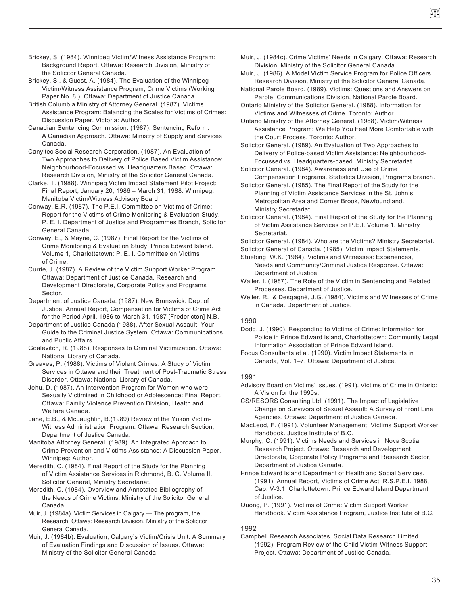Brickey, S. (1984). Winnipeg Victim/Witness Assistance Program: Background Report. Ottawa: Research Division, Ministry of the Solicitor General Canada.

Brickey, S., & Guest, A. (1984). The Evaluation of the Winnipeg Victim/Witness Assistance Program, Crime Victims (Working Paper No. 8.). Ottawa: Department of Justice Canada.

British Columbia Ministry of Attorney General. (1987). Victims Assistance Program: Balancing the Scales for Victims of Crimes: Discussion Paper. Victoria: Author.

Canadian Sentencing Commission. (1987). Sentencing Reform: A Canadian Approach. Ottawa: Ministry of Supply and Services Canada.

Canyltec Social Research Corporation. (1987). An Evaluation of Two Approaches to Delivery of Police Based Victim Assistance: Neighbourhood-Focussed vs. Headquarters Based. Ottawa: Research Division, Ministry of the Solicitor General Canada.

Clarke, T. (1988). Winnipeg Victim Impact Statement Pilot Project: Final Report, January 20, 1986 – March 31, 1988. Winnipeg: Manitoba Victim/Witness Advisory Board.

Conway, E.R. (1987). The P.E.I. Committee on Victims of Crime: Report for the Victims of Crime Monitoring & Evaluation Study. P. E. I. Department of Justice and Programmes Branch, Solicitor General Canada.

Conway, E., & Mayne, C. (1987). Final Report for the Victims of Crime Monitoring & Evaluation Study, Prince Edward Island. Volume 1, Charlottetown: P. E. I. Committee on Victims of Crime.

Currie, J. (1987). A Review of the Victim Support Worker Program. Ottawa: Department of Justice Canada, Research and Development Directorate, Corporate Policy and Programs Sector.

Department of Justice Canada. (1987). New Brunswick. Dept of Justice. Annual Report, Compensation for Victims of Crime Act for the Period April, 1986 to March 31, 1987 [Fredericton] N.B.

Department of Justice Canada (1988). After Sexual Assault: Your Guide to the Criminal Justice System. Ottawa: Communications and Public Affairs.

Gdalevitch, R. (1988). Responses to Criminal Victimization. Ottawa: National Library of Canada.

Greaves, P. (1988). Victims of Violent Crimes: A Study of Victim Services in Ottawa and their Treatment of Post-Traumatic Stress Disorder. Ottawa: National Library of Canada.

Jehu, D. (1987). An Intervention Program for Women who were Sexually Victimized in Childhood or Adolescence: Final Report. Ottawa: Family Violence Prevention Division, Health and Welfare Canada.

Lane, E.B., & McLaughlin, B.(1989) Review of the Yukon Victim-Witness Administration Program. Ottawa: Research Section, Department of Justice Canada.

Manitoba Attorney General. (1989). An Integrated Approach to Crime Prevention and Victims Assistance: A Discussion Paper. Winnipeg: Author.

Meredith, C. (1984). Final Report of the Study for the Planning of Victim Assistance Services in Richmond, B. C. Volume II. Solicitor General, Ministry Secretariat.

Meredith, C. (1984). Overview and Annotated Bibliography of the Needs of Crime Victims. Ministry of the Solicitor General Canada.

Muir, J. (1984a). Victim Services in Calgary — The program, the Research. Ottawa: Research Division, Ministry of the Solicitor General Canada.

Muir, J. (1984b). Evaluation, Calgary's Victim/Crisis Unit: A Summary of Evaluation Findings and Discussion of Issues. Ottawa: Ministry of the Solicitor General Canada.

Muir, J. (1984c). Crime Victims' Needs in Calgary. Ottawa: Research Division, Ministry of the Solicitor General Canada.

Muir, J. (1986). A Model Victim Service Program for Police Officers. Research Division, Ministry of the Solicitor General Canada.

National Parole Board. (1989). Victims: Questions and Answers on Parole. Communications Division, National Parole Board.

Ontario Ministry of the Solicitor General. (1988). Information for Victims and Witnesses of Crime. Toronto: Author.

Ontario Ministry of the Attorney General. (1988). Victim/Witness Assistance Program: We Help You Feel More Comfortable with the Court Process. Toronto: Author.

Solicitor General. (1989). An Evaluation of Two Approaches to Delivery of Police-based Victim Assistance: Neighbourhood-Focussed vs. Headquarters-based. Ministry Secretariat.

Solicitor General. (1984). Awareness and Use of Crime Compensation Programs. Statistics Division, Programs Branch.

Solicitor General. (1985). The Final Report of the Study for the Planning of Victim Assistance Services in the St. John's Metropolitan Area and Corner Brook, Newfoundland. Ministry Secretariat.

Solicitor General. (1984). Final Report of the Study for the Planning of Victim Assistance Services on P.E.I. Volume 1. Ministry Secretariat.

Solicitor General. (1984). Who are the Victims? Ministry Secretariat. Solicitor General of Canada. (1985). Victim Impact Statements.

Stuebing, W.K. (1984). Victims and Witnesses: Experiences, Needs and Community/Criminal Justice Response. Ottawa: Department of Justice.

Waller, I. (1987). The Role of the Victim in Sentencing and Related Processes. Department of Justice.

# 1990

Dodd, J. (1990). Responding to Victims of Crime: Information for Police in Prince Edward Island, Charlottetown: Community Legal Information Association of Prince Edward Island.

Focus Consultants et al. (1990). Victim Impact Statements in Canada, Vol. 1–7. Ottawa: Department of Justice.

#### 1991

Advisory Board on Victims' Issues. (1991). Victims of Crime in Ontario: A Vision for the 1990s.

CS/RESORS Consulting Ltd. (1991). The Impact of Legislative Change on Survivors of Sexual Assault: A Survey of Front Line Agencies. Ottawa: Department of Justice Canada.

MacLeod, F. (1991). Volunteer Management: Victims Support Worker Handbook. Justice Institute of B.C.

Murphy, C. (1991). Victims Needs and Services in Nova Scotia Research Project. Ottawa: Research and Development Directorate, Corporate Policy Programs and Research Sector, Department of Justice Canada.

Prince Edward Island Department of Health and Social Services. (1991). Annual Report, Victims of Crime Act, R.S.P.E.I. 1988, Cap. V-3.1. Charlottetown: Prince Edward Island Department of Justice.

Quong, P. (1991). Victims of Crime: Victim Support Worker Handbook. Victim Assistance Program, Justice Institute of B.C.

Weiler, R., & Desgagné, J.G. (1984). Victims and Witnesses of Crime in Canada. Department of Justice.

Campbell Research Associates, Social Data Research Limited. (1992). Program Review of the Child Victim-Witness Support Project. Ottawa: Department of Justice Canada.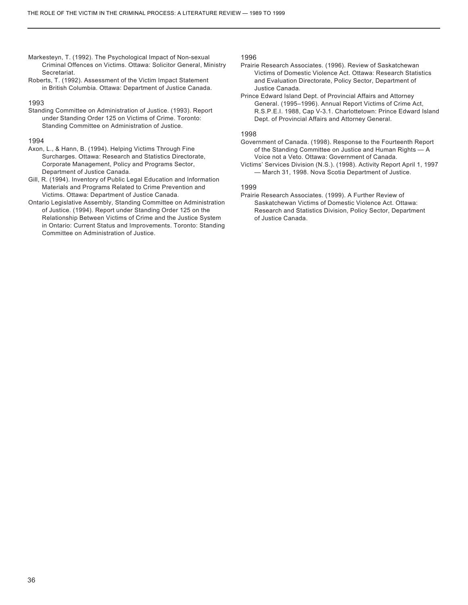- Markesteyn, T. (1992). The Psychological Impact of Non-sexual Criminal Offences on Victims. Ottawa: Solicitor General, Ministry Secretariat.
- Roberts, T. (1992). Assessment of the Victim Impact Statement in British Columbia. Ottawa: Department of Justice Canada.

#### 1993

Standing Committee on Administration of Justice. (1993). Report under Standing Order 125 on Victims of Crime. Toronto: Standing Committee on Administration of Justice.

#### 1994

- Axon, L., & Hann, B. (1994). Helping Victims Through Fine Surcharges. Ottawa: Research and Statistics Directorate, Corporate Management, Policy and Programs Sector, Department of Justice Canada.
- Gill, R. (1994). Inventory of Public Legal Education and Information Materials and Programs Related to Crime Prevention and Victims. Ottawa: Department of Justice Canada.
- Ontario Legislative Assembly, Standing Committee on Administration of Justice. (1994). Report under Standing Order 125 on the Relationship Between Victims of Crime and the Justice System in Ontario: Current Status and Improvements. Toronto: Standing Committee on Administration of Justice.

1996

- Prairie Research Associates. (1996). Review of Saskatchewan Victims of Domestic Violence Act. Ottawa: Research Statistics and Evaluation Directorate, Policy Sector, Department of Justice Canada.
- Prince Edward Island Dept. of Provincial Affairs and Attorney General. (1995–1996). Annual Report Victims of Crime Act, R.S.P.E.I. 1988, Cap V-3.1. Charlottetown: Prince Edward Island Dept. of Provincial Affairs and Attorney General.

#### 1998

- Government of Canada. (1998). Response to the Fourteenth Report of the Standing Committee on Justice and Human Rights — A Voice not a Veto. Ottawa: Government of Canada.
- Victims' Services Division (N.S.). (1998). Activity Report April 1, 1997 — March 31, 1998. Nova Scotia Department of Justice.

#### 1999

Prairie Research Associates. (1999). A Further Review of Saskatchewan Victims of Domestic Violence Act. Ottawa: Research and Statistics Division, Policy Sector, Department of Justice Canada.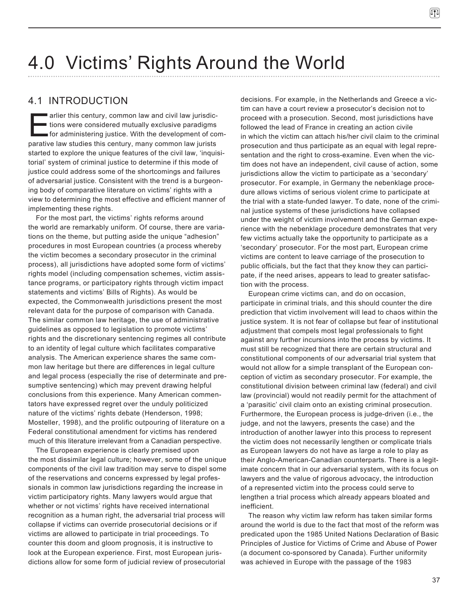# 4.0 Victims' Rights Around the World

# 4.1 INTRODUCTION

arlier this century, common law and civil law jurisdictions were considered mutually exclusive paradigms for administering justice. With the development of comparative law studies this century, many common law jurists started to explore the unique features of the civil law, 'inquisitorial' system of criminal justice to determine if this mode of justice could address some of the shortcomings and failures of adversarial justice. Consistent with the trend is a burgeoning body of comparative literature on victims' rights with a view to determining the most effective and efficient manner of implementing these rights.

For the most part, the victims' rights reforms around the world are remarkably uniform. Of course, there are variations on the theme, but putting aside the unique "adhesion" procedures in most European countries (a process whereby the victim becomes a secondary prosecutor in the criminal process), all jurisdictions have adopted some form of victims' rights model (including compensation schemes, victim assistance programs, or participatory rights through victim impact statements and victims' Bills of Rights). As would be expected, the Commonwealth jurisdictions present the most relevant data for the purpose of comparison with Canada. The similar common law heritage, the use of administrative guidelines as opposed to legislation to promote victims' rights and the discretionary sentencing regimes all contribute to an identity of legal culture which facilitates comparative analysis. The American experience shares the same common law heritage but there are differences in legal culture and legal process (especially the rise of determinate and presumptive sentencing) which may prevent drawing helpful conclusions from this experience. Many American commentators have expressed regret over the unduly politicized nature of the victims' rights debate (Henderson, 1998; Mosteller, 1998), and the prolific outpouring of literature on a Federal constitutional amendment for victims has rendered much of this literature irrelevant from a Canadian perspective.

The European experience is clearly premised upon the most dissimilar legal culture; however, some of the unique components of the civil law tradition may serve to dispel some of the reservations and concerns expressed by legal professionals in common law jurisdictions regarding the increase in victim participatory rights. Many lawyers would argue that whether or not victims' rights have received international recognition as a human right, the adversarial trial process will collapse if victims can override prosecutorial decisions or if victims are allowed to participate in trial proceedings. To counter this doom and gloom prognosis, it is instructive to look at the European experience. First, most European jurisdictions allow for some form of judicial review of prosecutorial

decisions. For example, in the Netherlands and Greece a victim can have a court review a prosecutor's decision not to proceed with a prosecution. Second, most jurisdictions have followed the lead of France in creating an action civile in which the victim can attach his/her civil claim to the criminal prosecution and thus participate as an equal with legal representation and the right to cross-examine. Even when the victim does not have an independent, civil cause of action, some jurisdictions allow the victim to participate as a 'secondary' prosecutor. For example, in Germany the nebenklage procedure allows victims of serious violent crime to participate at the trial with a state-funded lawyer. To date, none of the criminal justice systems of these jurisdictions have collapsed under the weight of victim involvement and the German experience with the nebenklage procedure demonstrates that very few victims actually take the opportunity to participate as a 'secondary' prosecutor. For the most part, European crime victims are content to leave carriage of the prosecution to public officials, but the fact that they know they can participate, if the need arises, appears to lead to greater satisfaction with the process.

European crime victims can, and do on occasion, participate in criminal trials, and this should counter the dire prediction that victim involvement will lead to chaos within the justice system. It is not fear of collapse but fear of institutional adjustment that compels most legal professionals to fight against any further incursions into the process by victims. It must still be recognized that there are certain structural and constitutional components of our adversarial trial system that would not allow for a simple transplant of the European conception of victim as secondary prosecutor. For example, the constitutional division between criminal law (federal) and civil law (provincial) would not readily permit for the attachment of a 'parasitic' civil claim onto an existing criminal prosecution. Furthermore, the European process is judge-driven (i.e., the judge, and not the lawyers, presents the case) and the introduction of another lawyer into this process to represent the victim does not necessarily lengthen or complicate trials as European lawyers do not have as large a role to play as their Anglo-American-Canadian counterparts. There is a legitimate concern that in our adversarial system, with its focus on lawyers and the value of rigorous advocacy, the introduction of a represented victim into the process could serve to lengthen a trial process which already appears bloated and inefficient.

The reason why victim law reform has taken similar forms around the world is due to the fact that most of the reform was predicated upon the 1985 United Nations Declaration of Basic Principles of Justice for Victims of Crime and Abuse of Power (a document co-sponsored by Canada). Further uniformity was achieved in Europe with the passage of the 1983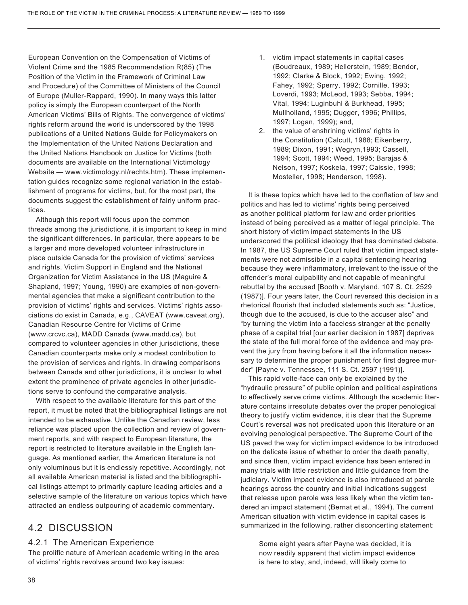European Convention on the Compensation of Victims of Violent Crime and the 1985 Recommendation R(85) (The Position of the Victim in the Framework of Criminal Law and Procedure) of the Committee of Ministers of the Council of Europe (Muller-Rappard, 1990). In many ways this latter policy is simply the European counterpart of the North American Victims' Bills of Rights. The convergence of victims' rights reform around the world is underscored by the 1998 publications of a United Nations Guide for Policymakers on the Implementation of the United Nations Declaration and the United Nations Handbook on Justice for Victims (both documents are available on the International Victimology Website — www.victimology.nl/rechts.htm). These implementation guides recognize some regional variation in the establishment of programs for victims, but, for the most part, the documents suggest the establishment of fairly uniform practices.

Although this report will focus upon the common threads among the jurisdictions, it is important to keep in mind the significant differences. In particular, there appears to be a larger and more developed volunteer infrastructure in place outside Canada for the provision of victims' services and rights. Victim Support in England and the National Organization for Victim Assistance in the US (Maguire & Shapland, 1997; Young, 1990) are examples of non-governmental agencies that make a significant contribution to the provision of victims' rights and services. Victims' rights associations do exist in Canada, e.g., CAVEAT (www.caveat.org), Canadian Resource Centre for Victims of Crime (www.crcvc.ca), MADD Canada (www.madd.ca), but compared to volunteer agencies in other jurisdictions, these Canadian counterparts make only a modest contribution to the provision of services and rights. In drawing comparisons between Canada and other jurisdictions, it is unclear to what extent the prominence of private agencies in other jurisdictions serve to confound the comparative analysis.

With respect to the available literature for this part of the report, it must be noted that the bibliographical listings are not intended to be exhaustive. Unlike the Canadian review, less reliance was placed upon the collection and review of government reports, and with respect to European literature, the report is restricted to literature available in the English language. As mentioned earlier, the American literature is not only voluminous but it is endlessly repetitive. Accordingly, not all available American material is listed and the bibliographical listings attempt to primarily capture leading articles and a selective sample of the literature on various topics which have attracted an endless outpouring of academic commentary.

# 4.2 DISCUSSION

# 4.2.1 The American Experience

The prolific nature of American academic writing in the area of victims' rights revolves around two key issues:

- 1. victim impact statements in capital cases (Boudreaux, 1989; Hellerstein, 1989; Bendor, 1992; Clarke & Block, 1992; Ewing, 1992; Fahey, 1992; Sperry, 1992; Cornille, 1993; Loverdi, 1993; McLeod, 1993; Sebba, 1994; Vital, 1994; Luginbuhl & Burkhead, 1995; Mullholland, 1995; Dugger, 1996; Phillips, 1997; Logan, 1999); and,
- 2. the value of enshrining victims' rights in the Constitution (Calcutt, 1988; Eikenberry, 1989; Dixon, 1991; Wegryn,1993; Cassell, 1994; Scott, 1994; Weed, 1995; Barajas & Nelson, 1997; Koskela, 1997; Caissie, 1998; Mosteller, 1998; Henderson, 1998).

It is these topics which have led to the conflation of law and politics and has led to victims' rights being perceived as another political platform for law and order priorities instead of being perceived as a matter of legal principle. The short history of victim impact statements in the US underscored the political ideology that has dominated debate. In 1987, the US Supreme Court ruled that victim impact statements were not admissible in a capital sentencing hearing because they were inflammatory, irrelevant to the issue of the offender's moral culpability and not capable of meaningful rebuttal by the accused [Booth v. Maryland, 107 S. Ct. 2529 (1987)]. Four years later, the Court reversed this decision in a rhetorical flourish that included statements such as: "Justice, though due to the accused, is due to the accuser also" and "by turning the victim into a faceless stranger at the penalty phase of a capital trial [our earlier decision in 1987] deprives the state of the full moral force of the evidence and may prevent the jury from having before it all the information necessary to determine the proper punishment for first degree murder" [Payne v. Tennessee, 111 S. Ct. 2597 (1991)].

This rapid volte-face can only be explained by the "hydraulic pressure" of public opinion and political aspirations to effectively serve crime victims. Although the academic literature contains irresolute debates over the proper penological theory to justify victim evidence, it is clear that the Supreme Court's reversal was not predicated upon this literature or an evolving penological perspective. The Supreme Court of the US paved the way for victim impact evidence to be introduced on the delicate issue of whether to order the death penalty, and since then, victim impact evidence has been entered in many trials with little restriction and little guidance from the judiciary. Victim impact evidence is also introduced at parole hearings across the country and initial indications suggest that release upon parole was less likely when the victim tendered an impact statement (Bernat et al., 1994). The current American situation with victim evidence in capital cases is summarized in the following, rather disconcerting statement:

Some eight years after Payne was decided, it is now readily apparent that victim impact evidence is here to stay, and, indeed, will likely come to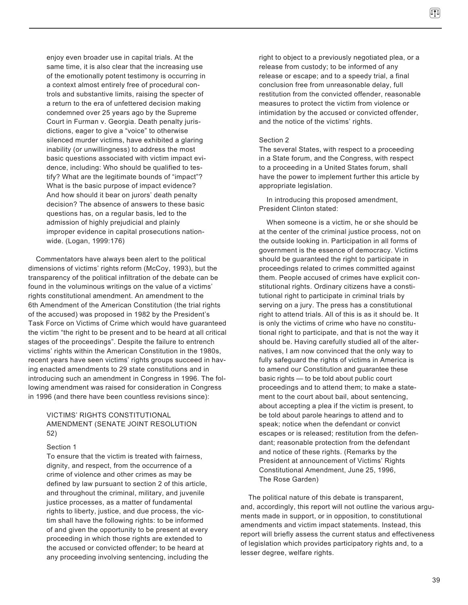enjoy even broader use in capital trials. At the same time, it is also clear that the increasing use of the emotionally potent testimony is occurring in a context almost entirely free of procedural controls and substantive limits, raising the specter of a return to the era of unfettered decision making condemned over 25 years ago by the Supreme Court in Furman v. Georgia. Death penalty jurisdictions, eager to give a "voice" to otherwise silenced murder victims, have exhibited a glaring inability (or unwillingness) to address the most basic questions associated with victim impact evidence, including: Who should be qualified to testify? What are the legitimate bounds of "impact"? What is the basic purpose of impact evidence? And how should it bear on jurors' death penalty decision? The absence of answers to these basic questions has, on a regular basis, led to the admission of highly prejudicial and plainly improper evidence in capital prosecutions nationwide. (Logan, 1999:176)

Commentators have always been alert to the political dimensions of victims' rights reform (McCoy, 1993), but the transparency of the political infiltration of the debate can be found in the voluminous writings on the value of a victims' rights constitutional amendment. An amendment to the 6th Amendment of the American Constitution (the trial rights of the accused) was proposed in 1982 by the President's Task Force on Victims of Crime which would have guaranteed the victim "the right to be present and to be heard at all critical stages of the proceedings". Despite the failure to entrench victims' rights within the American Constitution in the 1980s, recent years have seen victims' rights groups succeed in having enacted amendments to 29 state constitutions and in introducing such an amendment in Congress in 1996. The following amendment was raised for consideration in Congress in 1996 (and there have been countless revisions since):

# VICTIMS' RIGHTS CONSTITUTIONAL AMENDMENT (SENATE JOINT RESOLUTION 52)

#### Section 1

To ensure that the victim is treated with fairness, dignity, and respect, from the occurrence of a crime of violence and other crimes as may be defined by law pursuant to section 2 of this article, and throughout the criminal, military, and juvenile justice processes, as a matter of fundamental rights to liberty, justice, and due process, the victim shall have the following rights: to be informed of and given the opportunity to be present at every proceeding in which those rights are extended to the accused or convicted offender; to be heard at any proceeding involving sentencing, including the

right to object to a previously negotiated plea, or a release from custody; to be informed of any release or escape; and to a speedy trial, a final conclusion free from unreasonable delay, full restitution from the convicted offender, reasonable measures to protect the victim from violence or intimidation by the accused or convicted offender, and the notice of the victims' rights.

### Section 2

The several States, with respect to a proceeding in a State forum, and the Congress, with respect to a proceeding in a United States forum, shall have the power to implement further this article by appropriate legislation.

In introducing this proposed amendment, President Clinton stated:

When someone is a victim, he or she should be at the center of the criminal justice process, not on the outside looking in. Participation in all forms of government is the essence of democracy. Victims should be guaranteed the right to participate in proceedings related to crimes committed against them. People accused of crimes have explicit constitutional rights. Ordinary citizens have a constitutional right to participate in criminal trials by serving on a jury. The press has a constitutional right to attend trials. All of this is as it should be. It is only the victims of crime who have no constitutional right to participate, and that is not the way it should be. Having carefully studied all of the alternatives, I am now convinced that the only way to fully safeguard the rights of victims in America is to amend our Constitution and guarantee these basic rights — to be told about public court proceedings and to attend them; to make a statement to the court about bail, about sentencing, about accepting a plea if the victim is present, to be told about parole hearings to attend and to speak; notice when the defendant or convict escapes or is released; restitution from the defendant; reasonable protection from the defendant and notice of these rights. (Remarks by the President at announcement of Victims' Rights Constitutional Amendment, June 25, 1996, The Rose Garden)

The political nature of this debate is transparent, and, accordingly, this report will not outline the various arguments made in support, or in opposition, to constitutional amendments and victim impact statements. Instead, this report will briefly assess the current status and effectiveness of legislation which provides participatory rights and, to a lesser degree, welfare rights.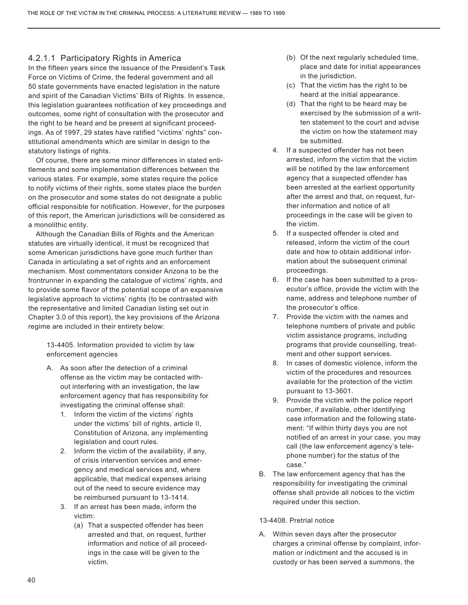# 4.2.1.1 Participatory Rights in America

In the fifteen years since the issuance of the President's Task Force on Victims of Crime, the federal government and all 50 state governments have enacted legislation in the nature and spirit of the Canadian Victims' Bills of Rights. In essence, this legislation guarantees notification of key proceedings and outcomes, some right of consultation with the prosecutor and the right to be heard and be present at significant proceedings. As of 1997, 29 states have ratified "victims' rights" constitutional amendments which are similar in design to the statutory listings of rights.

Of course, there are some minor differences in stated entitlements and some implementation differences between the various states. For example, some states require the police to notify victims of their rights, some states place the burden on the prosecutor and some states do not designate a public official responsible for notification. However, for the purposes of this report, the American jurisdictions will be considered as a monolithic entity.

Although the Canadian Bills of Rights and the American statutes are virtually identical, it must be recognized that some American jurisdictions have gone much further than Canada in articulating a set of rights and an enforcement mechanism. Most commentators consider Arizona to be the frontrunner in expanding the catalogue of victims' rights, and to provide some flavor of the potential scope of an expansive legislative approach to victims' rights (to be contrasted with the representative and limited Canadian listing set out in Chapter 3.0 of this report), the key provisions of the Arizona regime are included in their entirety below:

13-4405. Information provided to victim by law enforcement agencies

- A. As soon after the detection of a criminal offense as the victim may be contacted without interfering with an investigation, the law enforcement agency that has responsibility for investigating the criminal offense shall:
	- 1. Inform the victim of the victims' rights under the victims' bill of rights, article II, Constitution of Arizona, any implementing legislation and court rules.
	- 2. Inform the victim of the availability, if any, of crisis intervention services and emergency and medical services and, where applicable, that medical expenses arising out of the need to secure evidence may be reimbursed pursuant to 13-1414.
	- 3. If an arrest has been made, inform the victim:
		- (a) That a suspected offender has been arrested and that, on request, further information and notice of all proceedings in the case will be given to the victim.
- (b) Of the next regularly scheduled time, place and date for initial appearances in the jurisdiction.
- (c) That the victim has the right to be heard at the initial appearance.
- (d) That the right to be heard may be exercised by the submission of a written statement to the court and advise the victim on how the statement may be submitted.
- 4. If a suspected offender has not been arrested, inform the victim that the victim will be notified by the law enforcement agency that a suspected offender has been arrested at the earliest opportunity after the arrest and that, on request, further information and notice of all proceedings in the case will be given to the victim.
- 5. If a suspected offender is cited and released, inform the victim of the court date and how to obtain additional information about the subsequent criminal proceedings.
- 6. If the case has been submitted to a prosecutor's office, provide the victim with the name, address and telephone number of the prosecutor's office.
- 7. Provide the victim with the names and telephone numbers of private and public victim assistance programs, including programs that provide counselling, treatment and other support services.
- 8. In cases of domestic violence, inform the victim of the procedures and resources available for the protection of the victim pursuant to 13-3601.
- 9. Provide the victim with the police report number, if available, other identifying case information and the following statement: "If within thirty days you are not notified of an arrest in your case, you may call (the law enforcement agency's telephone number) for the status of the case."
- B. The law enforcement agency that has the responsibility for investigating the criminal offense shall provide all notices to the victim required under this section.

# 13-4408. Pretrial notice

A. Within seven days after the prosecutor charges a criminal offense by complaint, information or indictment and the accused is in custody or has been served a summons, the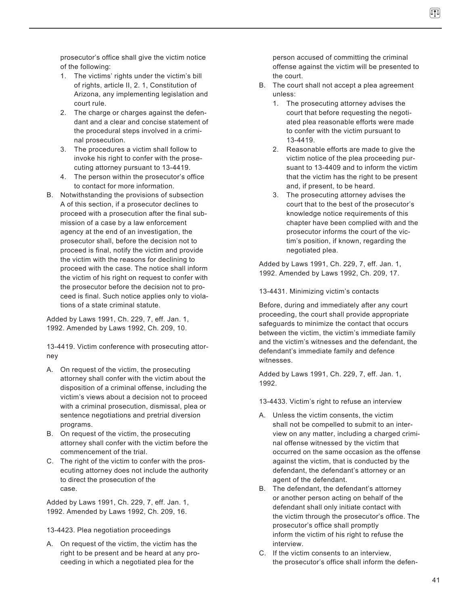prosecutor's office shall give the victim notice of the following:

- 1. The victims' rights under the victim's bill of rights, article II, 2. 1, Constitution of Arizona, any implementing legislation and court rule.
- 2. The charge or charges against the defendant and a clear and concise statement of the procedural steps involved in a criminal prosecution.
- 3. The procedures a victim shall follow to invoke his right to confer with the prosecuting attorney pursuant to 13-4419.
- 4. The person within the prosecutor's office to contact for more information.
- B. Notwithstanding the provisions of subsection A of this section, if a prosecutor declines to proceed with a prosecution after the final submission of a case by a law enforcement agency at the end of an investigation, the prosecutor shall, before the decision not to proceed is final, notify the victim and provide the victim with the reasons for declining to proceed with the case. The notice shall inform the victim of his right on request to confer with the prosecutor before the decision not to proceed is final. Such notice applies only to violations of a state criminal statute.

Added by Laws 1991, Ch. 229, 7, eff. Jan. 1, 1992. Amended by Laws 1992, Ch. 209, 10.

13-4419. Victim conference with prosecuting attorney

- A. On request of the victim, the prosecuting attorney shall confer with the victim about the disposition of a criminal offense, including the victim's views about a decision not to proceed with a criminal prosecution, dismissal, plea or sentence negotiations and pretrial diversion programs.
- B. On request of the victim, the prosecuting attorney shall confer with the victim before the commencement of the trial.
- C. The right of the victim to confer with the prosecuting attorney does not include the authority to direct the prosecution of the case.

Added by Laws 1991, Ch. 229, 7, eff. Jan. 1, 1992. Amended by Laws 1992, Ch. 209, 16.

13-4423. Plea negotiation proceedings

A. On request of the victim, the victim has the right to be present and be heard at any proceeding in which a negotiated plea for the

person accused of committing the criminal offense against the victim will be presented to the court.

- B. The court shall not accept a plea agreement unless:
	- 1. The prosecuting attorney advises the court that before requesting the negotiated plea reasonable efforts were made to confer with the victim pursuant to 13-4419.
	- 2. Reasonable efforts are made to give the victim notice of the plea proceeding pursuant to 13-4409 and to inform the victim that the victim has the right to be present and, if present, to be heard.
	- 3. The prosecuting attorney advises the court that to the best of the prosecutor's knowledge notice requirements of this chapter have been complied with and the prosecutor informs the court of the victim's position, if known, regarding the negotiated plea.

Added by Laws 1991, Ch. 229, 7, eff. Jan. 1, 1992. Amended by Laws 1992, Ch. 209, 17.

13-4431. Minimizing victim's contacts

Before, during and immediately after any court proceeding, the court shall provide appropriate safeguards to minimize the contact that occurs between the victim, the victim's immediate family and the victim's witnesses and the defendant, the defendant's immediate family and defence witnesses.

Added by Laws 1991, Ch. 229, 7, eff. Jan. 1, 1992.

13-4433. Victim's right to refuse an interview

- A. Unless the victim consents, the victim shall not be compelled to submit to an interview on any matter, including a charged criminal offense witnessed by the victim that occurred on the same occasion as the offense against the victim, that is conducted by the defendant, the defendant's attorney or an agent of the defendant.
- B. The defendant, the defendant's attorney or another person acting on behalf of the defendant shall only initiate contact with the victim through the prosecutor's office. The prosecutor's office shall promptly inform the victim of his right to refuse the interview.
- C. If the victim consents to an interview, the prosecutor's office shall inform the defen-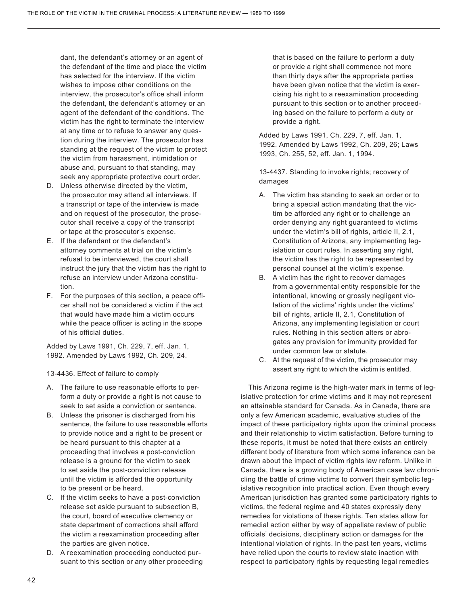dant, the defendant's attorney or an agent of the defendant of the time and place the victim has selected for the interview. If the victim wishes to impose other conditions on the interview, the prosecutor's office shall inform the defendant, the defendant's attorney or an agent of the defendant of the conditions. The victim has the right to terminate the interview at any time or to refuse to answer any question during the interview. The prosecutor has standing at the request of the victim to protect the victim from harassment, intimidation or abuse and, pursuant to that standing, may seek any appropriate protective court order.

- D. Unless otherwise directed by the victim, the prosecutor may attend all interviews. If a transcript or tape of the interview is made and on request of the prosecutor, the prosecutor shall receive a copy of the transcript or tape at the prosecutor's expense.
- E. If the defendant or the defendant's attorney comments at trial on the victim's refusal to be interviewed, the court shall instruct the jury that the victim has the right to refuse an interview under Arizona constitution.
- F. For the purposes of this section, a peace officer shall not be considered a victim if the act that would have made him a victim occurs while the peace officer is acting in the scope of his official duties.

Added by Laws 1991, Ch. 229, 7, eff. Jan. 1, 1992. Amended by Laws 1992, Ch. 209, 24.

# 13-4436. Effect of failure to comply

- A. The failure to use reasonable efforts to perform a duty or provide a right is not cause to seek to set aside a conviction or sentence.
- B. Unless the prisoner is discharged from his sentence, the failure to use reasonable efforts to provide notice and a right to be present or be heard pursuant to this chapter at a proceeding that involves a post-conviction release is a ground for the victim to seek to set aside the post-conviction release until the victim is afforded the opportunity to be present or be heard.
- C. If the victim seeks to have a post-conviction release set aside pursuant to subsection B, the court, board of executive clemency or state department of corrections shall afford the victim a reexamination proceeding after the parties are given notice.
- D. A reexamination proceeding conducted pursuant to this section or any other proceeding

that is based on the failure to perform a duty or provide a right shall commence not more than thirty days after the appropriate parties have been given notice that the victim is exercising his right to a reexamination proceeding pursuant to this section or to another proceeding based on the failure to perform a duty or provide a right.

Added by Laws 1991, Ch. 229, 7, eff. Jan. 1, 1992. Amended by Laws 1992, Ch. 209, 26; Laws 1993, Ch. 255, 52, eff. Jan. 1, 1994.

13-4437. Standing to invoke rights; recovery of damages

- A. The victim has standing to seek an order or to bring a special action mandating that the victim be afforded any right or to challenge an order denying any right guaranteed to victims under the victim's bill of rights, article II, 2.1, Constitution of Arizona, any implementing legislation or court rules. In asserting any right, the victim has the right to be represented by personal counsel at the victim's expense.
- B. A victim has the right to recover damages from a governmental entity responsible for the intentional, knowing or grossly negligent violation of the victims' rights under the victims' bill of rights, article II, 2.1, Constitution of Arizona, any implementing legislation or court rules. Nothing in this section alters or abrogates any provision for immunity provided for under common law or statute.
- C. At the request of the victim, the prosecutor may assert any right to which the victim is entitled.

This Arizona regime is the high-water mark in terms of legislative protection for crime victims and it may not represent an attainable standard for Canada. As in Canada, there are only a few American academic, evaluative studies of the impact of these participatory rights upon the criminal process and their relationship to victim satisfaction. Before turning to these reports, it must be noted that there exists an entirely different body of literature from which some inference can be drawn about the impact of victim rights law reform. Unlike in Canada, there is a growing body of American case law chronicling the battle of crime victims to convert their symbolic legislative recognition into practical action. Even though every American jurisdiction has granted some participatory rights to victims, the federal regime and 40 states expressly deny remedies for violations of these rights. Ten states allow for remedial action either by way of appellate review of public officials' decisions, disciplinary action or damages for the intentional violation of rights. In the past ten years, victims have relied upon the courts to review state inaction with respect to participatory rights by requesting legal remedies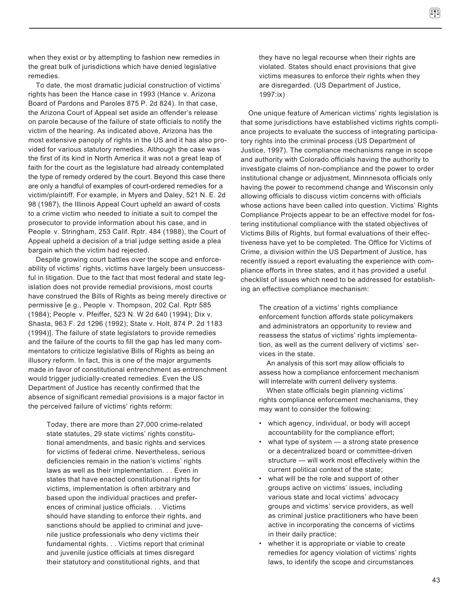when they exist or by attempting to fashion new remedies in the great bulk of jurisdictions which have denied legislative

To date, the most dramatic judicial construction of victims' rights has been the Hance case in 1993 (Hance v. Arizona Board of Pardons and Paroles 875 P. 2d 824). In that case, the Arizona Court of Appeal set aside an offender's release on parole because of the failure of state officials to notify the victim of the hearing. As indicated above, Arizona has the most extensive panoply of rights in the US and it has also provided for various statutory remedies. Although the case was the first of its kind in North America it was not a great leap of faith for the court as the legislature had already contemplated the type of remedy ordered by the court. Beyond this case there are only a handful of examples of court-ordered remedies for a victim/plaintiff. For example, in Myers and Daley, 521 N. E. 2d 98 (1987), the Illinois Appeal Court upheld an award of costs to a crime victim who needed to initiate a suit to compel the prosecutor to provide information about his case, and in People v. Stringham, 253 Calif. Rptr. 484 (1988), the Court of Appeal upheld a decision of a trial judge setting aside a plea bargain which the victim had rejected.

remedies.

Despite growing court battles over the scope and enforceability of victims' rights, victims have largely been unsuccessful in litigation. Due to the fact that most federal and state legislation does not provide remedial provisions, most courts have construed the Bills of Rights as being merely directive or permissive [e.g., People v. Thompson, 202 Cal. Rptr 585 (1984); People v. Pfeiffer, 523 N. W 2d 640 (1994); Dix v. Shasta, 963 F. 2d 1296 (1992); State v. Holt, 874 P. 2d 1183 (1994)]. The failure of state legislators to provide remedies and the failure of the courts to fill the gap has led many commentators to criticize legislative Bills of Rights as being an illusory reform. In fact, this is one of the major arguments made in favor of constitutional entrenchment as entrenchment would trigger judicially-created remedies. Even the US Department of Justice has recently confirmed that the absence of significant remedial provisions is a major factor in the perceived failure of victims' rights reform:

Today, there are more than 27,000 crime-related state statutes, 29 state victims' rights constitutional amendments, and basic rights and services for victims of federal crime. Nevertheless, serious deficiencies remain in the nation's victims' rights laws as well as their implementation. . . Even in states that have enacted constitutional rights for victims, implementation is often arbitrary and based upon the individual practices and preferences of criminal justice officials. . . Victims should have standing to enforce their rights, and sanctions should be applied to criminal and juvenile justice professionals who deny victims their fundamental rights. . . Victims report that criminal and juvenile justice officials at times disregard their statutory and constitutional rights, and that

they have no legal recourse when their rights are violated. States should enact provisions that give victims measures to enforce their rights when they are disregarded. (US Department of Justice, 1997:ix)

One unique feature of American victims' rights legislation is that some jurisdictions have established victims rights compliance projects to evaluate the success of integrating participatory rights into the criminal process (US Department of Justice, 1997). The compliance mechanisms range in scope and authority with Colorado officials having the authority to investigate claims of non-compliance and the power to order institutional change or adjustment, Minnnesota officials only having the power to recommend change and Wisconsin only allowing officials to discuss victim concerns with officials whose actions have been called into question. Victims' Rights Compliance Projects appear to be an effective model for fostering institutional compliance with the stated objectives of Victims Bills of Rights, but formal evaluations of their effectiveness have yet to be completed. The Office for Victims of Crime, a division within the US Department of Justice, has recently issued a report evaluating the experience with compliance efforts in three states, and it has provided a useful checklist of issues which need to be addressed for establishing an effective compliance mechanism:

The creation of a victims' rights compliance enforcement function affords state policymakers and administrators an opportunity to review and reassess the status of victims' rights implementation, as well as the current delivery of victims' services in the state.

An analysis of this sort may allow officials to assess how a compliance enforcement mechanism will interrelate with current delivery systems.

When state officials begin planning victims' rights compliance enforcement mechanisms, they may want to consider the following:

- which agency, individual, or body will accept accountability for the compliance effort;
- what type of system  $-$  a strong state presence or a decentralized board or committee-driven structure — will work most effectively within the current political context of the state;
- what will be the role and support of other groups active on victims' issues, including various state and local victims' advocacy groups and victims' service providers, as well as criminal justice practitioners who have been active in incorporating the concerns of victims in their daily practice;
- whether it is appropriate or viable to create remedies for agency violation of victims' rights laws, to identify the scope and circumstances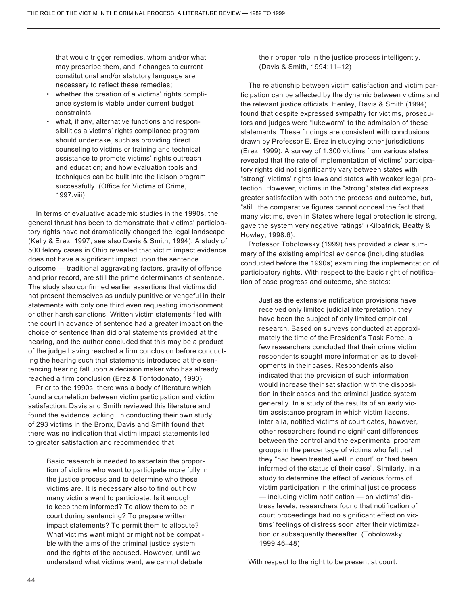that would trigger remedies, whom and/or what may prescribe them, and if changes to current constitutional and/or statutory language are necessary to reflect these remedies;

- whether the creation of a victims' rights compliance system is viable under current budget constraints;
- what, if any, alternative functions and responsibilities a victims' rights compliance program should undertake, such as providing direct counseling to victims or training and technical assistance to promote victims' rights outreach and education; and how evaluation tools and techniques can be built into the liaison program successfully. (Office for Victims of Crime, 1997:viii)

In terms of evaluative academic studies in the 1990s, the general thrust has been to demonstrate that victims' participatory rights have not dramatically changed the legal landscape (Kelly & Erez, 1997; see also Davis & Smith, 1994). A study of 500 felony cases in Ohio revealed that victim impact evidence does not have a significant impact upon the sentence outcome — traditional aggravating factors, gravity of offence and prior record, are still the prime determinants of sentence. The study also confirmed earlier assertions that victims did not present themselves as unduly punitive or vengeful in their statements with only one third even requesting imprisonment or other harsh sanctions. Written victim statements filed with the court in advance of sentence had a greater impact on the choice of sentence than did oral statements provided at the hearing, and the author concluded that this may be a product of the judge having reached a firm conclusion before conducting the hearing such that statements introduced at the sentencing hearing fall upon a decision maker who has already reached a firm conclusion (Erez & Tontodonato, 1990).

Prior to the 1990s, there was a body of literature which found a correlation between victim participation and victim satisfaction. Davis and Smith reviewed this literature and found the evidence lacking. In conducting their own study of 293 victims in the Bronx, Davis and Smith found that there was no indication that victim impact statements led to greater satisfaction and recommended that:

Basic research is needed to ascertain the proportion of victims who want to participate more fully in the justice process and to determine who these victims are. It is necessary also to find out how many victims want to participate. Is it enough to keep them informed? To allow them to be in court during sentencing? To prepare written impact statements? To permit them to allocute? What victims want might or might not be compatible with the aims of the criminal justice system and the rights of the accused. However, until we understand what victims want, we cannot debate

their proper role in the justice process intelligently. (Davis & Smith, 1994:11–12)

The relationship between victim satisfaction and victim participation can be affected by the dynamic between victims and the relevant justice officials. Henley, Davis & Smith (1994) found that despite expressed sympathy for victims, prosecutors and judges were "lukewarm" to the admission of these statements. These findings are consistent with conclusions drawn by Professor E. Erez in studying other jurisdictions (Erez, 1999). A survey of 1,300 victims from various states revealed that the rate of implementation of victims' participatory rights did not significantly vary between states with "strong" victims' rights laws and states with weaker legal protection. However, victims in the "strong" states did express greater satisfaction with both the process and outcome, but, "still, the comparative figures cannot conceal the fact that many victims, even in States where legal protection is strong, gave the system very negative ratings" (Kilpatrick, Beatty & Howley, 1998:6).

Professor Tobolowsky (1999) has provided a clear summary of the existing empirical evidence (including studies conducted before the 1990s) examining the implementation of participatory rights. With respect to the basic right of notification of case progress and outcome, she states:

Just as the extensive notification provisions have received only limited judicial interpretation, they have been the subject of only limited empirical research. Based on surveys conducted at approximately the time of the President's Task Force, a few researchers concluded that their crime victim respondents sought more information as to developments in their cases. Respondents also indicated that the provision of such information would increase their satisfaction with the disposition in their cases and the criminal justice system generally. In a study of the results of an early victim assistance program in which victim liasons, inter alia, notified victims of court dates, however, other researchers found no significant differences between the control and the experimental program groups in the percentage of victims who felt that they "had been treated well in court" or "had been informed of the status of their case". Similarly, in a study to determine the effect of various forms of victim participation in the criminal justice process — including victim notification — on victims' distress levels, researchers found that notification of court proceedings had no significant effect on victims' feelings of distress soon after their victimization or subsequently thereafter. (Tobolowsky, 1999:46–48)

With respect to the right to be present at court: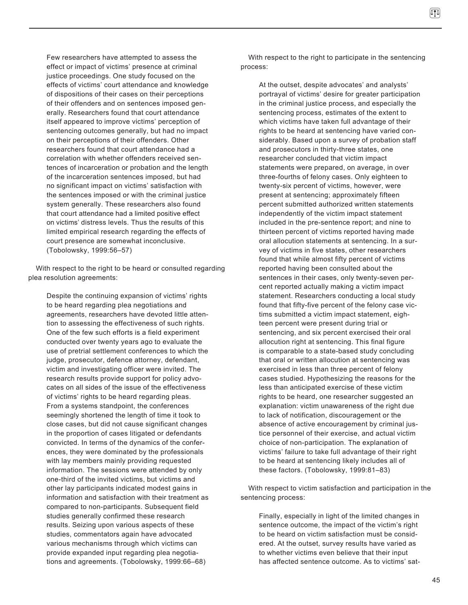Few researchers have attempted to assess the effect or impact of victims' presence at criminal justice proceedings. One study focused on the effects of victims' court attendance and knowledge of dispositions of their cases on their perceptions of their offenders and on sentences imposed generally. Researchers found that court attendance itself appeared to improve victims' perception of sentencing outcomes generally, but had no impact on their perceptions of their offenders. Other researchers found that court attendance had a correlation with whether offenders received sentences of incarceration or probation and the length of the incarceration sentences imposed, but had no significant impact on victims' satisfaction with the sentences imposed or with the criminal justice system generally. These researchers also found that court attendance had a limited positive effect on victims' distress levels. Thus the results of this limited empirical research regarding the effects of court presence are somewhat inconclusive. (Tobolowsky, 1999:56–57)

With respect to the right to be heard or consulted regarding plea resolution agreements:

Despite the continuing expansion of victims' rights to be heard regarding plea negotiations and agreements, researchers have devoted little attention to assessing the effectiveness of such rights. One of the few such efforts is a field experiment conducted over twenty years ago to evaluate the use of pretrial settlement conferences to which the judge, prosecutor, defence attorney, defendant, victim and investigating officer were invited. The research results provide support for policy advocates on all sides of the issue of the effectiveness of victims' rights to be heard regarding pleas. From a systems standpoint, the conferences seemingly shortened the length of time it took to close cases, but did not cause significant changes in the proportion of cases litigated or defendants convicted. In terms of the dynamics of the conferences, they were dominated by the professionals with lay members mainly providing requested information. The sessions were attended by only one-third of the invited victims, but victims and other lay participants indicated modest gains in information and satisfaction with their treatment as compared to non-participants. Subsequent field studies generally confirmed these research results. Seizing upon various aspects of these studies, commentators again have advocated various mechanisms through which victims can provide expanded input regarding plea negotiations and agreements. (Tobolowsky, 1999:66–68)

With respect to the right to participate in the sentencing process:

At the outset, despite advocates' and analysts' portrayal of victims' desire for greater participation in the criminal justice process, and especially the sentencing process, estimates of the extent to which victims have taken full advantage of their rights to be heard at sentencing have varied considerably. Based upon a survey of probation staff and prosecutors in thirty-three states, one researcher concluded that victim impact statements were prepared, on average, in over three-fourths of felony cases. Only eighteen to twenty-six percent of victims, however, were present at sentencing; approximately fifteen percent submitted authorized written statements independently of the victim impact statement included in the pre-sentence report; and nine to thirteen percent of victims reported having made oral allocution statements at sentencing. In a survey of victims in five states, other researchers found that while almost fifty percent of victims reported having been consulted about the sentences in their cases, only twenty-seven percent reported actually making a victim impact statement. Researchers conducting a local study found that fifty-five percent of the felony case victims submitted a victim impact statement, eighteen percent were present during trial or sentencing, and six percent exercised their oral allocution right at sentencing. This final figure is comparable to a state-based study concluding that oral or written allocution at sentencing was exercised in less than three percent of felony cases studied. Hypothesizing the reasons for the less than anticipated exercise of these victim rights to be heard, one researcher suggested an explanation: victim unawareness of the right due to lack of notification, discouragement or the absence of active encouragement by criminal justice personnel of their exercise, and actual victim choice of non-participation. The explanation of victims' failure to take full advantage of their right to be heard at sentencing likely includes all of these factors. (Tobolowsky, 1999:81–83)

With respect to victim satisfaction and participation in the sentencing process:

Finally, especially in light of the limited changes in sentence outcome, the impact of the victim's right to be heard on victim satisfaction must be considered. At the outset, survey results have varied as to whether victims even believe that their input has affected sentence outcome. As to victims' sat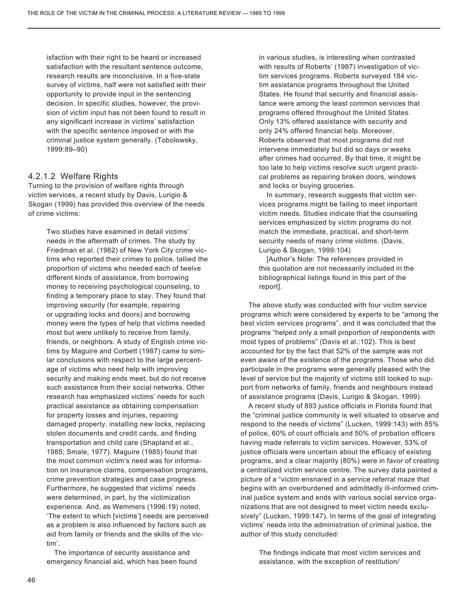isfaction with their right to be heard or increased satisfaction with the resultant sentence outcome, research results are inconclusive. In a five-state survey of victims, half were not satisfied with their opportunity to provide input in the sentencing decision. In specific studies, however, the provision of victim input has not been found to result in any significant increase in victims' satisfaction with the specific sentence imposed or with the criminal justice system generally. (Tobolowsky, 1999:89–90)

# 4.2.1.2 Welfare Rights

Turning to the provision of welfare rights through victim services, a recent study by Davis, Lurigio & Skogan (1999) has provided this overview of the needs of crime victims:

> Two studies have examined in detail victims' needs in the aftermath of crimes. The study by Friedman et al. (1982) of New York City crime victims who reported their crimes to police, tallied the proportion of victims who needed each of twelve different kinds of assistance, from borrowing money to receiving psychological counseling, to finding a temporary place to stay. They found that improving security (for example, repairing or upgrading locks and doors) and borrowing money were the types of help that victims needed most but were unlikely to receive from family, friends, or neighbors. A study of English crime victims by Maguire and Corbett (1987) came to similar conclusions with respect to the large percentage of victims who need help with improving security and making ends meet, but do not receive such assistance from their social networks. Other research has emphasized victims' needs for such practical assistance as obtaining compensation for property losses and injuries, repairing damaged property, installing new locks, replacing stolen documents and credit cards, and finding transportation and child care (Shapland et al., 1985; Smale, 1977). Maguire (1985) found that the most common victim's need was for information on insurance claims, compensation programs, crime prevention strategies and case progress. Furthermore, he suggested that victims' needs were determined, in part, by the victimization experience. And, as Wemmers (1996:19) noted, 'The extent to which [victims'] needs are perceived as a problem is also influenced by factors such as aid from family or friends and the skills of the victim'.

The importance of security assistance and emergency financial aid, which has been found in various studies, is interesting when contrasted with results of Roberts' (1987) investigation of victim services programs. Roberts surveyed 184 victim assistance programs throughout the United States. He found that security and financial assistance were among the least common services that programs offered throughout the United States. Only 13% offered assistance with security and only 24% offered financial help. Moreover, Roberts observed that most programs did not intervene immediately but did so days or weeks after crimes had occurred. By that time, it might be too late to help victims resolve such urgent practical problems as repairing broken doors, windows and locks or buying groceries.

In summary, research suggests that victim services programs might be failing to meet important victim needs. Studies indicate that the counseling services emphasized by victim programs do not match the immediate, practical, and short-term security needs of many crime victims. (Davis, Lurigio & Skogan, 1999:104)

[Author's Note: The references provided in this quotation are not necessarily included in the bibliographical listings found in this part of the report].

The above study was conducted with four victim service programs which were considered by experts to be "among the best victim services programs", and it was concluded that the programs "helped only a small proportion of respondents with most types of problems" (Davis et al.:102). This is best accounted for by the fact that 52% of the sample was not even aware of the existence of the programs. Those who did participate in the programs were generally pleased with the level of service but the majority of victims still looked to support from networks of family, friends and neighbours instead of assistance programs (Davis, Lurigio & Skogan, 1999).

A recent study of 893 justice officials in Florida found that the "criminal justice community is well situated to observe and respond to the needs of victims" (Lucken, 1999:143) with 85% of police, 60% of court officials and 50% of probation officers having made referrals to victim services. However, 53% of justice officials were uncertain about the efficacy of existing programs, and a clear majority (80%) were in favor of creating a centralized victim service centre. The survey data painted a picture of a "victim ensnared in a service referral maze that begins with an overburdened and admittedly ill-informed criminal justice system and ends with various social service organizations that are not designed to meet victim needs exclusively" (Lucken, 1999:147). In terms of the goal of integrating victims' needs into the administration of criminal justice, the author of this study concluded:

The findings indicate that most victim services and assistance, with the exception of restitution/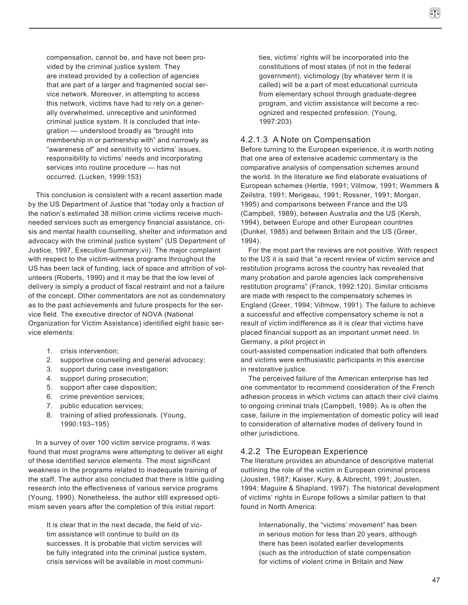compensation, cannot be, and have not been provided by the criminal justice system. They are instead provided by a collection of agencies that are part of a larger and fragmented social service network. Moreover, in attempting to access this network, victims have had to rely on a generally overwhelmed, unreceptive and uninformed criminal justice system. It is concluded that integration — understood broadly as "brought into membership in or partnership with" and narrowly as "awareness of" and sensitivity to victims' issues, responsibility to victims' needs and incorporating services into routine procedure — has not occurred. (Lucken, 1999:153)

This conclusion is consistent with a recent assertion made by the US Department of Justice that "today only a fraction of the nation's estimated 38 million crime victims receive muchneeded services such as emergency financial assistance, crisis and mental health counselling, shelter and information and advocacy with the criminal justice system" (US Department of Justice, 1997, Executive Summary:vii). The major complaint with respect to the victim-witness programs throughout the US has been lack of funding, lack of space and attrition of volunteers (Roberts, 1990) and it may be that the low level of delivery is simply a product of fiscal restraint and not a failure of the concept. Other commentators are not as condemnatory as to the past achievements and future prospects for the service field. The executive director of NOVA (National Organization for Victim Assistance) identified eight basic service elements:

- 1. crisis intervention;
- 2. supportive counseling and general advocacy;
- 3. support during case investigation;
- 4. support during prosecution;
- 5. support after case disposition;
- 6. crime prevention services;
- 7. public education services;
- 8. training of allied professionals. (Young, 1990:193–195)

In a survey of over 100 victim service programs, it was found that most programs were attempting to deliver all eight of these identified service elements. The most significant weakness in the programs related to inadequate training of the staff. The author also concluded that there is little guiding research into the effectiveness of various service programs (Young, 1990). Nonetheless, the author still expressed optimism seven years after the completion of this initial report:

It is clear that in the next decade, the field of victim assistance will continue to build on its successes. It is probable that victim services will be fully integrated into the criminal justice system, crisis services will be available in most communities, victims' rights will be incorporated into the constitutions of most states (if not in the federal government), victimology (by whatever term it is called) will be a part of most educational curricula from elementary school through graduate-degree program, and victim assistance will become a recognized and respected profession. (Young, 1997:203)

# 4.2.1.3 A Note on Compensation

Before turning to the European experience, it is worth noting that one area of extensive academic commentary is the comparative analysis of compensation schemes around the world. In the literature we find elaborate evaluations of European schemes (Hertle, 1991; Villmow, 1991; Wemmers & Zeilstra, 1991; Merigeau, 1991; Rossner, 1991; Morgan, 1995) and comparisons between France and the US (Campbell, 1989), between Australia and the US (Kersh, 1994), between Europe and other European countries (Dunkel, 1985) and between Britain and the US (Greer, 1994).

For the most part the reviews are not positive. With respect to the US it is said that "a recent review of victim service and restitution programs across the country has revealed that many probation and parole agencies lack comprehensive restitution programs" (Franck, 1992:120). Similar criticisms are made with respect to the compensatory schemes in England (Greer, 1994; Villmow, 1991). The failure to achieve a successful and effective compensatory scheme is not a result of victim indifference as it is clear that victims have placed financial support as an important unmet need. In Germany, a pilot project in

court-assisted compensation indicated that both offenders and victims were enthusiastic participants in this exercise in restorative justice.

The perceived failure of the American enterprise has led one commentator to recommend consideration of the French adhesion process in which victims can attach their civil claims to ongoing criminal trials (Campbell, 1989). As is often the case, failure in the implementation of domestic policy will lead to consideration of alternative modes of delivery found in other jurisdictions.

# 4.2.2 The European Experience

The literature provides an abundance of descriptive material outlining the role of the victim in European criminal process (Jousten, 1987; Kaiser, Kury, & Albrecht, 1991; Jousten, 1994; Maguire & Shapland, 1997). The historical development of victims' rights in Europe follows a similar pattern to that found in North America:

Internationally, the "victims' movement" has been in serious motion for less than 20 years, although there has been isolated earlier developments (such as the introduction of state compensation for victims of violent crime in Britain and New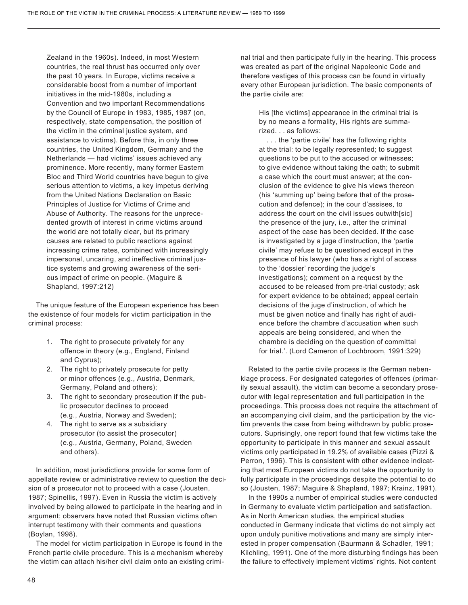Zealand in the 1960s). Indeed, in most Western countries, the real thrust has occurred only over the past 10 years. In Europe, victims receive a considerable boost from a number of important initiatives in the mid-1980s, including a Convention and two important Recommendations by the Council of Europe in 1983, 1985, 1987 (on, respectively, state compensation, the position of the victim in the criminal justice system, and assistance to victims). Before this, in only three countries, the United Kingdom, Germany and the Netherlands — had victims' issues achieved any prominence. More recently, many former Eastern Bloc and Third World countries have begun to give serious attention to victims, a key impetus deriving from the United Nations Declaration on Basic Principles of Justice for Victims of Crime and Abuse of Authority. The reasons for the unprecedented growth of interest in crime victims around the world are not totally clear, but its primary causes are related to public reactions against increasing crime rates, combined with increasingly impersonal, uncaring, and ineffective criminal justice systems and growing awareness of the serious impact of crime on people. (Maguire & Shapland, 1997:212)

The unique feature of the European experience has been the existence of four models for victim participation in the criminal process:

- 1. The right to prosecute privately for any offence in theory (e.g., England, Finland and Cyprus);
- 2. The right to privately prosecute for petty or minor offences (e.g., Austria, Denmark, Germany, Poland and others);
- 3. The right to secondary prosecution if the public prosecutor declines to proceed (e.g., Austria, Norway and Sweden);
- 4. The right to serve as a subsidiary prosecutor (to assist the prosecutor) (e.g., Austria, Germany, Poland, Sweden and others).

In addition, most jurisdictions provide for some form of appellate review or administrative review to question the decision of a prosecutor not to proceed with a case (Jousten, 1987; Spinellis, 1997). Even in Russia the victim is actively involved by being allowed to participate in the hearing and in argument; observers have noted that Russian victims often interrupt testimony with their comments and questions (Boylan, 1998).

The model for victim participation in Europe is found in the French partie civile procedure. This is a mechanism whereby the victim can attach his/her civil claim onto an existing criminal trial and then participate fully in the hearing. This process was created as part of the original Napoleonic Code and therefore vestiges of this process can be found in virtually every other European jurisdiction. The basic components of the partie civile are:

His [the victims] appearance in the criminal trial is by no means a formality, His rights are summarized. . . as follows:

. . . the 'partie civile' has the following rights at the trial: to be legally represented; to suggest questions to be put to the accused or witnesses; to give evidence without taking the oath; to submit a case which the court must answer; at the conclusion of the evidence to give his views thereon (his 'summing up' being before that of the prosecution and defence); in the cour d'assises, to address the court on the civil issues outwith[sic] the presence of the jury, i.e., after the criminal aspect of the case has been decided. If the case is investigated by a juge d'instruction, the 'partie civile' may refuse to be questioned except in the presence of his lawyer (who has a right of access to the 'dossier' recording the judge's investigations); comment on a request by the accused to be released from pre-trial custody; ask for expert evidence to be obtained; appeal certain decisions of the juge d'instruction, of which he must be given notice and finally has right of audience before the chambre d'accusation when such appeals are being considered, and when the chambre is deciding on the question of committal for trial.'. (Lord Cameron of Lochbroom, 1991:329)

Related to the partie civile process is the German nebenklage process. For designated categories of offences (primarily sexual assault), the victim can become a secondary prosecutor with legal representation and full participation in the proceedings. This process does not require the attachment of an accompanying civil claim, and the participation by the victim prevents the case from being withdrawn by public prosecutors. Suprisingly, one report found that few victims take the opportunity to participate in this manner and sexual assault victims only participated in 19.2% of available cases (Pizzi & Perron, 1996). This is consistent with other evidence indicating that most European victims do not take the opportunity to fully participate in the proceedings despite the potential to do so (Jousten, 1987; Maguire & Shapland, 1997; Krainz, 1991).

In the 1990s a number of empirical studies were conducted in Germany to evaluate victim participation and satisfaction. As in North American studies, the empirical studies conducted in Germany indicate that victims do not simply act upon unduly punitive motivations and many are simply interested in proper compensation (Baurmann & Schadler, 1991; Kilchling, 1991). One of the more disturbing findings has been the failure to effectively implement victims' rights. Not content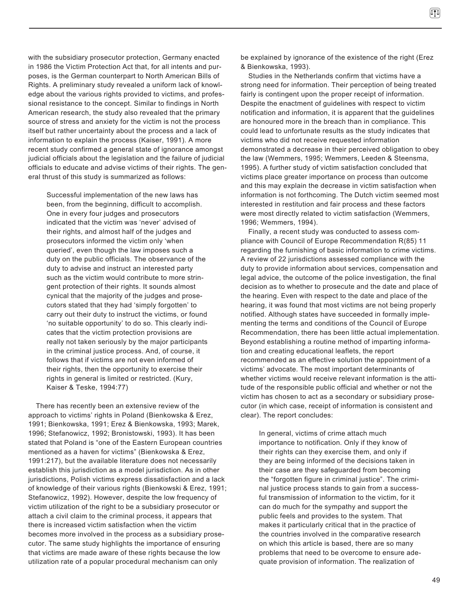with the subsidiary prosecutor protection, Germany enacted in 1986 the Victim Protection Act that, for all intents and purposes, is the German counterpart to North American Bills of Rights. A preliminary study revealed a uniform lack of knowledge about the various rights provided to victims, and professional resistance to the concept. Similar to findings in North American research, the study also revealed that the primary source of stress and anxiety for the victim is not the process itself but rather uncertainty about the process and a lack of information to explain the process (Kaiser, 1991). A more recent study confirmed a general state of ignorance amongst judicial officials about the legislation and the failure of judicial officials to educate and advise victims of their rights. The general thrust of this study is summarized as follows:

Successful implementation of the new laws has been, from the beginning, difficult to accomplish. One in every four judges and prosecutors indicated that the victim was 'never' advised of their rights, and almost half of the judges and prosecutors informed the victim only 'when queried', even though the law imposes such a duty on the public officials. The observance of the duty to advise and instruct an interested party such as the victim would contribute to more stringent protection of their rights. It sounds almost cynical that the majority of the judges and prosecutors stated that they had 'simply forgotten' to carry out their duty to instruct the victims, or found 'no suitable opportunity' to do so. This clearly indicates that the victim protection provisions are really not taken seriously by the major participants in the criminal justice process. And, of course, it follows that if victims are not even informed of their rights, then the opportunity to exercise their rights in general is limited or restricted. (Kury, Kaiser & Teske, 1994:77)

There has recently been an extensive review of the approach to victims' rights in Poland (Bienkowska & Erez, 1991; Bienkowska, 1991; Erez & Bienkowska, 1993; Marek, 1996; Stefanowicz, 1992; Bronistowski, 1993). It has been stated that Poland is "one of the Eastern European countries mentioned as a haven for victims" (Bienkowska & Erez, 1991:217), but the available literature does not necessarily establish this jurisdiction as a model jurisdiction. As in other jurisdictions, Polish victims express dissatisfaction and a lack of knowledge of their various rights (Bienkowski & Erez, 1991; Stefanowicz, 1992). However, despite the low frequency of victim utilization of the right to be a subsidiary prosecutor or attach a civil claim to the criminal process, it appears that there is increased victim satisfaction when the victim becomes more involved in the process as a subsidiary prosecutor. The same study highlights the importance of ensuring that victims are made aware of these rights because the low utilization rate of a popular procedural mechanism can only

be explained by ignorance of the existence of the right (Erez & Bienkowska, 1993).

Studies in the Netherlands confirm that victims have a strong need for information. Their perception of being treated fairly is contingent upon the proper receipt of information. Despite the enactment of guidelines with respect to victim notification and information, it is apparent that the guidelines are honoured more in the breach than in compliance. This could lead to unfortunate results as the study indicates that victims who did not receive requested information demonstrated a decrease in their perceived obligation to obey the law (Wemmers, 1995; Wemmers, Leeden & Steensma, 1995). A further study of victim satisfaction concluded that victims place greater importance on process than outcome and this may explain the decrease in victim satisfaction when information is not forthcoming. The Dutch victim seemed most interested in restitution and fair process and these factors were most directly related to victim satisfaction (Wemmers, 1996; Wemmers, 1994).

Finally, a recent study was conducted to assess compliance with Council of Europe Recommendation R(85) 11 regarding the furnishing of basic information to crime victims. A review of 22 jurisdictions assessed compliance with the duty to provide information about services, compensation and legal advice, the outcome of the police investigation, the final decision as to whether to prosecute and the date and place of the hearing. Even with respect to the date and place of the hearing, it was found that most victims are not being properly notified. Although states have succeeded in formally implementing the terms and conditions of the Council of Europe Recommendation, there has been little actual implementation. Beyond establishing a routine method of imparting information and creating educational leaflets, the report recommended as an effective solution the appointment of a victims' advocate. The most important determinants of whether victims would receive relevant information is the attitude of the responsible public official and whether or not the victim has chosen to act as a secondary or subsidiary prosecutor (in which case, receipt of information is consistent and clear). The report concludes:

In general, victims of crime attach much importance to notification. Only if they know of their rights can they exercise them, and only if they are being informed of the decisions taken in their case are they safeguarded from becoming the "forgotten figure in criminal justice". The criminal justice process stands to gain from a successful transmission of information to the victim, for it can do much for the sympathy and support the public feels and provides to the system. That makes it particularly critical that in the practice of the countries involved in the comparative research on which this article is based, there are so many problems that need to be overcome to ensure adequate provision of information. The realization of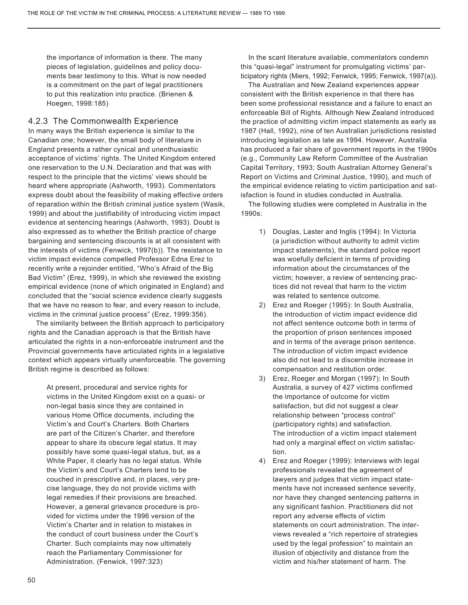the importance of information is there. The many pieces of legislation, guidelines and policy documents bear testimony to this. What is now needed is a commitment on the part of legal practitioners to put this realization into practice. (Brienen & Hoegen, 1998:185)

# 4.2.3 The Commonwealth Experience

In many ways the British experience is similar to the Canadian one; however, the small body of literature in England presents a rather cynical and unenthusiastic acceptance of victims' rights. The United Kingdom entered one reservation to the U.N. Declaration and that was with respect to the principle that the victims' views should be heard where appropriate (Ashworth, 1993). Commentators express doubt about the feasibility of making effective orders of reparation within the British criminal justice system (Wasik, 1999) and about the justifiability of introducing victim impact evidence at sentencing hearings (Ashworth, 1993). Doubt is also expressed as to whether the British practice of charge bargaining and sentencing discounts is at all consistent with the interests of victims (Fenwick, 1997(b)). The resistance to victim impact evidence compelled Professor Edna Erez to recently write a rejoinder entitled, "Who's Afraid of the Big Bad Victim" (Erez, 1999), in which she reviewed the existing empirical evidence (none of which originated in England) and concluded that the "social science evidence clearly suggests that we have no reason to fear, and every reason to include, victims in the criminal justice process" (Erez, 1999:356).

The similarity between the British approach to participatory rights and the Canadian approach is that the British have articulated the rights in a non-enforceable instrument and the Provincial governments have articulated rights in a legislative context which appears virtually unenforceable. The governing British regime is described as follows:

At present, procedural and service rights for victims in the United Kingdom exist on a quasi- or non-legal basis since they are contained in various Home Office documents, including the Victim's and Court's Charters. Both Charters are part of the Citizen's Charter, and therefore appear to share its obscure legal status. It may possibly have some quasi-legal status, but, as a White Paper, it clearly has no legal status. While the Victim's and Court's Charters tend to be couched in prescriptive and, in places, very precise language, they do not provide victims with legal remedies if their provisions are breached. However, a general grievance procedure is provided for victims under the 1996 version of the Victim's Charter and in relation to mistakes in the conduct of court business under the Court's Charter. Such complaints may now ultimately reach the Parliamentary Commissioner for Administration. (Fenwick, 1997:323)

In the scant literature available, commentators condemn this "quasi-legal" instrument for promulgating victims' participatory rights (Miers, 1992; Fenwick, 1995; Fenwick, 1997(a)).

The Australian and New Zealand experiences appear consistent with the British experience in that there has been some professional resistance and a failure to enact an enforceable Bill of Rights. Although New Zealand introduced the practice of admitting victim impact statements as early as 1987 (Hall, 1992), nine of ten Australian jurisdictions resisted introducing legislation as late as 1994. However, Australia has produced a fair share of government reports in the 1990s (e.g., Community Law Reform Committee of the Australian Capital Territory, 1993; South Australian Attorney General's Report on Victims and Criminal Justice, 1990), and much of the empirical evidence relating to victim participation and satisfaction is found in studies conducted in Australia.

The following studies were completed in Australia in the 1990s:

- 1) Douglas, Laster and Inglis (1994): In Victoria (a jurisdiction without authority to admit victim impact statements), the standard police report was woefully deficient in terms of providing information about the circumstances of the victim; however, a review of sentencing practices did not reveal that harm to the victim was related to sentence outcome.
- 2) Erez and Roeger (1995): In South Australia, the introduction of victim impact evidence did not affect sentence outcome both in terms of the proportion of prison sentences imposed and in terms of the average prison sentence. The introduction of victim impact evidence also did not lead to a discernible increase in compensation and restitution order.
- 3) Erez, Roeger and Morgan (1997): In South Australia, a survey of 427 victims confirmed the importance of outcome for victim satisfaction, but did not suggest a clear relationship between "process control" (participatory rights) and satisfaction. The introduction of a victim impact statement had only a marginal effect on victim satisfaction.
- 4) Erez and Roeger (1999): Interviews with legal professionals revealed the agreement of lawyers and judges that victim impact statements have not increased sentence severity, nor have they changed sentencing patterns in any significant fashion. Practitioners did not report any adverse effects of victim statements on court administration. The interviews revealed a "rich repertoire of strategies used by the legal profession" to maintain an illusion of objectivity and distance from the victim and his/her statement of harm. The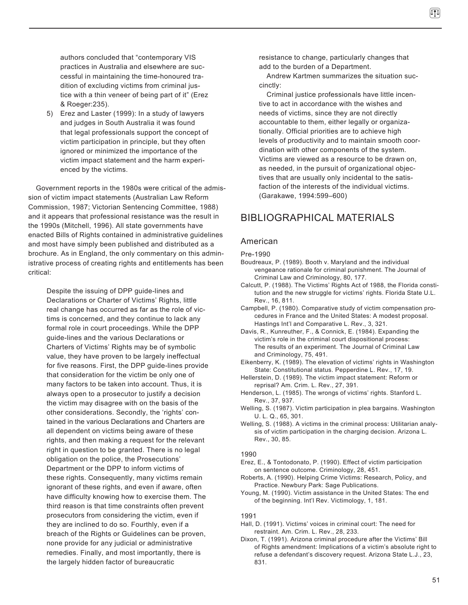authors concluded that "contemporary VIS practices in Australia and elsewhere are successful in maintaining the time-honoured tradition of excluding victims from criminal justice with a thin veneer of being part of it" (Erez & Roeger:235).

5) Erez and Laster (1999): In a study of lawyers and judges in South Australia it was found that legal professionals support the concept of victim participation in principle, but they often ignored or minimized the importance of the victim impact statement and the harm experienced by the victims.

Government reports in the 1980s were critical of the admission of victim impact statements (Australian Law Reform Commission, 1987; Victorian Sentencing Committee, 1988) and it appears that professional resistance was the result in the 1990s (Mitchell, 1996). All state governments have enacted Bills of Rights contained in administrative guidelines and most have simply been published and distributed as a brochure. As in England, the only commentary on this administrative process of creating rights and entitlements has been critical:

Despite the issuing of DPP guide-lines and Declarations or Charter of Victims' Rights, little real change has occurred as far as the role of victims is concerned, and they continue to lack any formal role in court proceedings. While the DPP guide-lines and the various Declarations or Charters of Victims' Rights may be of symbolic value, they have proven to be largely ineffectual for five reasons. First, the DPP guide-lines provide that consideration for the victim be only one of many factors to be taken into account. Thus, it is always open to a prosecutor to justify a decision the victim may disagree with on the basis of the other considerations. Secondly, the 'rights' contained in the various Declarations and Charters are all dependent on victims being aware of these rights, and then making a request for the relevant right in question to be granted. There is no legal obligation on the police, the Prosecutions' Department or the DPP to inform victims of these rights. Consequently, many victims remain ignorant of these rights, and even if aware, often have difficulty knowing how to exercise them. The third reason is that time constraints often prevent prosecutors from considering the victim, even if they are inclined to do so. Fourthly, even if a breach of the Rights or Guidelines can be proven, none provide for any judicial or administrative remedies. Finally, and most importantly, there is the largely hidden factor of bureaucratic

resistance to change, particularly changes that add to the burden of a Department.

Andrew Kartmen summarizes the situation succinctly:

Criminal justice professionals have little incentive to act in accordance with the wishes and needs of victims, since they are not directly accountable to them, either legally or organizationally. Official priorities are to achieve high levels of productivity and to maintain smooth coordination with other components of the system. Victims are viewed as a resource to be drawn on, as needed, in the pursuit of organizational objectives that are usually only incidental to the satisfaction of the interests of the individual victims. (Garakawe, 1994:599–600)

# BIBLIOGRAPHICAL MATERIALS

# American

#### Pre-1990

- Boudreaux, P. (1989). Booth v. Maryland and the individual vengeance rationale for criminal punishment. The Journal of Criminal Law and Criminology, 80, 177.
- Calcutt, P. (1988). The Victims' Rights Act of 1988, the Florida constitution and the new struggle for victims' rights. Florida State U.L. Rev., 16, 811.
- Campbell, P. (1980). Comparative study of victim compensation procedures in France and the United States: A modest proposal. Hastings Int'l and Comparative L. Rev., 3, 321.

Davis, R., Kunreuther, F., & Connick, E. (1984). Expanding the victim's role in the criminal court dispositional process: The results of an experiment. The Journal of Criminal Law and Criminology, 75, 491.

Eikenberry, K. (1989). The elevation of victims' rights in Washington State: Constitutional status. Pepperdine L. Rev., 17, 19.

- Hellerstein, D. (1989). The victim impact statement: Reform or reprisal? Am. Crim. L. Rev., 27, 391.
- Henderson, L. (1985). The wrongs of victims' rights. Stanford L. Rev., 37, 937.
- Welling, S. (1987). Victim participation in plea bargains. Washington U. L. Q., 65, 301.
- Welling, S. (1988). A victims in the criminal process: Utilitarian analysis of victim participation in the charging decision. Arizona L. Rev., 30, 85.

# 1990

- Erez, E., & Tontodonato, P. (1990). Effect of victim participation on sentence outcome. Criminology, 28, 451.
- Roberts, A. (1990). Helping Crime Victims: Research, Policy, and Practice. Newbury Park: Sage Publications.
- Young, M. (1990). Victim assistance in the United States: The end of the beginning. Int'l Rev. Victimology, 1, 181.

- Hall, D. (1991). Victims' voices in criminal court: The need for restraint. Am. Crim. L. Rev., 28, 233.
- Dixon, T. (1991). Arizona criminal procedure after the Victims' Bill of Rights amendment: Implications of a victim's absolute right to refuse a defendant's discovery request. Arizona State L.J., 23, 831.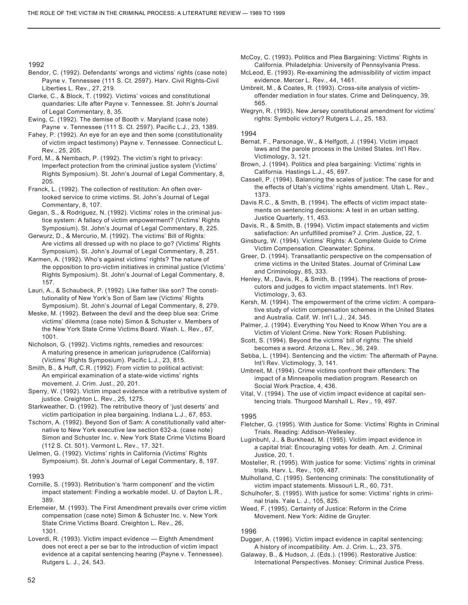1992

- Bendor, C. (1992). Defendants' wrongs and victims' rights (case note) Payne v. Tennessee (111 S. Ct. 2597). Harv. Civil Rights-Civil Liberties L. Rev., 27, 219.
- Clarke, C., & Block, T. (1992). Victims' voices and constitutional quandaries: Life after Payne v. Tennessee. St. John's Journal of Legal Commentary, 8, 35.
- Ewing, C. (1992). The demise of Booth v. Maryland (case note) Payne v. Tennessee (111 S. Ct. 2597). Pacific L.J., 23, 1389.
- Fahey, P. (1992). An eye for an eye and then some (constitutionality of victim impact testimony) Payne v. Tennessee. Connecticut L. Rev., 25, 205.
- Ford, M., & Nembach, P. (1992). The victim's right to privacy: Imperfect protection from the criminal justice system (Victims' Rights Symposium). St. John's Journal of Legal Commentary, 8, 205.
- Franck, L. (1992). The collection of restitution: An often overlooked service to crime victims. St. John's Journal of Legal Commentary, 8, 107.
- Gegan, S., & Rodriguez, N. (1992). Victims' roles in the criminal justice system: A fallacy of victim empowerment? (Victims' Rights Symposium). St. John's Journal of Legal Commentary, 8, 225.
- Gerwurz, D., & Mercurio, M. (1992). The victims' Bill of Rights: Are victims all dressed up with no place to go? (Victims' Rights Symposium). St. John's Journal of Legal Commentary, 8, 251.
- Karmen, A. (1992). Who's against victims' rights? The nature of the opposition to pro-victim initiatives in criminal justice (Victims' Rights Symposium). St. John's Journal of Legal Commentary, 8, 157.
- Lauri, A., & Schaubeck, P. (1992). Like father like son? The constitutionality of New York's Son of Sam law (Victims' Rights Symposium). St. John's Journal of Legal Commentary, 8, 279.
- Meske, M. (1992). Between the devil and the deep blue sea: Crime victims' dilemma (case note) Simon & Schuster v. Members of the New York State Crime Victims Board. Wash. L. Rev., 67, 1001.
- Nicholson, G. (1992). Victims rights, remedies and resources: A maturing presence in american jurisprudence (California) (Victims' Rights Symposium). Pacific L.J., 23, 815.
- Smith, B., & Huff, C.R. (1992). From victim to political activist: An empirical examination of a state-wide victims' rights movement. J. Crim. Just., 20, 201.
- Sperry, W. (1992). Victim impact evidence with a retributive system of justice. Creighton L. Rev., 25, 1275.
- Starkweather, D. (1992). The retributive theory of 'just deserts' and victim participation in plea bargaining. Indiana L.J., 67, 853.
- Tschorn, A. (1992). Beyond Son of Sam: A constitutionally valid alternative to New York executive law section 632-a. (case note) Simon and Schuster Inc. v. New York State Crime Victims Board (112 S. Ct. 501). Vermont L. Rev., 17, 321.
- Uelmen, G. (1992). Victims' rights in California (Victims' Rights Symposium). St. John's Journal of Legal Commentary, 8, 197.

#### 1993

- Cornille, S. (1993). Retribution's 'harm component' and the victim impact statement: Finding a workable model. U. of Dayton L.R., 389.
- Erlemeier, M. (1993). The First Amendment prevails over crime victim compensation (case note) Simon & Schuster Inc. v. New York State Crime Victims Board. Creighton L. Rev., 26, 1301.
- Loverdi, R. (1993). Victim impact evidence Eighth Amendment does not erect a per se bar to the introduction of victim impact evidence at a capital sentencing hearing (Payne v. Tennessee). Rutgers L. J., 24, 543.
- McCoy, C. (1993). Politics and Plea Bargaining: Victims' Rights in California. Philadelphia: University of Pennsylvania Press.
- McLeod, E. (1993). Re-examining the admissibility of victim impact evidence. Mercer L. Rev., 44, 1461.
- Umbreit, M., & Coates, R. (1993). Cross-site analysis of victimoffender mediation in four states. Crime and Delinquency, 39, 565.
- Wegryn, R. (1993). New Jersey constitutional amendment for victims' rights: Symbolic victory? Rutgers L.J., 25, 183.

#### 1994

- Bernat, F., Parsonage, W., & Helfgott, J. (1994). Victim impact laws and the parole process in the United States. Int'l Rev. Victimology, 3, 121.
- Brown, J. (1994). Politics and plea bargaining: Victims' rights in California. Hastings L.J., 45, 697.
- Cassell, P. (1994). Balancing the scales of justice: The case for and the effects of Utah's victims' rights amendment. Utah L. Rev., 1373.
- Davis R.C., & Smith, B. (1994). The effects of victim impact statements on sentencing decisions: A test in an urban setting. Justice Quarterly, 11, 453.
- Davis, R., & Smith, B. (1994). Victim impact statements and victim satisfaction: An unfulfilled promise? J. Crim. Justice, 22, 1.
- Ginsburg, W. (1994). Victims' Rights: A Complete Guide to Crime Victim Compensation. Clearwater: Sphinx.
- Greer, D. (1994). Transatlantic perspective on the compensation of crime victims in the United States. Journal of Criminal Law and Criminology, 85, 333.
- Henley, M., Davis, R., & Smith, B. (1994). The reactions of prosecutors and judges to victim impact statements. Int'l Rev. Victimology, 3, 63.
- Kersh, M. (1994). The empowerment of the crime victim: A comparative study of victim compensation schemes in the United States and Australia. Calif. W. Int'l L.J., 24, 345.
- Palmer, J. (1994). Everything You Need to Know When You are a Victim of Violent Crime. New York: Rosen Publishing.
- Scott, S. (1994). Beyond the victims' bill of rights: The shield becomes a sword. Arizona L. Rev., 36, 249.
- Sebba, L. (1994). Sentencing and the victim: The aftermath of Payne. Int'l Rev. Victimology, 3, 141.
- Umbreit, M. (1994). Crime victims confront their offenders: The impact of a Minneapolis mediation program. Research on Social Work Practice, 4, 436.
- Vital, V. (1994). The use of victim impact evidence at capital sentencing trials. Thurgood Marshall L. Rev., 19, 497.

#### 1995

- Fletcher, G. (1995). With Justice for Some: Victims' Rights in Criminal Trials. Reading: Addison-Wellesley.
- Luginbuhl, J., & Burkhead, M. (1995). Victim impact evidence in a capital trial: Encouraging votes for death. Am. J. Criminal Justice, 20, 1.
- Mosteller, R. (1995). With justice for some: Victims' rights in criminal trials. Harv. L. Rev., 109, 487.
- Mulholland, C. (1995). Sentencing criminals: The constitutionality of victim impact statements. Missouri L.R., 60, 731.
- Schulhofer, S. (1995). With justice for some: Victims' rights in criminal trials. Yale L. J., 105, 825.
- Weed, F. (1995). Certainty of Justice: Reform in the Crime Movement. New York: Aldine de Gruyter.

- Dugger, A. (1996). Victim impact evidence in capital sentencing: A history of incompatibility. Am. J. Crim. L., 23, 375.
- Galaway, B., & Hudson, J. (Eds.). (1996). Restorative Justice: International Perspectives. Monsey: Criminal Justice Press.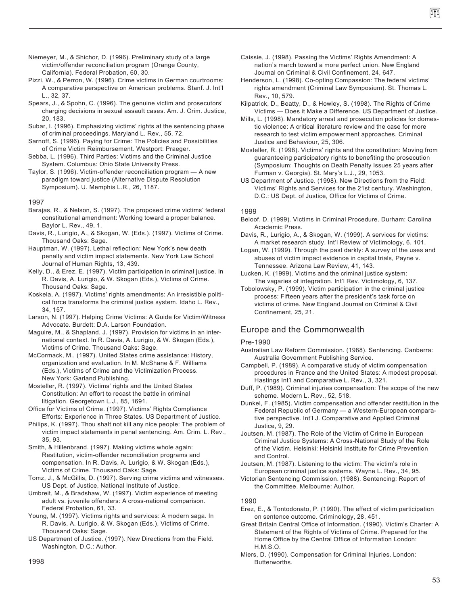- Niemeyer, M., & Shichor, D. (1996). Preliminary study of a large victim/offender reconciliation program (Orange County, California). Federal Probation, 60, 30.
- Pizzi, W., & Perron, W. (1996). Crime victims in German courtrooms: A comparative perspective on American problems. Stanf. J. Int'l L., 32, 37.
- Spears, J., & Spohn, C. (1996). The genuine victim and prosecutors' charging decisions in sexual assault cases. Am. J. Crim. Justice, 20, 183.
- Subar, I. (1996). Emphasizing victims' rights at the sentencing phase of criminal proceedings. Maryland L. Rev., 55, 72.
- Sarnoff, S. (1996). Paying for Crime: The Policies and Possibilities of Crime Victim Reimbursement. Westport: Praeger.
- Sebba, L. (1996). Third Parties: Victims and the Criminal Justice System. Columbus: Ohio State University Press.
- Taylor, S. (1996). Victim-offender reconciliation program A new paradigm toward justice (Alternative Dispute Resolution Symposium). U. Memphis L.R., 26, 1187.

#### 1997

- Barajas, R., & Nelson, S. (1997). The proposed crime victims' federal constitutional amendment: Working toward a proper balance. Baylor L. Rev., 49, 1.
- Davis, R., Lurigio, A., & Skogan, W. (Eds.). (1997). Victims of Crime. Thousand Oaks: Sage.
- Hauptman, W. (1997). Lethal reflection: New York's new death penalty and victim impact statements. New York Law School Journal of Human Rights, 13, 439.
- Kelly, D., & Erez, E. (1997). Victim participation in criminal justice. In R. Davis, A. Lurigio, & W. Skogan (Eds.), Victims of Crime. Thousand Oaks: Sage.
- Koskela, A. (1997). Victims' rights amendments: An irresistible political force transforms the criminal justice system. Idaho L. Rev., 34, 157.
- Larson, N. (1997). Helping Crime Victims: A Guide for Victim/Witness Advocate. Burdett: D.A. Larson Foundation.
- Maguire, M., & Shapland, J. (1997). Provision for victims in an international context. In R. Davis, A. Lurigio, & W. Skogan (Eds.), Victims of Crime. Thousand Oaks: Sage.
- McCormack, M., (1997). United States crime assistance: History, organization and evaluation. In M. McShane & F. Williams (Eds.), Victims of Crime and the Victimization Process. New York: Garland Publishing.
- Mosteller, R. (1997). Victims' rights and the United States Constitution: An effort to recast the battle in criminal litigation. Georgetown L.J., 85, 1691.
- Office for Victims of Crime. (1997). Victims' Rights Compliance Efforts: Experience in Three States. US Department of Justice.
- Philips, K. (1997). Thou shalt not kill any nice people: The problem of victim impact statements in penal sentencing. Am. Crim. L. Rev., 35, 93.
- Smith, & Hillenbrand. (1997). Making victims whole again: Restitution, victim-offender reconciliation programs and compensation. In R. Davis, A. Lurigio, & W. Skogan (Eds.), Victims of Crime. Thousand Oaks: Sage.
- Tomz, J., & McGillis, D. (1997). Serving crime victims and witnesses. US Dept. of Justice, National Institute of Justice.
- Umbreit, M., & Bradshaw, W. (1997). Victim experience of meeting adult vs. juvenile offenders: A cross-national comparison. Federal Probation, 61, 33.
- Young, M. (1997). Victims rights and services: A modern saga. In R. Davis, A. Lurigio, & W. Skogan (Eds.), Victims of Crime. Thousand Oaks: Sage.
- US Department of Justice. (1997). New Directions from the Field. Washington, D.C.: Author.
- 1998
- Caissie, J. (1998). Passing the Victims' Rights Amendment: A nation's march toward a more perfect union. New England Journal on Criminal & Civil Confinement, 24, 647.
- Henderson, L. (1998). Co-opting Compassion: The federal victims' rights amendment (Criminal Law Symposium). St. Thomas L. Rev., 10, 579.
- Kilpatrick, D., Beatty, D., & Howley, S. (1998). The Rights of Crime Victims — Does it Make a Difference. US Department of Justice.
- Mills, L. (1998). Mandatory arrest and prosecution policies for domestic violence: A critical literature review and the case for more research to test victim empowerment approaches. Criminal Justice and Behaviour, 25, 306.
- Mosteller, R. (1998). Victims' rights and the constitution: Moving from guaranteeing participatory rights to benefiting the prosecution (Symposium: Thoughts on Death Penalty Issues 25 years after Furman v. Georgia). St. Mary's L.J., 29, 1053.
- US Department of Justice. (1998). New Directions from the Field: Victims' Rights and Services for the 21st century. Washington, D.C.: US Dept. of Justice, Office for Victims of Crime.

#### 1999

- Beloof, D. (1999). Victims in Criminal Procedure. Durham: Carolina Academic Press.
- Davis, R., Lurigio, A., & Skogan, W. (1999). A services for victims: A market research study. Int'l Review of Victimology, 6, 101.
- Logan, W. (1999). Through the past darkly: A survey of the uses and abuses of victim impact evidence in capital trials, Payne v. Tennessee. Arizona Law Review, 41, 143.
- Lucken, K. (1999). Victims and the criminal justice system: The vagaries of integration. Int'l Rev. Victimology, 6, 137.
- Tobolowsky, P. (1999). Victim participation in the criminal justice process: Fifteen years after the president's task force on victims of crime. New England Journal on Criminal & Civil Confinement, 25, 21.

# Europe and the Commonwealth

#### Pre-1990

- Australian Law Reform Commission. (1988). Sentencing. Canberra: Australia Government Publishing Service.
- Campbell, P. (1989). A comparative study of victim compensation procedures in France and the United States: A modest proposal. Hastings Int'l and Comparative L. Rev., 3, 321.
- Duff, P. (1989). Criminal injuries compensation: The scope of the new scheme. Modern L. Rev., 52, 518.
- Dunkel, F. (1985). Victim compensation and offender restitution in the Federal Republic of Germany — a Western-European comparative perspective. Int'l J. Comparative and Applied Criminal Justice, 9, 29.
- Joutsen, M. (1987). The Role of the Victim of Crime in European Criminal Justice Systems: A Cross-National Study of the Role of the Victim. Helsinki: Helsinki Institute for Crime Prevention and Control.
- Joutsen, M. (1987). Listening to the victim: The victim's role in European criminal justice systems. Wayne L. Rev., 34, 95.
- Victorian Sentencing Commission. (1988). Sentencing: Report of the Committee. Melbourne: Author.

- Erez, E., & Tontodonato, P. (1990). The effect of victim participation on sentence outcome. Criminology, 28, 451.
- Great Britain Central Office of Information. (1990). Victim's Charter: A Statement of the Rights of Victims of Crime. Prepared for the Home Office by the Central Office of Information London: H.M.S.O.
- Miers, D. (1990). Compensation for Criminal Injuries. London: Butterworths.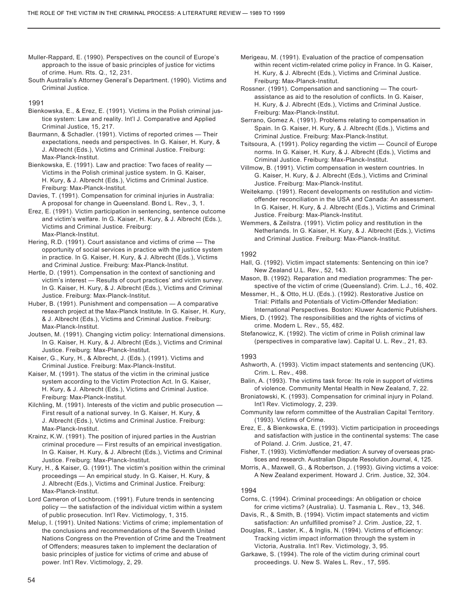Muller-Rappard, E. (1990). Perspectives on the council of Europe's approach to the issue of basic principles of justice for victims of crime. Hum. Rts. Q., 12, 231.

South Australia's Attorney General's Department. (1990). Victims and Criminal Justice.

#### 1991

Bienkowska, E., & Erez, E. (1991). Victims in the Polish criminal justice system: Law and reality. Int'l J. Comparative and Applied Criminal Justice, 15, 217.

Baurmann, & Schadler. (1991). Victims of reported crimes — Their expectations, needs and perspectives. In G. Kaiser, H. Kury, & J. Albrecht (Eds.), Victims and Criminal Justice. Freiburg: Max-Planck-Institut.

Bienkowska, E. (1991). Law and practice: Two faces of reality — Victims in the Polish criminal justice system. In G. Kaiser, H. Kury, & J. Albrecht (Eds.), Victims and Criminal Justice. Freiburg: Max-Planck-Institut.

Davies, T. (1991). Compensation for criminal injuries in Australia: A proposal for change in Queensland. Bond L. Rev., 3, 1.

Erez, E. (1991). Victim participation in sentencing, sentence outcome and victim's welfare. In G. Kaiser, H. Kury, & J. Albrecht (Eds.), Victims and Criminal Justice. Freiburg: Max-Planck-Institut.

Hering, R.D. (1991). Court assistance and victims of crime — The opportunity of social services in practice with the justice system in practice. In G. Kaiser, H. Kury, & J. Albrecht (Eds.), Victims and Criminal Justice. Freiburg: Max-Planck-Institut.

Hertle, D. (1991). Compensation in the context of sanctioning and victim's interest — Results of court practices' and victim survey. In G. Kaiser, H. Kury, & J. Albrecht (Eds.), Victims and Criminal Justice. Freiburg: Max-Planck-Institut.

Huber, B. (1991). Punishment and compensation — A comparative research project at the Max-Planck Institute. In G. Kaiser, H. Kury, & J. Albrecht (Eds.), Victims and Criminal Justice. Freiburg: Max-Planck-Institut.

Joutsen, M. (1991). Changing victim policy: International dimensions. In G. Kaiser, H. Kury, & J. Albrecht (Eds.), Victims and Criminal Justice. Freiburg: Max-Planck-Institut.

Kaiser, G., Kury, H., & Albrecht, J. (Eds.). (1991). Victims and Criminal Justice. Freiburg: Max-Planck-Institut.

Kaiser, M. (1991). The status of the victim in the criminal justice system according to the Victim Protection Act. In G. Kaiser, H. Kury, & J. Albrecht (Eds.), Victims and Criminal Justice. Freiburg: Max-Planck-Institut.

Kilchling, M. (1991). Interests of the victim and public prosecution — First result of a national survey. In G. Kaiser, H. Kury, & J. Albrecht (Eds.), Victims and Criminal Justice. Freiburg: Max-Planck-Institut.

Krainz, K.W. (1991). The position of injured parties in the Austrian criminal procedure — First results of an empirical investigation. In G. Kaiser, H. Kury, & J. Albrecht (Eds.), Victims and Criminal Justice. Freiburg: Max-Planck-Institut.

Kury, H., & Kaiser, G. (1991). The victim's position within the criminal proceedings — An empirical study. In G. Kaiser, H. Kury, & J. Albrecht (Eds.), Victims and Criminal Justice. Freiburg: Max-Planck-Institut.

Lord Cameron of Lochbroom. (1991). Future trends in sentencing policy — the satisfaction of the individual victim within a system of public prosecution. Int'l Rev. Victimology, 1, 315.

Melup, I. (1991). United Nations: Victims of crime; implementation of the conclusions and recommendations of the Seventh United Nations Congress on the Prevention of Crime and the Treatment of Offenders; measures taken to implement the declaration of basic principles of justice for victims of crime and abuse of power. Int'l Rev. Victimology, 2, 29.

Rossner. (1991). Compensation and sanctioning — The courtassistance as aid to the resolution of conflicts. In G. Kaiser, H. Kury, & J. Albrecht (Eds.), Victims and Criminal Justice. Freiburg: Max-Planck-Institut.

Serrano, Gomez A. (1991). Problems relating to compensation in Spain. In G. Kaiser, H. Kury, & J. Albrecht (Eds.), Victims and Criminal Justice. Freiburg: Max-Planck-Institut.

Tsitsoura, A. (1991). Policy regarding the victim — Council of Europe norms. In G. Kaiser, H. Kury, & J. Albrecht (Eds.), Victims and Criminal Justice. Freiburg: Max-Planck-Institut.

Villmow, B. (1991). Victim compensation in western countries. In G. Kaiser, H. Kury, & J. Albrecht (Eds.), Victims and Criminal Justice. Freiburg: Max-Planck-Institut.

Weitekamp. (1991). Recent developments on restitution and victimoffender reconciliation in the USA and Canada: An assessment. In G. Kaiser, H. Kury, & J. Albrecht (Eds.), Victims and Criminal Justice. Freiburg: Max-Planck-Institut.

Wemmers, & Zeilstra. (1991). Victim policy and restitution in the Netherlands. In G. Kaiser, H. Kury, & J. Albrecht (Eds.), Victims and Criminal Justice. Freiburg: Max-Planck-Institut.

#### 1992

Hall, G. (1992). Victim impact statements: Sentencing on thin ice? New Zealand U.L. Rev., 52, 143.

Mason, B. (1992). Reparation and mediation programmes: The perspective of the victim of crime (Queensland). Crim. L.J., 16, 402.

Messmer, H., & Otto, H.U. (Eds.). (1992). Restorative Justice on Trial: Pitfalls and Potentials of Victim-Offender Mediation: International Perspectives. Boston: Kluwer Academic Publishers.

Miers, D. (1992). The responsibilities and the rights of victims of crime. Modern L. Rev., 55, 482.

Stefanowicz, K. (1992). The victim of crime in Polish criminal law (perspectives in comparative law). Capital U. L. Rev., 21, 83.

#### 1993

- Ashworth, A. (1993). Victim impact statements and sentencing (UK). Crim. L. Rev., 498.
- Balin, A. (1993). The victims task force: Its role in support of victims of violence. Community Mental Health in New Zealand, 7, 22.
- Broniatowski, K. (1993). Compensation for criminal injury in Poland. Int'l Rev. Victimology, 2, 239.

Community law reform committee of the Australian Capital Territory. (1993). Victims of Crime.

Erez, E., & Bienkowska, E. (1993). Victim participation in proceedings and satisfaction with justice in the continental systems: The case of Poland. J. Crim. Justice, 21, 47.

Fisher, T. (1993). Victim/offender mediation: A survey of overseas practices and research. Australian Dispute Resolution Journal, 4, 125.

Morris, A., Maxwell, G., & Robertson, J. (1993). Giving victims a voice: A New Zealand experiment. Howard J. Crim. Justice, 32, 304.

#### 1994

- Corns, C. (1994). Criminal proceedings: An obligation or choice for crime victims? (Australia). U. Tasmania L. Rev., 13, 346.
- Davis, R., & Smith, B. (1994). Victim impact statements and victim satisfaction: An unfulfilled promise? J. Crim. Justice, 22, 1.

Douglas, R., Laster, K., & Inglis, N. (1994). Victims of efficiency: Tracking victim impact information through the system in Victoria, Australia. Int'l Rev. Victimology, 3, 95.

Garkawe, S. (1994). The role of the victim during criminal court proceedings. U. New S. Wales L. Rev., 17, 595.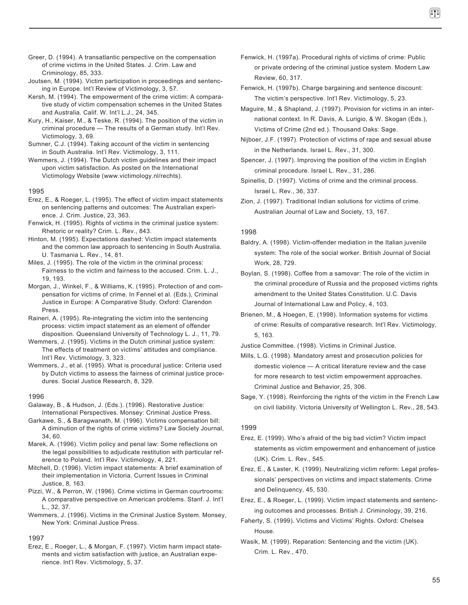- Greer, D. (1994). A transatlantic perspective on the compensation of crime victims in the United States. J. Crim. Law and Criminology, 85, 333.
- Joutsen, M. (1994). Victim participation in proceedings and sentencing in Europe. Int'l Review of Victimology, 3, 57.
- Kersh, M. (1994). The empowerment of the crime victim: A comparative study of victim compensation schemes in the United States and Australia. Calif. W. Int'l L.J., 24, 345.
- Kury, H., Kaiser, M., & Teske, R. (1994). The position of the victim in criminal procedure — The results of a German study. Int'l Rev. Victimology, 3, 69.
- Sumner, C.J. (1994). Taking account of the victim in sentencing in South Australia. Int'l Rev. Victimology, 3, 111.
- Wemmers, J. (1994). The Dutch victim guidelines and their impact upon victim satisfaction. As posted on the International Victimology Website (www.victimology.nl/rechts).

#### 1995

- Erez, E., & Roeger, L. (1995). The effect of victim impact statements on sentencing patterns and outcomes: The Australian experience. J. Crim. Justice, 23, 363.
- Fenwick, H. (1995). Rights of victims in the criminal justice system: Rhetoric or reality? Crim. L. Rev., 843.
- Hinton, M. (1995). Expectations dashed: Victim impact statements and the common law approach to sentencing in South Australia. U. Tasmania L. Rev., 14, 81.
- Miles, J. (1995). The role of the victim in the criminal process: Fairness to the victim and fairness to the accused. Crim. L. J., 19, 193.
- Morgan, J., Winkel, F., & Williams, K. (1995). Protection of and compensation for victims of crime. In Fennel et al. (Eds.), Criminal Justice in Europe: A Comparative Study. Oxford: Clarendon Press.
- Raineri, A. (1995). Re-integrating the victim into the sentencing process: victim impact statement as an element of offender disposition. Queensland University of Technology L. J., 11, 79.
- Wemmers, J. (1995). Victims in the Dutch criminal justice system: The effects of treatment on victims' attitudes and compliance. Int'l Rev. Victimology, 3, 323.
- Wemmers, J., et al. (1995). What is procedural justice: Criteria used by Dutch victims to assess the fairness of criminal justice procedures. Social Justice Research, 8, 329.

# 1996

- Galaway, B., & Hudson, J. (Eds.). (1996). Restorative Justice: International Perspectives. Monsey: Criminal Justice Press.
- Garkawe, S., & Baragwanath, M. (1996). Victims compensation bill: A diminution of the rights of crime victims? Law Society Journal, 34, 60.
- Marek, A. (1996). Victim policy and penal law: Some reflections on the legal possibilities to adjudicate restitution with particular reference to Poland. Int'l Rev. Victimology, 4, 221.
- Mitchell, D. (1996). Victim impact statements: A brief examination of their implementation in Victoria. Current Issues in Criminal Justice, 8, 163.
- Pizzi, W., & Perron, W. (1996). Crime victims in German courtrooms: A comparative perspective on American problems. Stanf. J. Int'l L., 32, 37.
- Wemmers, J. (1996). Victims in the Criminal Justice System. Monsey, New York: Criminal Justice Press.

# 1997

Erez, E., Roeger, L., & Morgan, F. (1997). Victim harm impact statements and victim satisfaction with justice, an Australian experience. Int'l Rev. Victimology, 5, 37.

Fenwick, H. (1997a). Procedural rights of victims of crime: Public or private ordering of the criminal justice system. Modern Law Review, 60, 317.

Fenwick, H. (1997b). Charge bargaining and sentence discount: The victim's perspective. Int'l Rev. Victimology, 5, 23.

Maguire, M., & Shapland, J. (1997). Provision for victims in an international context. In R. Davis, A. Lurigio, & W. Skogan (Eds.), Victims of Crime (2nd ed.). Thousand Oaks: Sage.

Nijboer, J.F. (1997). Protection of victims of rape and sexual abuse in the Netherlands. Israel L. Rev., 31, 300.

- Spencer, J. (1997). Improving the position of the victim in English criminal procedure. Israel L. Rev., 31, 286.
- Spinellis, D. (1997). Victims of crime and the criminal process. Israel L. Rev., 36, 337.
- Zion, J. (1997). Traditional Indian solutions for victims of crime. Australian Journal of Law and Society, 13, 167.

# 1998

- Baldry, A. (1998). Victim-offender mediation in the Italian juvenile system: The role of the social worker. British Journal of Social Work, 28, 729.
- Boylan, S. (1998). Coffee from a samovar: The role of the victim in the criminal procedure of Russia and the proposed victims rights amendment to the United States Constitution. U.C. Davis Journal of International Law and Policy, 4, 103.
- Brienen, M., & Hoegen, E. (1998). Information systems for victims of crime: Results of comparative research. Int'l Rev. Victimology, 5, 163.

Justice Committee. (1998). Victims in Criminal Justice.

- Mills, L.G. (1998). Mandatory arrest and prosecution policies for domestic violence — A critical literature review and the case for more research to test victim empowerment approaches. Criminal Justice and Behavior, 25, 306.
- Sage, Y. (1998). Reinforcing the rights of the victim in the French Law on civil liability. Victoria University of Wellington L. Rev., 28, 543.

- Erez, E. (1999). Who's afraid of the big bad victim? Victim impact statements as victim empowerment and enhancement of justice (UK). Crim. L. Rev., 545.
- Erez, E., & Laster, K. (1999). Neutralizing victim reform: Legal professionals' perspectives on victims and impact statements. Crime and Delinquency, 45, 530.
- Erez, E., & Roeger, L. (1999). Victim impact statements and sentencing outcomes and processes. British J. Criminology, 39, 216.
- Faherty, S. (1999). Victims and Victims' Rights. Oxford: Chelsea House.
- Wasik, M. (1999). Reparation: Sentencing and the victim (UK). Crim. L. Rev., 470.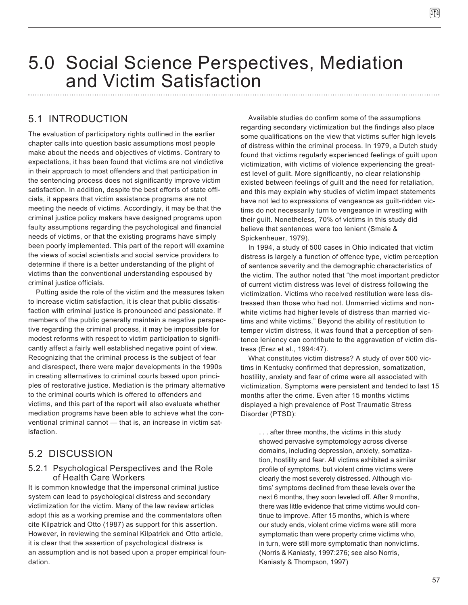# 5.0 Social Science Perspectives, Mediation and Victim Satisfaction

# 5.1 INTRODUCTION

The evaluation of participatory rights outlined in the earlier chapter calls into question basic assumptions most people make about the needs and objectives of victims. Contrary to expectations, it has been found that victims are not vindictive in their approach to most offenders and that participation in the sentencing process does not significantly improve victim satisfaction. In addition, despite the best efforts of state officials, it appears that victim assistance programs are not meeting the needs of victims. Accordingly, it may be that the criminal justice policy makers have designed programs upon faulty assumptions regarding the psychological and financial needs of victims, or that the existing programs have simply been poorly implemented. This part of the report will examine the views of social scientists and social service providers to determine if there is a better understanding of the plight of victims than the conventional understanding espoused by criminal justice officials.

Putting aside the role of the victim and the measures taken to increase victim satisfaction, it is clear that public dissatisfaction with criminal justice is pronounced and passionate. If members of the public generally maintain a negative perspective regarding the criminal process, it may be impossible for modest reforms with respect to victim participation to significantly affect a fairly well established negative point of view. Recognizing that the criminal process is the subject of fear and disrespect, there were major developments in the 1990s in creating alternatives to criminal courts based upon principles of restorative justice. Mediation is the primary alternative to the criminal courts which is offered to offenders and victims, and this part of the report will also evaluate whether mediation programs have been able to achieve what the conventional criminal cannot — that is, an increase in victim satisfaction.

# 5.2 DISCUSSION

# 5.2.1 Psychological Perspectives and the Role of Health Care Workers

It is common knowledge that the impersonal criminal justice system can lead to psychological distress and secondary victimization for the victim. Many of the law review articles adopt this as a working premise and the commentators often cite Kilpatrick and Otto (1987) as support for this assertion. However, in reviewing the seminal Kilpatrick and Otto article, it is clear that the assertion of psychological distress is an assumption and is not based upon a proper empirical foundation.

Available studies do confirm some of the assumptions regarding secondary victimization but the findings also place some qualifications on the view that victims suffer high levels of distress within the criminal process. In 1979, a Dutch study found that victims regularly experienced feelings of guilt upon victimization, with victims of violence experiencing the greatest level of guilt. More significantly, no clear relationship existed between feelings of guilt and the need for retaliation, and this may explain why studies of victim impact statements have not led to expressions of vengeance as guilt-ridden victims do not necessarily turn to vengeance in wrestling with their guilt. Nonetheless, 70% of victims in this study did believe that sentences were too lenient (Smale & Spickenheuer, 1979).

In 1994, a study of 500 cases in Ohio indicated that victim distress is largely a function of offence type, victim perception of sentence severity and the demographic characteristics of the victim. The author noted that "the most important predictor of current victim distress was level of distress following the victimization. Victims who received restitution were less distressed than those who had not. Unmarried victims and nonwhite victims had higher levels of distress than married victims and white victims." Beyond the ability of restitution to temper victim distress, it was found that a perception of sentence leniency can contribute to the aggravation of victim distress (Erez et al., 1994:47).

What constitutes victim distress? A study of over 500 victims in Kentucky confirmed that depression, somatization, hostility, anxiety and fear of crime were all associated with victimization. Symptoms were persistent and tended to last 15 months after the crime. Even after 15 months victims displayed a high prevalence of Post Traumatic Stress Disorder (PTSD):

. . . after three months, the victims in this study showed pervasive symptomology across diverse domains, including depression, anxiety, somatization, hostility and fear. All victims exhibited a similar profile of symptoms, but violent crime victims were clearly the most severely distressed. Although victims' symptoms declined from these levels over the next 6 months, they soon leveled off. After 9 months, there was little evidence that crime victims would continue to improve. After 15 months, which is where our study ends, violent crime victims were still more symptomatic than were property crime victims who, in turn, were still more symptomatic than nonvictims. (Norris & Kaniasty, 1997:276; see also Norris, Kaniasty & Thompson, 1997)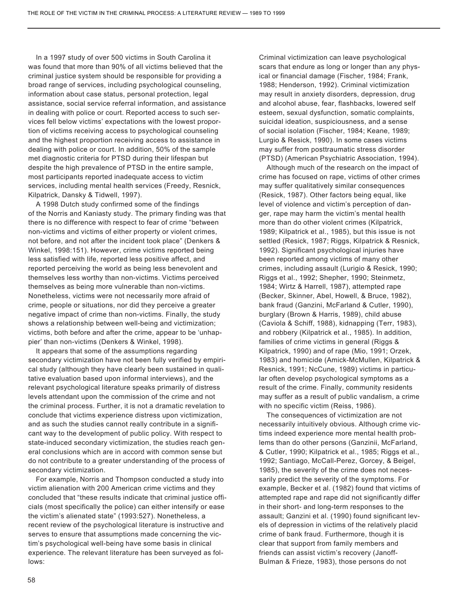In a 1997 study of over 500 victims in South Carolina it was found that more than 90% of all victims believed that the criminal justice system should be responsible for providing a broad range of services, including psychological counseling, information about case status, personal protection, legal assistance, social service referral information, and assistance in dealing with police or court. Reported access to such services fell below victims' expectations with the lowest proportion of victims receiving access to psychological counseling and the highest proportion receiving access to assistance in dealing with police or court. In addition, 50% of the sample met diagnostic criteria for PTSD during their lifespan but despite the high prevalence of PTSD in the entire sample, most participants reported inadequate access to victim services, including mental health services (Freedy, Resnick, Kilpatrick, Dansky & Tidwell, 1997).

A 1998 Dutch study confirmed some of the findings of the Norris and Kaniasty study. The primary finding was that there is no difference with respect to fear of crime "between non-victims and victims of either property or violent crimes, not before, and not after the incident took place" (Denkers & Winkel, 1998:151). However, crime victims reported being less satisfied with life, reported less positive affect, and reported perceiving the world as being less benevolent and themselves less worthy than non-victims. Victims perceived themselves as being more vulnerable than non-victims. Nonetheless, victims were not necessarily more afraid of crime, people or situations, nor did they perceive a greater negative impact of crime than non-victims. Finally, the study shows a relationship between well-being and victimization; victims, both before and after the crime, appear to be 'unhappier' than non-victims (Denkers & Winkel, 1998).

It appears that some of the assumptions regarding secondary victimization have not been fully verified by empirical study (although they have clearly been sustained in qualitative evaluation based upon informal interviews), and the relevant psychological literature speaks primarily of distress levels attendant upon the commission of the crime and not the criminal process. Further, it is not a dramatic revelation to conclude that victims experience distress upon victimization, and as such the studies cannot really contribute in a significant way to the development of public policy. With respect to state-induced secondary victimization, the studies reach general conclusions which are in accord with common sense but do not contribute to a greater understanding of the process of secondary victimization.

For example, Norris and Thompson conducted a study into victim alienation with 200 American crime victims and they concluded that "these results indicate that criminal justice officials (most specifically the police) can either intensify or ease the victim's alienated state" (1993:527). Nonetheless, a recent review of the psychological literature is instructive and serves to ensure that assumptions made concerning the victim's psychological well-being have some basis in clinical experience. The relevant literature has been surveyed as follows:

Criminal victimization can leave psychological scars that endure as long or longer than any physical or financial damage (Fischer, 1984; Frank, 1988; Henderson, 1992). Criminal victimization may result in anxiety disorders, depression, drug and alcohol abuse, fear, flashbacks, lowered self esteem, sexual dysfunction, somatic complaints, suicidal ideation, suspiciousness, and a sense of social isolation (Fischer, 1984; Keane, 1989; Lurgio & Resick, 1990). In some cases victims may suffer from posttraumatic stress disorder (PTSD) (American Psychiatric Association, 1994).

Although much of the research on the impact of crime has focused on rape, victims of other crimes may suffer qualitatively similar consequences (Resick, 1987). Other factors being equal, like level of violence and victim's perception of danger, rape may harm the victim's mental health more than do other violent crimes (Kilpatrick, 1989; Kilpatrick et al., 1985), but this issue is not settled (Resick, 1987; Riggs, Kilpatrick & Resnick, 1992). Significant psychological injuries have been reported among victims of many other crimes, including assault (Lurigio & Resick, 1990; Riggs et al., 1992; Shepher, 1990; Steinmetz, 1984; Wirtz & Harrell, 1987), attempted rape (Becker, Skinner, Abel, Howell, & Bruce, 1982), bank fraud (Ganzini, McFarland & Cutler, 1990), burglary (Brown & Harris, 1989), child abuse (Caviola & Schiff, 1988), kidnapping (Terr, 1983), and robbery (Kilpatrick et al., 1985). In addition, families of crime victims in general (Riggs & Kilpatrick, 1990) and of rape (Mio, 1991; Orzek, 1983) and homicide (Amick-McMullen, Kilpatrick & Resnick, 1991; NcCune, 1989) victims in particular often develop psychological symptoms as a result of the crime. Finally, community residents may suffer as a result of public vandalism, a crime with no specific victim (Reiss, 1986).

The consequences of victimization are not necessarily intuitively obvious. Although crime victims indeed experience more mental health problems than do other persons (Ganzinii, McFarland, & Cutler, 1990; Kilpatrick et al., 1985; Riggs et al., 1992; Santiago, McCall-Perez, Gorcey, & Beigel, 1985), the severity of the crime does not necessarily predict the severity of the symptoms. For example, Becker et al. (1982) found that victims of attempted rape and rape did not significantly differ in their short- and long-term responses to the assault; Ganzini et al. (1990) found significant levels of depression in victims of the relatively placid crime of bank fraud. Furthermore, though it is clear that support from family members and friends can assist victim's recovery (Janoff-Bulman & Frieze, 1983), those persons do not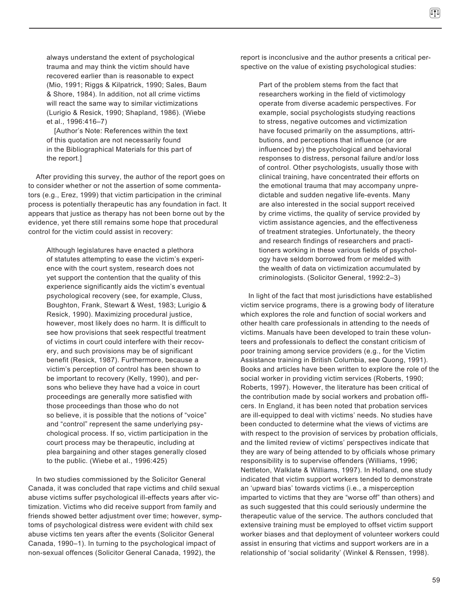always understand the extent of psychological trauma and may think the victim should have recovered earlier than is reasonable to expect (Mio, 1991; Riggs & Kilpatrick, 1990; Sales, Baum & Shore, 1984). In addition, not all crime victims will react the same way to similar victimizations (Lurigio & Resick, 1990; Shapland, 1986). (Wiebe et al., 1996:416–7)

[Author's Note: References within the text of this quotation are not necessarily found in the Bibliographical Materials for this part of the report.]

After providing this survey, the author of the report goes on to consider whether or not the assertion of some commentators (e.g., Erez, 1999) that victim participation in the criminal process is potentially therapeutic has any foundation in fact. It appears that justice as therapy has not been borne out by the evidence, yet there still remains some hope that procedural control for the victim could assist in recovery:

Although legislatures have enacted a plethora of statutes attempting to ease the victim's experience with the court system, research does not yet support the contention that the quality of this experience significantly aids the victim's eventual psychological recovery (see, for example, Cluss, Boughton, Frank, Stewart & West, 1983; Lurigio & Resick, 1990). Maximizing procedural justice, however, most likely does no harm. It is difficult to see how provisions that seek respectful treatment of victims in court could interfere with their recovery, and such provisions may be of significant benefit (Resick, 1987). Furthermore, because a victim's perception of control has been shown to be important to recovery (Kelly, 1990), and persons who believe they have had a voice in court proceedings are generally more satisfied with those proceedings than those who do not so believe, it is possible that the notions of "voice" and "control" represent the same underlying psychological process. If so, victim participation in the court process may be therapeutic, including at plea bargaining and other stages generally closed to the public. (Wiebe et al., 1996:425)

In two studies commissioned by the Solicitor General Canada, it was concluded that rape victims and child sexual abuse victims suffer psychological ill-effects years after victimization. Victims who did receive support from family and friends showed better adjustment over time; however, symptoms of psychological distress were evident with child sex abuse victims ten years after the events (Solicitor General Canada, 1990–1). In turning to the psychological impact of non-sexual offences (Solicitor General Canada, 1992), the

report is inconclusive and the author presents a critical perspective on the value of existing psychological studies:

Part of the problem stems from the fact that researchers working in the field of victimology operate from diverse academic perspectives. For example, social psychologists studying reactions to stress, negative outcomes and victimization have focused primarily on the assumptions, attributions, and perceptions that influence (or are influenced by) the psychological and behavioral responses to distress, personal failure and/or loss of control. Other psychologists, usually those with clinical training, have concentrated their efforts on the emotional trauma that may accompany unpredictable and sudden negative life-events. Many are also interested in the social support received by crime victims, the quality of service provided by victim assistance agencies, and the effectiveness of treatment strategies. Unfortunately, the theory and research findings of researchers and practitioners working in these various fields of psychology have seldom borrowed from or melded with the wealth of data on victimization accumulated by criminologists. (Solicitor General, 1992:2–3)

In light of the fact that most jurisdictions have established victim service programs, there is a growing body of literature which explores the role and function of social workers and other health care professionals in attending to the needs of victims. Manuals have been developed to train these volunteers and professionals to deflect the constant criticism of poor training among service providers (e.g., for the Victim Assistance training in British Columbia, see Quong, 1991). Books and articles have been written to explore the role of the social worker in providing victim services (Roberts, 1990; Roberts, 1997). However, the literature has been critical of the contribution made by social workers and probation officers. In England, it has been noted that probation services are ill-equipped to deal with victims' needs. No studies have been conducted to determine what the views of victims are with respect to the provision of services by probation officials, and the limited review of victims' perspectives indicate that they are wary of being attended to by officials whose primary responsibility is to supervise offenders (Williams, 1996; Nettleton, Walklate & Williams, 1997). In Holland, one study indicated that victim support workers tended to demonstrate an 'upward bias' towards victims (i.e., a misperception imparted to victims that they are "worse off" than others) and as such suggested that this could seriously undermine the therapeutic value of the service. The authors concluded that extensive training must be employed to offset victim support worker biases and that deployment of volunteer workers could assist in ensuring that victims and support workers are in a relationship of 'social solidarity' (Winkel & Renssen, 1998).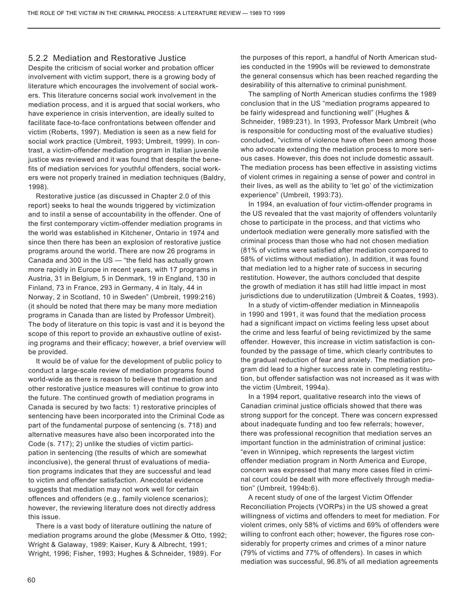# 5.2.2 Mediation and Restorative Justice

Despite the criticism of social worker and probation officer involvement with victim support, there is a growing body of literature which encourages the involvement of social workers. This literature concerns social work involvement in the mediation process, and it is argued that social workers, who have experience in crisis intervention, are ideally suited to facilitate face-to-face confrontations between offender and victim (Roberts, 1997). Mediation is seen as a new field for social work practice (Umbreit, 1993; Umbreit, 1999). In contrast, a victim-offender mediation program in Italian juvenile justice was reviewed and it was found that despite the benefits of mediation services for youthful offenders, social workers were not properly trained in mediation techniques (Baldry, 1998).

Restorative justice (as discussed in Chapter 2.0 of this report) seeks to heal the wounds triggered by victimization and to instil a sense of accountability in the offender. One of the first contemporary victim-offender mediation programs in the world was established in Kitchener, Ontario in 1974 and since then there has been an explosion of restorative justice programs around the world. There are now 26 programs in Canada and 300 in the US — "the field has actually grown more rapidly in Europe in recent years, with 17 programs in Austria, 31 in Belgium, 5 in Denmark, 19 in England, 130 in Finland, 73 in France, 293 in Germany, 4 in Italy, 44 in Norway, 2 in Scotland, 10 in Sweden" (Umbreit, 1999:216) (it should be noted that there may be many more mediation programs in Canada than are listed by Professor Umbreit). The body of literature on this topic is vast and it is beyond the scope of this report to provide an exhaustive outline of existing programs and their efficacy; however, a brief overview will be provided.

It would be of value for the development of public policy to conduct a large-scale review of mediation programs found world-wide as there is reason to believe that mediation and other restorative justice measures will continue to grow into the future. The continued growth of mediation programs in Canada is secured by two facts: 1) restorative principles of sentencing have been incorporated into the Criminal Code as part of the fundamental purpose of sentencing (s. 718) and alternative measures have also been incorporated into the Code (s. 717); 2) unlike the studies of victim participation in sentencing (the results of which are somewhat inconclusive), the general thrust of evaluations of mediation programs indicates that they are successful and lead to victim and offender satisfaction. Anecdotal evidence suggests that mediation may not work well for certain offences and offenders (e.g., family violence scenarios); however, the reviewing literature does not directly address this issue.

There is a vast body of literature outlining the nature of mediation programs around the globe (Messmer & Otto, 1992; Wright & Galaway, 1989: Kaiser, Kury & Albrecht, 1991; Wright, 1996; Fisher, 1993; Hughes & Schneider, 1989). For

the purposes of this report, a handful of North American studies conducted in the 1990s will be reviewed to demonstrate the general consensus which has been reached regarding the desirability of this alternative to criminal punishment.

The sampling of North American studies confirms the 1989 conclusion that in the US "mediation programs appeared to be fairly widespread and functioning well" (Hughes & Schneider, 1989:231). In 1993, Professor Mark Umbreit (who is responsible for conducting most of the evaluative studies) concluded, "victims of violence have often been among those who advocate extending the mediation process to more serious cases. However, this does not include domestic assault. The mediation process has been effective in assisting victims of violent crimes in regaining a sense of power and control in their lives, as well as the ability to 'let go' of the victimization experience" (Umbreit, 1993:73).

In 1994, an evaluation of four victim-offender programs in the US revealed that the vast majority of offenders voluntarily chose to participate in the process, and that victims who undertook mediation were generally more satisfied with the criminal process than those who had not chosen mediation (81% of victims were satisfied after mediation compared to 58% of victims without mediation). In addition, it was found that mediation led to a higher rate of success in securing restitution. However, the authors concluded that despite the growth of mediation it has still had little impact in most jurisdictions due to underutilization (Umbreit & Coates, 1993).

In a study of victim-offender mediation in Minneapolis in 1990 and 1991, it was found that the mediation process had a significant impact on victims feeling less upset about the crime and less fearful of being revictimized by the same offender. However, this increase in victim satisfaction is confounded by the passage of time, which clearly contributes to the gradual reduction of fear and anxiety. The mediation program did lead to a higher success rate in completing restitution, but offender satisfaction was not increased as it was with the victim (Umbreit, 1994a).

In a 1994 report, qualitative research into the views of Canadian criminal justice officials showed that there was strong support for the concept. There was concern expressed about inadequate funding and too few referrals; however, there was professional recognition that mediation serves an important function in the administration of criminal justice: "even in Winnipeg, which represents the largest victim offender mediation program in North America and Europe, concern was expressed that many more cases filed in criminal court could be dealt with more effectively through mediation" (Umbreit, 1994b:6).

A recent study of one of the largest Victim Offender Reconciliation Projects (VORPs) in the US showed a great willingness of victims and offenders to meet for mediation. For violent crimes, only 58% of victims and 69% of offenders were willing to confront each other; however, the figures rose considerably for property crimes and crimes of a minor nature (79% of victims and 77% of offenders). In cases in which mediation was successful, 96.8% of all mediation agreements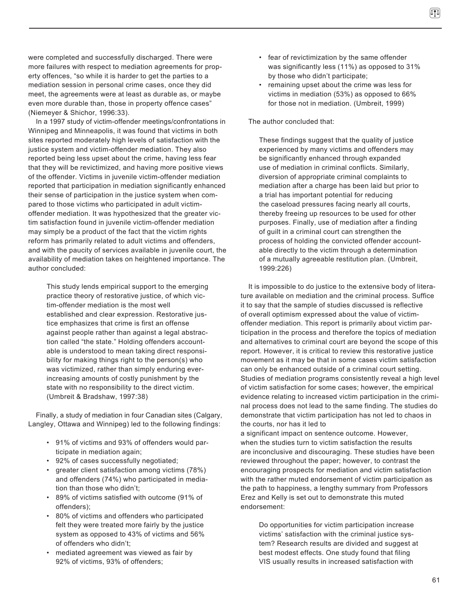were completed and successfully discharged. There were more failures with respect to mediation agreements for property offences, "so while it is harder to get the parties to a mediation session in personal crime cases, once they did meet, the agreements were at least as durable as, or maybe even more durable than, those in property offence cases" (Niemeyer & Shichor, 1996:33).

In a 1997 study of victim-offender meetings/confrontations in Winnipeg and Minneapolis, it was found that victims in both sites reported moderately high levels of satisfaction with the justice system and victim-offender mediation. They also reported being less upset about the crime, having less fear that they will be revictimized, and having more positive views of the offender. Victims in juvenile victim-offender mediation reported that participation in mediation significantly enhanced their sense of participation in the justice system when compared to those victims who participated in adult victimoffender mediation. It was hypothesized that the greater victim satisfaction found in juvenile victim-offender mediation may simply be a product of the fact that the victim rights reform has primarily related to adult victims and offenders, and with the paucity of services available in juvenile court, the availability of mediation takes on heightened importance. The author concluded:

This study lends empirical support to the emerging practice theory of restorative justice, of which victim-offender mediation is the most well established and clear expression. Restorative justice emphasizes that crime is first an offense against people rather than against a legal abstraction called "the state." Holding offenders accountable is understood to mean taking direct responsibility for making things right to the person(s) who was victimized, rather than simply enduring everincreasing amounts of costly punishment by the state with no responsibility to the direct victim. (Umbreit & Bradshaw, 1997:38)

Finally, a study of mediation in four Canadian sites (Calgary, Langley, Ottawa and Winnipeg) led to the following findings:

- 91% of victims and 93% of offenders would participate in mediation again;
- 92% of cases successfully negotiated;
- greater client satisfaction among victims (78%) and offenders (74%) who participated in mediation than those who didn't;
- 89% of victims satisfied with outcome (91% of offenders);
- 80% of victims and offenders who participated felt they were treated more fairly by the justice system as opposed to 43% of victims and 56% of offenders who didn't;
- mediated agreement was viewed as fair by 92% of victims, 93% of offenders;
- fear of revictimization by the same offender was significantly less (11%) as opposed to 31% by those who didn't participate;
- remaining upset about the crime was less for victims in mediation (53%) as opposed to 66% for those not in mediation. (Umbreit, 1999)

# The author concluded that:

These findings suggest that the quality of justice experienced by many victims and offenders may be significantly enhanced through expanded use of mediation in criminal conflicts. Similarly, diversion of appropriate criminal complaints to mediation after a charge has been laid but prior to a trial has important potential for reducing the caseload pressures facing nearly all courts, thereby freeing up resources to be used for other purposes. Finally, use of mediation after a finding of guilt in a criminal court can strengthen the process of holding the convicted offender accountable directly to the victim through a determination of a mutually agreeable restitution plan. (Umbreit, 1999:226)

It is impossible to do justice to the extensive body of literature available on mediation and the criminal process. Suffice it to say that the sample of studies discussed is reflective of overall optimism expressed about the value of victimoffender mediation. This report is primarily about victim participation in the process and therefore the topics of mediation and alternatives to criminal court are beyond the scope of this report. However, it is critical to review this restorative justice movement as it may be that in some cases victim satisfaction can only be enhanced outside of a criminal court setting. Studies of mediation programs consistently reveal a high level of victim satisfaction for some cases; however, the empirical evidence relating to increased victim participation in the criminal process does not lead to the same finding. The studies do demonstrate that victim participation has not led to chaos in the courts, nor has it led to

a significant impact on sentence outcome. However, when the studies turn to victim satisfaction the results are inconclusive and discouraging. These studies have been reviewed throughout the paper; however, to contrast the encouraging prospects for mediation and victim satisfaction with the rather muted endorsement of victim participation as the path to happiness, a lengthy summary from Professors Erez and Kelly is set out to demonstrate this muted endorsement:

Do opportunities for victim participation increase victims' satisfaction with the criminal justice system? Research results are divided and suggest at best modest effects. One study found that filing VIS usually results in increased satisfaction with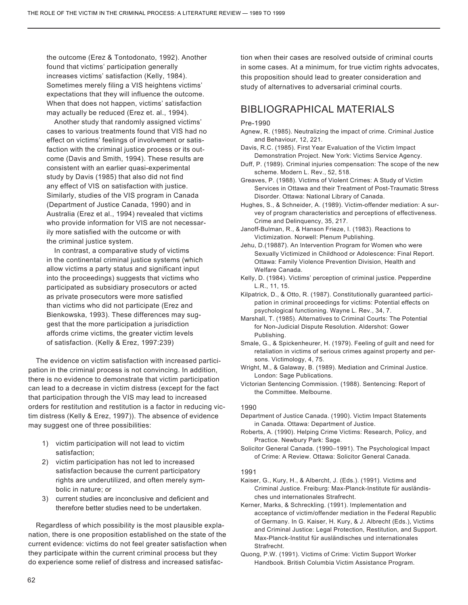the outcome (Erez & Tontodonato, 1992). Another found that victims' participation generally increases victims' satisfaction (Kelly, 1984). Sometimes merely filing a VIS heightens victims' expectations that they will influence the outcome. When that does not happen, victims' satisfaction may actually be reduced (Erez et. al., 1994).

Another study that randomly assigned victims' cases to various treatments found that VIS had no effect on victims' feelings of involvement or satisfaction with the criminal justice process or its outcome (Davis and Smith, 1994). These results are consistent with an earlier quasi-experimental study by Davis (1985) that also did not find any effect of VIS on satisfaction with justice. Similarly, studies of the VIS program in Canada (Department of Justice Canada, 1990) and in Australia (Erez et al., 1994) revealed that victims who provide information for VIS are not necessarily more satisfied with the outcome or with the criminal justice system.

In contrast, a comparative study of victims in the continental criminal justice systems (which allow victims a party status and significant input into the proceedings) suggests that victims who participated as subsidiary prosecutors or acted as private prosecutors were more satisfied than victims who did not participate (Erez and Bienkowska, 1993). These differences may suggest that the more participation a jurisdiction affords crime victims, the greater victim levels of satisfaction. (Kelly & Erez, 1997:239)

The evidence on victim satisfaction with increased participation in the criminal process is not convincing. In addition, there is no evidence to demonstrate that victim participation can lead to a decrease in victim distress (except for the fact that participation through the VIS may lead to increased orders for restitution and restitution is a factor in reducing victim distress (Kelly & Erez, 1997)). The absence of evidence may suggest one of three possibilities:

- 1) victim participation will not lead to victim satisfaction;
- 2) victim participation has not led to increased satisfaction because the current participatory rights are underutilized, and often merely symbolic in nature; or
- 3) current studies are inconclusive and deficient and therefore better studies need to be undertaken.

Regardless of which possibility is the most plausible explanation, there is one proposition established on the state of the current evidence: victims do not feel greater satisfaction when they participate within the current criminal process but they do experience some relief of distress and increased satisfaction when their cases are resolved outside of criminal courts in some cases. At a minimum, for true victim rights advocates, this proposition should lead to greater consideration and study of alternatives to adversarial criminal courts.

# BIBLIOGRAPHICAL MATERIALS

# Pre-1990

- Agnew, R. (1985). Neutralizing the impact of crime. Criminal Justice and Behaviour, 12, 221.
- Davis, R.C. (1985). First Year Evaluation of the Victim Impact Demonstration Project. New York: Victims Service Agency.
- Duff, P. (1989). Criminal injuries compensation: The scope of the new scheme. Modern L. Rev., 52, 518.
- Greaves, P. (1988). Victims of Violent Crimes: A Study of Victim Services in Ottawa and their Treatment of Post-Traumatic Stress Disorder. Ottawa: National Library of Canada.
- Hughes, S., & Schneider, A. (1989). Victim-offender mediation: A survey of program characteristics and perceptions of effectiveness. Crime and Delinquency, 35, 217.
- Janoff-Bulman, R., & Hanson Frieze, I. (1983). Reactions to Victimization. Norwell: Plenum Publishing.
- Jehu, D.(19887). An Intervention Program for Women who were Sexually Victimized in Childhood or Adolescence: Final Report. Ottawa: Family Violence Prevention Division, Health and Welfare Canada.
- Kelly, D. (1984). Victims' perception of criminal justice. Pepperdine L.R., 11, 15.
- Kilpatrick, D., & Otto, R. (1987). Constitutionally guaranteed participation in criminal proceedings for victims: Potential effects on psychological functioning. Wayne L. Rev., 34, 7.
- Marshall, T. (1985). Alternatives to Criminal Courts: The Potential for Non-Judicial Dispute Resolution. Aldershot: Gower Publishing.
- Smale, G., & Spickenheurer, H. (1979). Feeling of guilt and need for retaliation in victims of serious crimes against property and persons. Victimology, 4, 75.
- Wright, M., & Galaway, B. (1989). Mediation and Criminal Justice. London: Sage Publications.
- Victorian Sentencing Commission. (1988). Sentencing: Report of the Committee. Melbourne.

# 1990

- Department of Justice Canada. (1990). Victim Impact Statements in Canada. Ottawa: Department of Justice.
- Roberts, A. (1990). Helping Crime Victims: Research, Policy, and Practice. Newbury Park: Sage.
- Solicitor General Canada. (1990–1991). The Psychological Impact of Crime: A Review. Ottawa: Solicitor General Canada.

- Kaiser, G., Kury, H., & Albercht, J. (Eds.). (1991). Victims and Criminal Justice. Freiburg: Max-Planck-Institute für ausländisches und internationales Strafrecht.
- Kerner, Marks, & Schreckling. (1991). Implementation and acceptance of victim/offender mediation in the Federal Republic of Germany. In G. Kaiser, H. Kury, & J. Albrecht (Eds.), Victims and Criminal Justice: Legal Protection, Restitution, and Support. Max-Planck-Institut für ausländisches und internationales Strafrecht.
- Quong, P.W. (1991). Victims of Crime: Victim Support Worker Handbook. British Columbia Victim Assistance Program.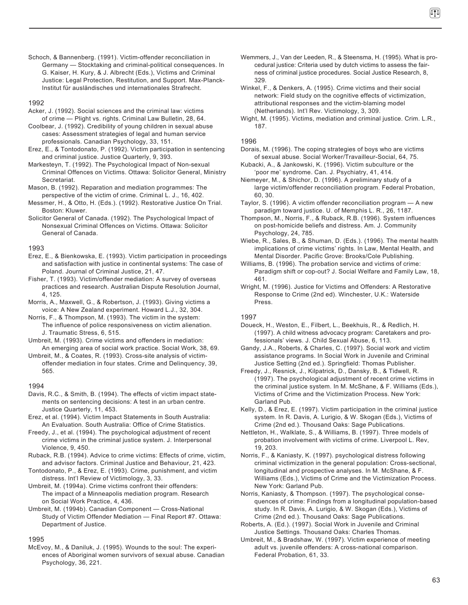Schoch, & Bannenberg. (1991). Victim-offender reconciliation in Germany — Stocktaking and criminal-political consequences. In G. Kaiser, H. Kury, & J. Albrecht (Eds.), Victims and Criminal Justice: Legal Protection, Restitution, and Support. Max-Planck-Institut für ausländisches und internationales Strafrecht.

# 1992

- Acker, J. (1992). Social sciences and the criminal law: victims of crime — Plight vs. rights. Criminal Law Bulletin, 28, 64.
- Coolbear, J. (1992). Credibility of young children in sexual abuse cases: Assessment strategies of legal and human service professionals. Canadian Psychology, 33, 151.
- Erez, E., & Tontodonato, P. (1992). Victim participation in sentencing and criminal justice. Justice Quarterly, 9, 393.
- Markesteyn, T. (1992). The Psychological Impact of Non-sexual Criminal Offences on Victims. Ottawa: Solicitor General, Ministry Secretariat.
- Mason, B. (1992). Reparation and mediation programmes: The perspective of the victim of crime. Criminal L. J., 16, 402.
- Messmer, H., & Otto, H. (Eds.). (1992). Restorative Justice On Trial. Boston: Kluwer.
- Solicitor General of Canada. (1992). The Psychological Impact of Nonsexual Criminal Offences on Victims. Ottawa: Solicitor General of Canada.

#### 1993

- Erez, E., & Bienkowska, E. (1993). Victim participation in proceedings and satisfaction with justice in continental systems: The case of Poland. Journal of Criminal Justice, 21, 47.
- Fisher, T. (1993). Victim/offender mediation: A survey of overseas practices and research. Australian Dispute Resolution Journal, 4, 125.
- Morris, A., Maxwell, G., & Robertson, J. (1993). Giving victims a voice: A New Zealand experiment. Howard L.J., 32, 304.
- Norris, F., & Thompson, M. (1993). The victim in the system: The influence of police responsiveness on victim alienation. J. Traumatic Stress, 6, 515.
- Umbreit, M. (1993). Crime victims and offenders in mediation: An emerging area of social work practice. Social Work, 38, 69.
- Umbreit, M., & Coates, R. (1993). Cross-site analysis of victimoffender mediation in four states. Crime and Delinquency, 39, 565.

# 1994

- Davis, R.C., & Smith, B. (1994). The effects of victim impact statements on sentencing decisions: A test in an urban centre. Justice Quarterly, 11, 453.
- Erez, et al. (1994). Victim Impact Statements in South Australia: An Evaluation. South Australia: Office of Crime Statistics.
- Freedy, J., et al. (1994). The psychological adjustment of recent crime victims in the criminal justice system. J. Interpersonal Violence, 9, 450.
- Ruback, R.B. (1994). Advice to crime victims: Effects of crime, victim, and advisor factors. Criminal Justice and Behaviour, 21, 423.
- Tontodonato, P., & Erez, E. (1993). Crime, punishment, and victim distress. Int'l Review of Victimology, 3, 33.
- Umbreit, M. (1994a). Crime victims confront their offenders: The impact of a Minneapolis mediation program. Research on Social Work Practice, 4, 436.
- Umbreit, M. (1994b). Canadian Component Cross-National Study of Victim Offender Mediation — Final Report #7. Ottawa: Department of Justice.

# 1995

McEvoy, M., & Daniluk, J. (1995). Wounds to the soul: The experiences of Aboriginal women survivors of sexual abuse. Canadian Psychology, 36, 221.

Wemmers, J., Van der Leeden, R., & Steensma, H. (1995). What is procedural justice: Criteria used by dutch victims to assess the fairness of criminal justice procedures. Social Justice Research, 8, 329.

Winkel, F., & Denkers, A. (1995). Crime victims and their social network: Field study on the cognitive effects of victimization, attributional responses and the victim-blaming model (Netherlands). Int'l Rev. Victimology, 3, 309.

Wight, M. (1995). Victims, mediation and criminal justice. Crim. L.R., 187.

# 1996

- Dorais, M. (1996). The coping strategies of boys who are victims of sexual abuse. Social Worker/Travailleur-Social, 64, 75.
- Kubacki, A., & Jankowski, K. (1996). Victim subculture or the 'poor me' syndrome. Can. J. Psychiatry, 41, 414.
- Niemeyer, M., & Shichor, D. (1996). A preliminary study of a large victim/offender reconciliation program. Federal Probation, 60, 30.
- Taylor, S. (1996). A victim offender reconciliation program A new paradigm toward justice. U. of Memphis L. R., 26, 1187.
- Thompson, M., Norris, F., & Ruback, R.B. (1996). System influences on post-homicide beliefs and distress. Am. J. Community Psychology, 24, 785.
- Wiebe, R., Sales, B., & Shuman, D. (Eds.). (1996). The mental health implications of crime victims' rights. In Law, Mental Health, and Mental Disorder. Pacific Grove: Brooks/Cole Publishing.
- Williams, B. (1996). The probation service and victims of crime: Paradigm shift or cop-out? J. Social Welfare and Family Law, 18, 461.
- Wright, M. (1996). Justice for Victims and Offenders: A Restorative Response to Crime (2nd ed). Winchester, U.K.: Waterside Press.

- Doueck, H., Weston, E., Filbert, L., Beekhuis, R., & Redlich, H. (1997). A child witness advocacy program: Caretakers and professionals' views. J. Child Sexual Abuse, 6, 113.
- Gandy, J.A., Roberts, & Charles, C. (1997). Social work and victim assistance programs. In Social Work in Juvenile and Criminal Justice Setting (2nd ed.). Springfield: Thomas Publisher.
- Freedy, J., Resnick, J., Kilpatrick, D., Dansky, B., & Tidwell, R. (1997). The psychological adjustment of recent crime victims in the criminal justice system. In M. McShane, & F. Williams (Eds.), Victims of Crime and the Victimization Process. New York: Garland Pub.
- Kelly, D., & Erez, E. (1997). Victim participation in the criminal justice system. In R. Davis, A. Lurigio, & W. Skogan (Eds.), Victims of Crime (2nd ed.). Thousand Oaks: Sage Publications.
- Nettleton, H., Walklate, S., & Williams, B. (1997). Three models of probation involvement with victims of crime. Liverpool L. Rev, 19, 203.
- Norris, F., & Kaniasty, K. (1997). psychological distress following criminal victimization in the general population: Cross-sectional, longitudinal and prospective analyses. In M. McShane, & F. Williams (Eds.), Victims of Crime and the Victimization Process. New York: Garland Pub.
- Norris, Kaniasty, & Thompson. (1997). The psychological consequences of crime: Findings from a longitudinal population-based study. In R. Davis, A. Lurigio, & W. Skogan (Eds.), Victims of Crime (2nd ed.). Thousand Oaks: Sage Publications.
- Roberts, A. (Ed.). (1997). Social Work in Juvenile and Criminal Justice Settings. Thousand Oaks: Charles Thomas.
- Umbreit, M., & Bradshaw, W. (1997). Victim experience of meeting adult vs. juvenile offenders: A cross-national comparison. Federal Probation, 61, 33.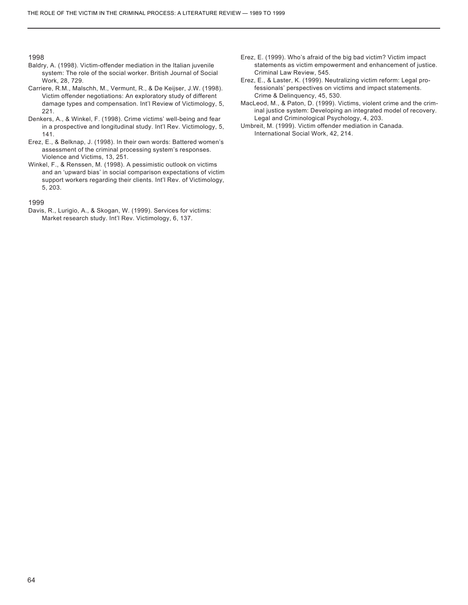1998

- Baldry, A. (1998). Victim-offender mediation in the Italian juvenile system: The role of the social worker. British Journal of Social Work, 28, 729.
- Carriere, R.M., Malschh, M., Vermunt, R., & De Keijser, J.W. (1998). Victim offender negotiations: An exploratory study of different damage types and compensation. Int'l Review of Victimology, 5, 221.
- Denkers, A., & Winkel, F. (1998). Crime victims' well-being and fear in a prospective and longitudinal study. Int'l Rev. Victimology, 5, 141.
- Erez, E., & Belknap, J. (1998). In their own words: Battered women's assessment of the criminal processing system's responses. Violence and Victims, 13, 251.
- Winkel, F., & Renssen, M. (1998). A pessimistic outlook on victims and an 'upward bias' in social comparison expectations of victim support workers regarding their clients. Int'l Rev. of Victimology, 5, 203.

1999

Davis, R., Lurigio, A., & Skogan, W. (1999). Services for victims: Market research study. Int'l Rev. Victimology, 6, 137.

- Erez, E. (1999). Who's afraid of the big bad victim? Victim impact statements as victim empowerment and enhancement of justice. Criminal Law Review, 545.
- Erez, E., & Laster, K. (1999). Neutralizing victim reform: Legal professionals' perspectives on victims and impact statements. Crime & Delinquency, 45, 530.
- MacLeod, M., & Paton, D. (1999). Victims, violent crime and the criminal justice system: Developing an integrated model of recovery. Legal and Criminological Psychology, 4, 203.
- Umbreit, M. (1999). Victim offender mediation in Canada. International Social Work, 42, 214.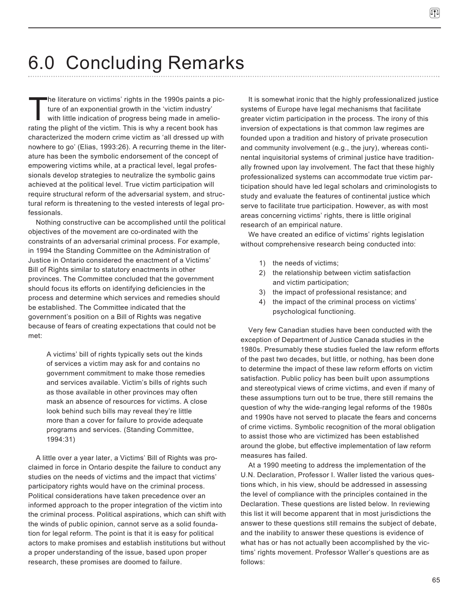# 6.0 Concluding Remarks

The literature on victims' rights in the 1990s paints a picture of an exponential growth in the 'victim industry' with little indication of progress being made in ameliorating the plight of the victim. This is why a recent book has characterized the modern crime victim as 'all dressed up with nowhere to go' (Elias, 1993:26). A recurring theme in the literature has been the symbolic endorsement of the concept of empowering victims while, at a practical level, legal professionals develop strategies to neutralize the symbolic gains achieved at the political level. True victim participation will require structural reform of the adversarial system, and structural reform is threatening to the vested interests of legal professionals.

Nothing constructive can be accomplished until the political objectives of the movement are co-ordinated with the constraints of an adversarial criminal process. For example, in 1994 the Standing Committee on the Administration of Justice in Ontario considered the enactment of a Victims' Bill of Rights similar to statutory enactments in other provinces. The Committee concluded that the government should focus its efforts on identifying deficiencies in the process and determine which services and remedies should be established. The Committee indicated that the government's position on a Bill of Rights was negative because of fears of creating expectations that could not be met:

A victims' bill of rights typically sets out the kinds of services a victim may ask for and contains no government commitment to make those remedies and services available. Victim's bills of rights such as those available in other provinces may often mask an absence of resources for victims. A close look behind such bills may reveal they're little more than a cover for failure to provide adequate programs and services. (Standing Committee, 1994:31)

A little over a year later, a Victims' Bill of Rights was proclaimed in force in Ontario despite the failure to conduct any studies on the needs of victims and the impact that victims' participatory rights would have on the criminal process. Political considerations have taken precedence over an informed approach to the proper integration of the victim into the criminal process. Political aspirations, which can shift with the winds of public opinion, cannot serve as a solid foundation for legal reform. The point is that it is easy for political actors to make promises and establish institutions but without a proper understanding of the issue, based upon proper research, these promises are doomed to failure.

It is somewhat ironic that the highly professionalized justice systems of Europe have legal mechanisms that facilitate greater victim participation in the process. The irony of this inversion of expectations is that common law regimes are founded upon a tradition and history of private prosecution and community involvement (e.g., the jury), whereas continental inquisitorial systems of criminal justice have traditionally frowned upon lay involvement. The fact that these highly professionalized systems can accommodate true victim participation should have led legal scholars and criminologists to study and evaluate the features of continental justice which serve to facilitate true participation. However, as with most areas concerning victims' rights, there is little original research of an empirical nature.

We have created an edifice of victims' rights legislation without comprehensive research being conducted into:

- 1) the needs of victims;
- 2) the relationship between victim satisfaction and victim participation;
- 3) the impact of professional resistance; and
- 4) the impact of the criminal process on victims' psychological functioning.

Very few Canadian studies have been conducted with the exception of Department of Justice Canada studies in the 1980s. Presumably these studies fueled the law reform efforts of the past two decades, but little, or nothing, has been done to determine the impact of these law reform efforts on victim satisfaction. Public policy has been built upon assumptions and stereotypical views of crime victims, and even if many of these assumptions turn out to be true, there still remains the question of why the wide-ranging legal reforms of the 1980s and 1990s have not served to placate the fears and concerns of crime victims. Symbolic recognition of the moral obligation to assist those who are victimized has been established around the globe, but effective implementation of law reform measures has failed.

At a 1990 meeting to address the implementation of the U.N. Declaration, Professor I. Waller listed the various questions which, in his view, should be addressed in assessing the level of compliance with the principles contained in the Declaration. These questions are listed below. In reviewing this list it will become apparent that in most jurisdictions the answer to these questions still remains the subject of debate, and the inability to answer these questions is evidence of what has or has not actually been accomplished by the victims' rights movement. Professor Waller's questions are as follows: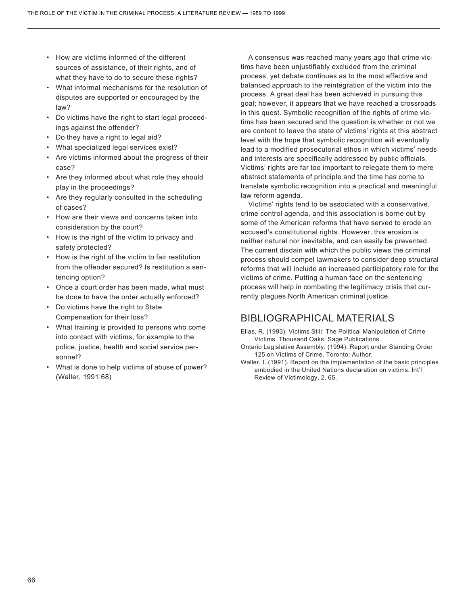- How are victims informed of the different sources of assistance, of their rights, and of what they have to do to secure these rights?
- What informal mechanisms for the resolution of disputes are supported or encouraged by the law?
- Do victims have the right to start legal proceedings against the offender?
- Do they have a right to legal aid?
- What specialized legal services exist?
- Are victims informed about the progress of their case?
- Are they informed about what role they should play in the proceedings?
- Are they regularly consulted in the scheduling of cases?
- How are their views and concerns taken into consideration by the court?
- How is the right of the victim to privacy and safety protected?
- How is the right of the victim to fair restitution from the offender secured? Is restitution a sentencing option?
- Once a court order has been made, what must be done to have the order actually enforced?
- Do victims have the right to State Compensation for their loss?
- What training is provided to persons who come into contact with victims, for example to the police, justice, health and social service personnel?
- What is done to help victims of abuse of power? (Waller, 1991:68)

A consensus was reached many years ago that crime victims have been unjustifiably excluded from the criminal process, yet debate continues as to the most effective and balanced approach to the reintegration of the victim into the process. A great deal has been achieved in pursuing this goal; however, it appears that we have reached a crossroads in this quest. Symbolic recognition of the rights of crime victims has been secured and the question is whether or not we are content to leave the state of victims' rights at this abstract level with the hope that symbolic recognition will eventually lead to a modified prosecutorial ethos in which victims' needs and interests are specifically addressed by public officials. Victims' rights are far too important to relegate them to mere abstract statements of principle and the time has come to translate symbolic recognition into a practical and meaningful law reform agenda.

Victims' rights tend to be associated with a conservative, crime control agenda, and this association is borne out by some of the American reforms that have served to erode an accused's constitutional rights. However, this erosion is neither natural nor inevitable, and can easily be prevented. The current disdain with which the public views the criminal process should compel lawmakers to consider deep structural reforms that will include an increased participatory role for the victims of crime. Putting a human face on the sentencing process will help in combating the legitimacy crisis that currently plagues North American criminal justice.

# BIBLIOGRAPHICAL MATERIALS

- Elias, R. (1993). Victims Still: The Political Manipulation of Crime Victims. Thousand Oaks: Sage Publications.
- Ontario Legislative Assembly. (1994). Report under Standing Order 125 on Victims of Crime. Toronto: Author.
- Waller, I. (1991). Report on the implementation of the basic principles embodied in the United Nations declaration on victims. Int'l Review of Victimology, 2, 65.